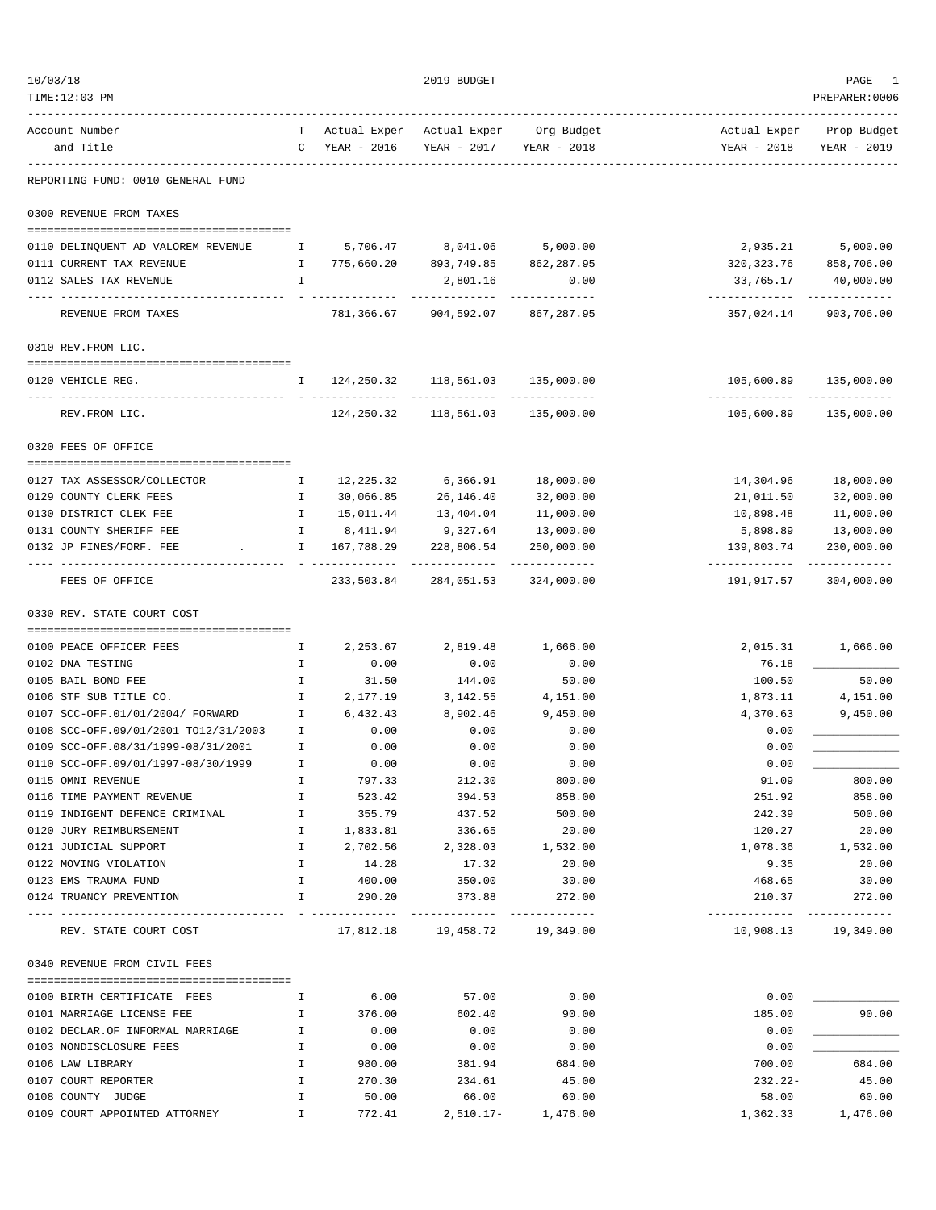| 10/03/18                                                          |                              |                          | 2019 BUDGET                                                        |                       |                                              | PAGE                        |
|-------------------------------------------------------------------|------------------------------|--------------------------|--------------------------------------------------------------------|-----------------------|----------------------------------------------|-----------------------------|
| TIME:12:03 PM                                                     |                              |                          |                                                                    |                       |                                              | PREPARER: 0006              |
| Account Number                                                    |                              |                          | T Actual Exper Actual Exper Org Budget                             |                       | Actual Exper Prop Budget                     |                             |
| and Title<br>------------------<br>-------------                  |                              | C YEAR - 2016            | YEAR - 2017 YEAR - 2018                                            |                       |                                              | YEAR - 2018 YEAR - 2019     |
| REPORTING FUND: 0010 GENERAL FUND                                 |                              |                          |                                                                    |                       |                                              |                             |
| 0300 REVENUE FROM TAXES                                           |                              |                          |                                                                    |                       |                                              |                             |
| 0110 DELINQUENT AD VALOREM REVENUE $1$ 5,706.47 8,041.06 5,000.00 |                              |                          |                                                                    |                       | 2,935.21                                     | 5,000.00                    |
| 0111 CURRENT TAX REVENUE                                          | $\mathbf{I}$                 |                          | 775,660.20 893,749.85 862,287.95                                   |                       |                                              | 320, 323.76 858, 706.00     |
| 0112 SALES TAX REVENUE                                            | $\mathbf{I}$                 |                          | 2,801.16                                                           | 0.00                  | 33,765.17                                    | 40,000.00                   |
| REVENUE FROM TAXES                                                |                              |                          | ------------------------------<br>781,366.67 904,592.07 867,287.95 |                       | ------------------------------<br>357,024.14 | 903,706.00                  |
| 0310 REV. FROM LIC.                                               |                              |                          |                                                                    |                       |                                              |                             |
|                                                                   |                              |                          |                                                                    |                       |                                              |                             |
| 0120 VEHICLE REG.                                                 |                              |                          | I 124, 250.32 118, 561.03 135, 000.00                              |                       | -----------------------------                | 105,600.89 135,000.00       |
| REV.FROM LIC.                                                     |                              |                          | 124, 250.32   118, 561.03   135, 000.00                            |                       |                                              | 105,600.89 135,000.00       |
| 0320 FEES OF OFFICE                                               |                              |                          |                                                                    |                       |                                              |                             |
| 0127 TAX ASSESSOR/COLLECTOR                                       | $\mathbf{I}$                 |                          | 12, 225.32 6, 366.91                                               | 18,000.00             | 14,304.96                                    | 18,000.00                   |
| 0129 COUNTY CLERK FEES                                            | $\mathbf{I}$                 | 30,066.85                | 26,146.40                                                          | 32,000.00             | 21,011.50                                    | 32,000.00                   |
| 0130 DISTRICT CLEK FEE                                            | $\mathbb{I}$                 | 15,011.44                | 13,404.04                                                          | 11,000.00             | 10,898.48                                    | 11,000.00                   |
| 0131 COUNTY SHERIFF FEE                                           | I.                           |                          | 8,411.94 9,327.64                                                  | 13,000.00             | 5,898.89                                     | 13,000.00                   |
| 0132 JP FINES/FORF. FEE<br>the control of the control of the      | $\mathbf{I}$                 | 167,788.29<br>---------- | 228,806.54<br>-------------- -------------                         | 250,000.00            | 139,803.74<br>-------------                  | 230,000.00<br>------------- |
| FEES OF OFFICE                                                    |                              | 233,503.84               |                                                                    | 284,051.53 324,000.00 | 191,917.57                                   | 304,000.00                  |
| 0330 REV. STATE COURT COST                                        |                              |                          |                                                                    |                       |                                              |                             |
| 0100 PEACE OFFICER FEES                                           | $\mathbf{I}$                 | 2,253.67                 | 2,819.48                                                           | 1,666.00              | 2,015.31                                     | 1,666.00                    |
| 0102 DNA TESTING                                                  | $\mathbb{I}$                 | 0.00                     | 0.00                                                               | 0.00                  | 76.18                                        |                             |
| 0105 BAIL BOND FEE                                                | $\mathbf{I}$                 | 31.50                    | 144.00                                                             | 50.00                 | 100.50                                       | 50.00                       |
| 0106 STF SUB TITLE CO.                                            | $\mathbb{I}$                 | 2,177.19                 | 3,142.55                                                           | 4,151.00              | 1,873.11                                     | 4,151.00                    |
| 0107 SCC-OFF.01/01/2004/ FORWARD                                  | $\mathbf{I}$                 | 6,432.43                 | 8,902.46                                                           | 9,450.00              | 4,370.63                                     | 9,450.00                    |
| 0108 SCC-OFF.09/01/2001 TO12/31/2003                              | I.                           | 0.00                     | 0.00                                                               | 0.00                  | 0.00                                         |                             |
| 0109 SCC-OFF.08/31/1999-08/31/2001                                | I                            | 0.00                     | 0.00                                                               | 0.00                  | 0.00                                         |                             |
| 0110 SCC-OFF.09/01/1997-08/30/1999                                |                              | 0.00                     | 0.00                                                               | 0.00                  | 0.00                                         |                             |
| 0115 OMNI REVENUE                                                 | Ι.                           | 797.33                   | 212.30                                                             | 800.00                | 91.09                                        | 800.00                      |
| 0116 TIME PAYMENT REVENUE                                         | $\mathbb{I}$                 | 523.42                   | 394.53                                                             | 858.00                | 251.92                                       | 858.00                      |
| 0119 INDIGENT DEFENCE CRIMINAL I                                  |                              | 355.79                   | 437.52                                                             | 500.00                | 242.39                                       | 500.00                      |
| 0120 JURY REIMBURSEMENT                                           | $\mathbf{I}$                 | 1,833.81                 | 336.65                                                             | 20.00                 | 120.27                                       | 20.00                       |
| 0121 JUDICIAL SUPPORT<br>0122 MOVING VIOLATION                    | $\mathbb{I}$<br>$\mathbb{I}$ | 2,702.56<br>14.28        | 2,328.03<br>17.32                                                  | 1,532.00<br>20.00     | 1,078.36<br>9.35                             | 1,532.00<br>20.00           |
| 0123 EMS TRAUMA FUND                                              | $\mathbf{I}$                 | 400.00                   | 350.00                                                             | 30.00                 | 468.65                                       | 30.00                       |
| 0124 TRUANCY PREVENTION                                           |                              | I 290.20                 | 373.88                                                             | 272.00                |                                              | 210.37 272.00               |
| REV. STATE COURT COST                                             |                              |                          | 17,812.18    19,458.72    19,349.00                                |                       | -----------------------------                | 10,908.13   19,349.00       |
| 0340 REVENUE FROM CIVIL FEES                                      |                              |                          |                                                                    |                       |                                              |                             |
| 0100 BIRTH CERTIFICATE FEES                                       | $\mathbb{I}$                 | 6.00                     | 57.00                                                              | 0.00                  | 0.00                                         |                             |
| 0101 MARRIAGE LICENSE FEE                                         | $\mathbb{I}$                 | 376.00                   | 602.40                                                             | 90.00                 | 185.00                                       | 90.00                       |
| 0102 DECLAR.OF INFORMAL MARRIAGE                                  | $\mathbb{I}$                 | 0.00                     | 0.00                                                               | 0.00                  | 0.00                                         |                             |
| 0103 NONDISCLOSURE FEES                                           | $\mathbb{I}$                 | 0.00                     | 0.00                                                               | 0.00                  | 0.00                                         |                             |
| 0106 LAW LIBRARY                                                  | $\mathbb{I}$                 | 980.00                   | 381.94                                                             | 684.00                | 700.00                                       | 684.00                      |
| 0107 COURT REPORTER                                               | $\mathbb{I}$                 | 270.30                   | 234.61                                                             | 45.00                 | $232.22 -$                                   | 45.00                       |
| 0108 COUNTY JUDGE                                                 | Ι.                           | 50.00                    | 66.00                                                              | 60.00                 | 58.00                                        | 60.00                       |
| 0109 COURT APPOINTED ATTORNEY                                     | $\mathbf{I}$                 | 772.41                   |                                                                    | 2,510.17- 1,476.00    |                                              | 1,362.33 1,476.00           |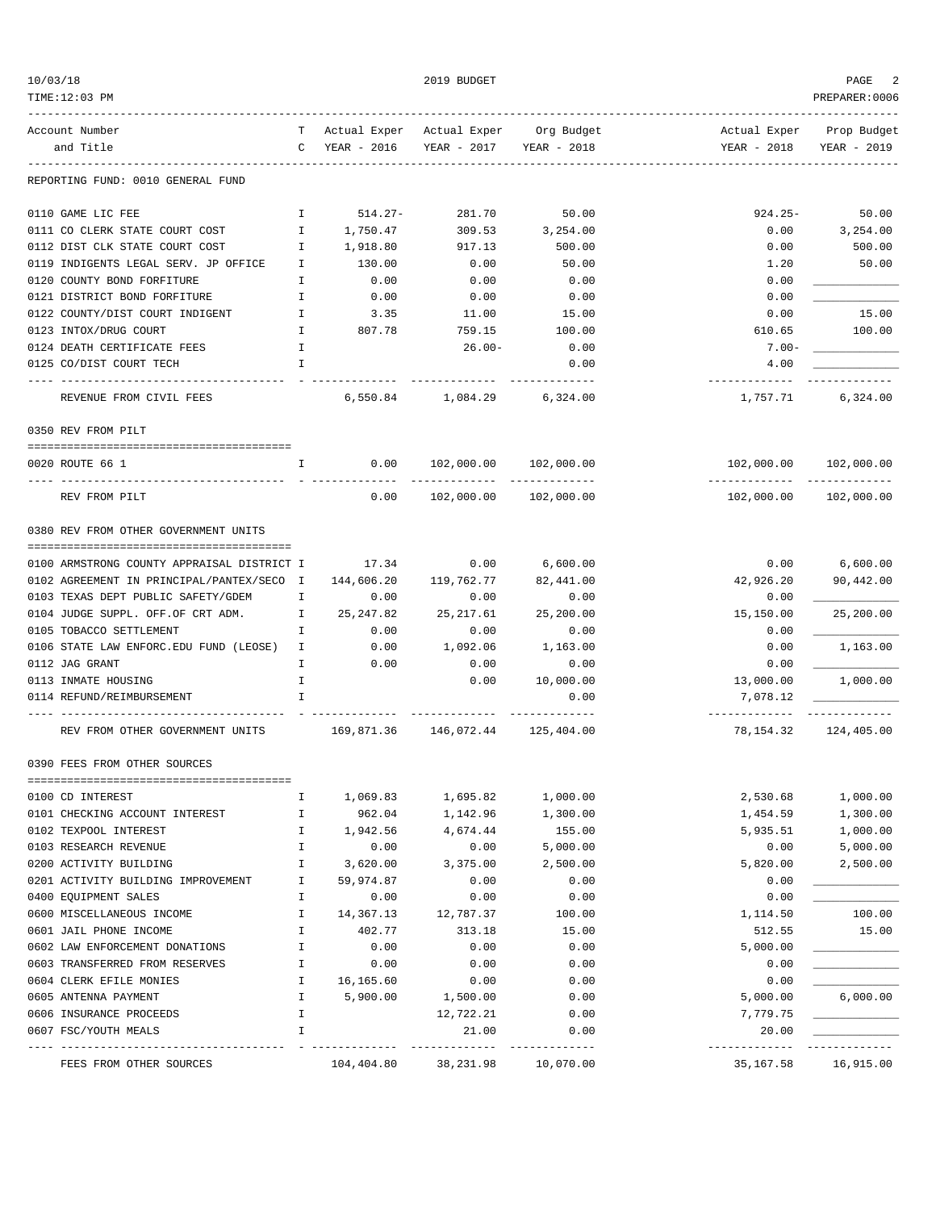| TIME:12:03 PM                                                     |              |                                       |                                  |                                        |                               | PREPARER:0006         |
|-------------------------------------------------------------------|--------------|---------------------------------------|----------------------------------|----------------------------------------|-------------------------------|-----------------------|
| Account Number                                                    |              |                                       |                                  | T Actual Exper Actual Exper Org Budget | Actual Exper Prop Budget      |                       |
| and Title                                                         |              | C YEAR - 2016 YEAR - 2017 YEAR - 2018 |                                  |                                        | YEAR - 2018 YEAR - 2019       |                       |
| REPORTING FUND: 0010 GENERAL FUND                                 |              |                                       |                                  |                                        |                               |                       |
| 0110 GAME LIC FEE                                                 |              | 1 514.27-                             | 281.70                           | 50.00                                  | $924.25 -$                    | 50.00                 |
| 0111 CO CLERK STATE COURT COST                                    |              | 1,750.47                              |                                  | 309.53 3,254.00                        | 0.00                          | 3,254.00              |
| 0112 DIST CLK STATE COURT COST                                    | $\mathbf{I}$ | 1,918.80                              | 917.13                           | 500.00                                 | 0.00                          | 500.00                |
| 0119 INDIGENTS LEGAL SERV. JP OFFICE I                            |              | 130.00                                | 0.00                             | 50.00                                  | 1.20                          | 50.00                 |
| $\mathbf{I}$<br>0120 COUNTY BOND FORFITURE                        |              | 0.00                                  | 0.00                             | 0.00                                   | 0.00                          |                       |
| 0121 DISTRICT BOND FORFITURE THE MANUSCHE                         |              | 0.00                                  | 0.00                             | 0.00                                   | 0.00                          |                       |
| 0122 COUNTY/DIST COURT INDIGENT I                                 |              | 3.35                                  | 11.00                            | 15.00                                  | 0.00                          | 15.00                 |
| 0123 INTOX/DRUG COURT                                             | $\mathbb{I}$ | 807.78                                | 759.15                           | 100.00                                 | 610.65                        | 100.00                |
| 0124 DEATH CERTIFICATE FEES                                       | $\mathbb{I}$ |                                       | $26.00 -$                        | 0.00                                   | $7.00 -$                      |                       |
| 0125 CO/DIST COURT TECH                                           | $\mathbf{I}$ |                                       |                                  | 0.00                                   | 4.00<br>-------------         | -------------         |
| REVENUE FROM CIVIL FEES                                           |              |                                       | 6,550.84 1,084.29 6,324.00       |                                        |                               | 1,757.71 6,324.00     |
| 0350 REV FROM PILT                                                |              |                                       |                                  |                                        |                               |                       |
| 0020 ROUTE 66 1<br>$\mathbf{I}$ and $\mathbf{I}$ and $\mathbf{I}$ |              |                                       | $0.00$ $102,000.00$ $102,000.00$ |                                        |                               |                       |
| REV FROM PILT                                                     |              | 0.00                                  | 102,000.00 102,000.00            |                                        |                               | 102,000.00 102,000.00 |
| 0380 REV FROM OTHER GOVERNMENT UNITS                              |              |                                       |                                  |                                        |                               |                       |
|                                                                   |              |                                       |                                  |                                        |                               |                       |
| 0100 ARMSTRONG COUNTY APPRAISAL DISTRICT I 17.34 0.00 6,600.00    |              |                                       |                                  |                                        |                               | $0.00$ 6,600.00       |
| 0102 AGREEMENT IN PRINCIPAL/PANTEX/SECO I                         |              | 144,606.20                            | 119,762.77                       | 82,441.00                              | 42,926.20                     | 90,442.00             |
| 0103 TEXAS DEPT PUBLIC SAFETY/GDEM I                              |              | 0.00                                  | 0.00                             | 0.00                                   | 0.00                          |                       |
| 0104 JUDGE SUPPL. OFF.OF CRT ADM. I<br>0105 TOBACCO SETTLEMENT    | $\mathbb{I}$ | 25,247.82<br>0.00                     | 25,217.61<br>0.00                | 25,200.00<br>0.00                      | 15,150.00<br>0.00             | 25,200.00             |
| 0106 STATE LAW ENFORC. EDU FUND (LEOSE) I                         |              |                                       | $0.00$ 1,092.06                  | 1,163.00                               | 0.00                          | 1,163.00              |
| 0112 JAG GRANT                                                    | $\mathbf{I}$ | 0.00                                  | 0.00                             | 0.00                                   | 0.00                          |                       |
| 0113 INMATE HOUSING                                               | $\mathbf{I}$ |                                       | 0.00                             | 10,000.00                              | 13,000.00                     | 1,000.00              |
| 0114 REFUND/REIMBURSEMENT                                         | $\mathbf{I}$ |                                       |                                  | 0.00                                   | 7,078.12                      |                       |
|                                                                   |              |                                       |                                  |                                        | -------------- -------------- |                       |
| REV FROM OTHER GOVERNMENT UNITS 169,871.36 146,072.44 125,404.00  |              |                                       |                                  |                                        | 78,154.32                     | 124,405.00            |
| 0390 FEES FROM OTHER SOURCES                                      |              |                                       |                                  |                                        |                               |                       |
| 0100 CD INTEREST                                                  | Ι.           | 1,069.83                              | 1,695.82                         | 1,000.00                               | 2,530.68                      | 1,000.00              |
| 0101 CHECKING ACCOUNT INTEREST                                    | Ι.           | 962.04                                | 1,142.96                         | 1,300.00                               | 1,454.59                      | 1,300.00              |
| 0102 TEXPOOL INTEREST                                             | I.           | 1,942.56                              | 4,674.44                         | 155.00                                 | 5,935.51                      | 1,000.00              |
| 0103 RESEARCH REVENUE                                             | I            | 0.00                                  | 0.00                             | 5,000.00                               | 0.00                          | 5,000.00              |
| 0200 ACTIVITY BUILDING                                            | $\mathbf I$  | 3,620.00                              | 3,375.00                         | 2,500.00                               | 5,820.00                      | 2,500.00              |
| 0201 ACTIVITY BUILDING IMPROVEMENT                                | I.           | 59,974.87                             | 0.00                             | 0.00                                   | 0.00                          |                       |
| 0400 EQUIPMENT SALES                                              | Ι.           | 0.00                                  | 0.00                             | 0.00                                   | 0.00                          |                       |
| 0600 MISCELLANEOUS INCOME                                         | Ι.           | 14,367.13                             | 12,787.37                        | 100.00                                 | 1,114.50                      | 100.00                |
| 0601 JAIL PHONE INCOME                                            | Ι.           | 402.77                                | 313.18                           | 15.00                                  | 512.55                        | 15.00                 |
| 0602 LAW ENFORCEMENT DONATIONS                                    | I            | 0.00                                  | 0.00                             | 0.00                                   | 5,000.00                      |                       |
| 0603 TRANSFERRED FROM RESERVES                                    | Ι.           | 0.00                                  | 0.00                             | 0.00                                   | 0.00                          |                       |
| 0604 CLERK EFILE MONIES                                           | Ι.           | 16,165.60                             | 0.00                             | 0.00                                   | 0.00                          |                       |
| 0605 ANTENNA PAYMENT                                              | $\mathbf I$  | 5,900.00                              | 1,500.00                         | 0.00                                   | 5,000.00                      | 6,000.00              |
| 0606 INSURANCE PROCEEDS                                           | I.           |                                       | 12,722.21                        | 0.00                                   | 7,779.75                      |                       |
| 0607 FSC/YOUTH MEALS                                              | I            |                                       | 21.00                            | 0.00<br>------------                   | 20.00<br>-----------          |                       |
| FEES FROM OTHER SOURCES                                           |              | 104,404.80                            | 38,231.98                        | 10,070.00                              | 35,167.58                     | 16,915.00             |

 $10/03/18$  PAGE 2  $2019$  BUDGET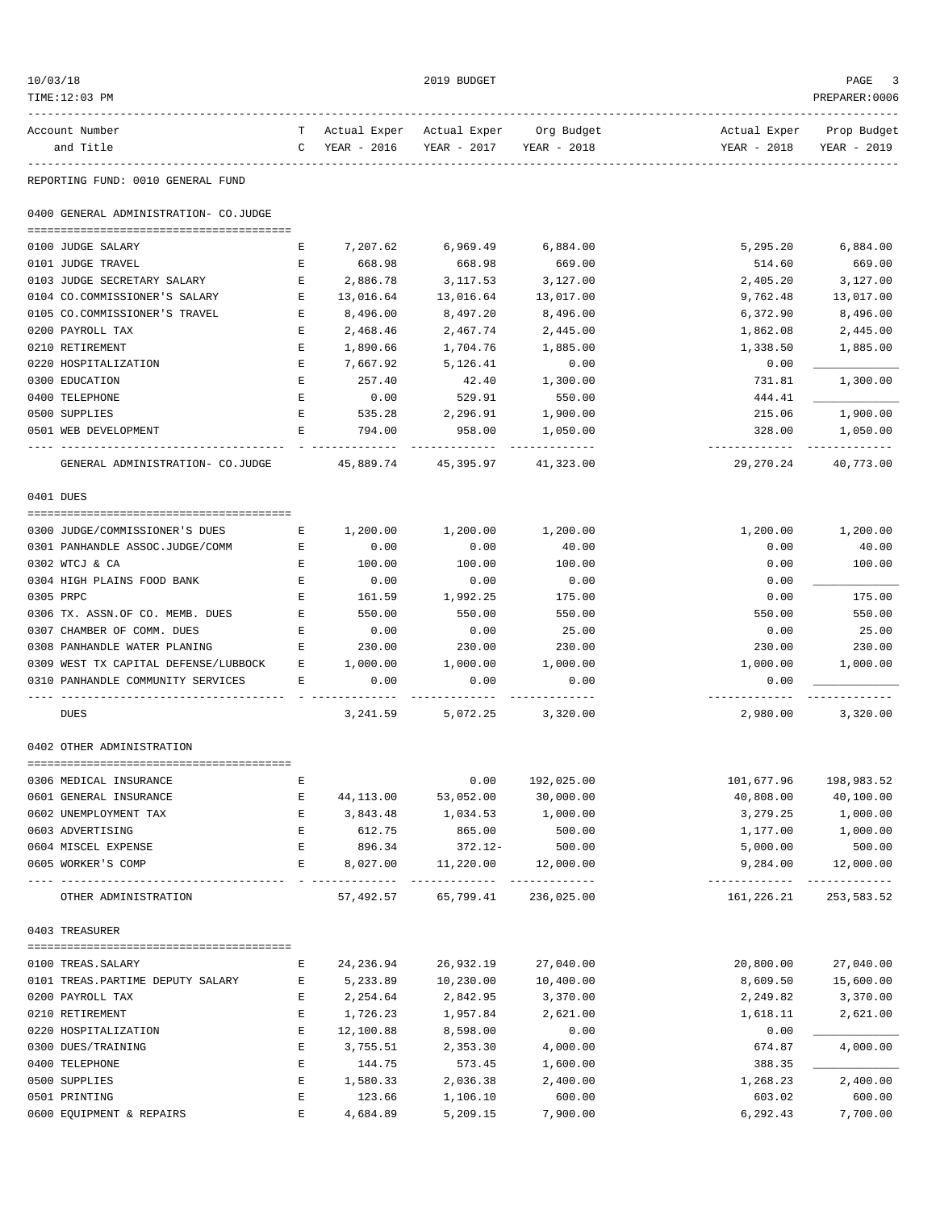| 10/03/18                                  |                                        |        |                    | 2019 BUDGET                            |                     |                                | PAGE                    |
|-------------------------------------------|----------------------------------------|--------|--------------------|----------------------------------------|---------------------|--------------------------------|-------------------------|
| TIME:12:03 PM                             |                                        |        |                    |                                        |                     |                                | PREPARER: 0006          |
| Account Number                            |                                        |        |                    | T Actual Exper Actual Exper Org Budget |                     | Actual Exper                   | Prop Budget             |
| and Title                                 |                                        |        | C YEAR - 2016      | YEAR - 2017 YEAR - 2018                |                     | YEAR - 2018                    | YEAR - 2019             |
| REPORTING FUND: 0010 GENERAL FUND         |                                        |        |                    |                                        |                     |                                |                         |
| 0400 GENERAL ADMINISTRATION- CO.JUDGE     |                                        |        |                    |                                        |                     |                                |                         |
|                                           |                                        |        |                    |                                        | 6,884.00            |                                |                         |
| 0100 JUDGE SALARY<br>0101 JUDGE TRAVEL    |                                        | Е<br>Е | 7,207.62<br>668.98 | 6,969.49<br>668.98                     | 669.00              | 5,295.20<br>514.60             | 6,884.00<br>669.00      |
| 0103 JUDGE SECRETARY SALARY               |                                        | Е      | 2,886.78           | 3,117.53                               | 3,127.00            | 2,405.20                       | 3,127.00                |
| 0104 CO.COMMISSIONER'S SALARY             |                                        | E      | 13,016.64          | 13,016.64                              | 13,017.00           | 9,762.48                       | 13,017.00               |
| 0105 CO.COMMISSIONER'S TRAVEL             |                                        | Е      | 8,496.00           | 8,497.20                               | 8,496.00            | 6,372.90                       | 8,496.00                |
| 0200 PAYROLL TAX                          |                                        | Е      | 2,468.46           | 2,467.74                               | 2,445.00            | 1,862.08                       | 2,445.00                |
| 0210 RETIREMENT                           |                                        | Е      | 1,890.66           | 1,704.76                               | 1,885.00            | 1,338.50                       | 1,885.00                |
| 0220 HOSPITALIZATION                      |                                        | Е      | 7,667.92           | 5,126.41                               | 0.00                | 0.00                           |                         |
| 0300 EDUCATION                            |                                        | Е      | 257.40             | 42.40                                  | 1,300.00            | 731.81                         | 1,300.00                |
| 0400 TELEPHONE                            |                                        | E      | 0.00               | 529.91                                 | 550.00              | 444.41                         |                         |
| 0500 SUPPLIES                             |                                        | Е      | 535.28             | 2,296.91                               | 1,900.00            | 215.06                         | 1,900.00                |
| 0501 WEB DEVELOPMENT                      |                                        | E      | 794.00             | 958.00                                 | 1,050.00            | 328.00                         | 1,050.00                |
|                                           |                                        |        |                    |                                        | -----------         | -----------                    |                         |
|                                           | GENERAL ADMINISTRATION- CO.JUDGE       |        |                    | 45,889.74 45,395.97 41,323.00          |                     |                                | 29, 270. 24 40, 773. 00 |
| 0401 DUES                                 |                                        |        |                    |                                        |                     |                                |                         |
| 0300 JUDGE/COMMISSIONER'S DUES            | E                                      |        | 1,200.00           | 1,200.00                               | 1,200.00            | 1,200.00                       | 1,200.00                |
| 0301 PANHANDLE ASSOC.JUDGE/COMM           |                                        | Е      | 0.00               | 0.00                                   | 40.00               | 0.00                           | 40.00                   |
| 0302 WTCJ & CA                            |                                        | Е      | 100.00             | 100.00                                 | 100.00              |                                | 100.00                  |
| 0304 HIGH PLAINS FOOD BANK                |                                        | Е      | 0.00               | 0.00                                   | 0.00                | 0.00<br>0.00                   |                         |
| 0305 PRPC                                 |                                        | Е      | 161.59             | 1,992.25                               | 175.00              | 0.00                           | 175.00                  |
| 0306 TX. ASSN.OF CO. MEMB. DUES           |                                        | Е      | 550.00             | 550.00                                 | 550.00              | 550.00                         | 550.00                  |
| 0307 CHAMBER OF COMM. DUES                |                                        | Е      | 0.00               | 0.00                                   | 25.00               | 0.00                           | 25.00                   |
| 0308 PANHANDLE WATER PLANING              |                                        | Е      | 230.00             | 230.00                                 | 230.00              | 230.00                         | 230.00                  |
|                                           |                                        |        | 1,000.00           |                                        |                     |                                |                         |
|                                           | 0309 WEST TX CAPITAL DEFENSE/LUBBOCK E |        |                    | 1,000.00                               | 1,000.00            | 1,000.00                       | 1,000.00                |
| 0310 PANHANDLE COMMUNITY SERVICES         |                                        | Е      | 0.00               | 0.00                                   | 0.00                | 0.00<br>---------              |                         |
| <b>DUES</b>                               |                                        |        |                    | 3, 241.59 5, 072.25 3, 320.00          |                     | 2,980.00                       | 3,320.00                |
| 0402 OTHER ADMINISTRATION                 |                                        |        |                    |                                        |                     |                                |                         |
|                                           |                                        |        |                    |                                        |                     |                                |                         |
| 0306 MEDICAL INSURANCE                    |                                        | Ε      |                    | 0.00                                   | 192,025.00          | 101,677.96                     | 198,983.52              |
| 0601 GENERAL INSURANCE                    |                                        | Е      | 44,113.00          | 53,052.00                              | 30,000.00           | 40,808.00                      | 40,100.00               |
| 0602 UNEMPLOYMENT TAX                     |                                        | Е      | 3,843.48           | 1,034.53                               | 1,000.00            | 3,279.25                       | 1,000.00                |
| 0603 ADVERTISING                          |                                        | E      | 612.75             | 865.00                                 | 500.00              | 1,177.00                       | 1,000.00                |
| 0604 MISCEL EXPENSE<br>0605 WORKER'S COMP |                                        | Е<br>Е | 896.34<br>8,027.00 | 372.12-<br>11,220.00                   | 500.00<br>12,000.00 | 5,000.00<br>9,284.00           | 500.00<br>12,000.00     |
|                                           | -----------------                      |        |                    |                                        |                     | ------------------------------ |                         |
| OTHER ADMINISTRATION                      |                                        |        |                    | 57,492.57 65,799.41 236,025.00         |                     | 161,226.21                     | 253,583.52              |
| 0403 TREASURER                            |                                        |        |                    |                                        |                     |                                |                         |
| 0100 TREAS. SALARY                        |                                        | Е      | 24,236.94          | 26,932.19                              | 27,040.00           | 20,800.00                      | 27,040.00               |
| 0101 TREAS. PARTIME DEPUTY SALARY         |                                        | Е      | 5,233.89           | 10,230.00                              | 10,400.00           | 8,609.50                       | 15,600.00               |
| 0200 PAYROLL TAX                          |                                        | Е      | 2,254.64           | 2,842.95                               | 3,370.00            | 2,249.82                       | 3,370.00                |
| 0210 RETIREMENT                           |                                        | Е      | 1,726.23           | 1,957.84                               | 2,621.00            | 1,618.11                       | 2,621.00                |
| 0220 HOSPITALIZATION                      |                                        | Е      | 12,100.88          | 8,598.00                               | 0.00                | 0.00                           |                         |
| 0300 DUES/TRAINING                        |                                        | Е      | 3,755.51           | 2,353.30                               | 4,000.00            | 674.87                         | 4,000.00                |
| 0400 TELEPHONE                            |                                        | Е      | 144.75             | 573.45                                 | 1,600.00            | 388.35                         |                         |
| 0500 SUPPLIES                             |                                        | E      | 1,580.33           | 2,036.38                               | 2,400.00            | 1,268.23                       | 2,400.00                |
| 0501 PRINTING                             |                                        | E      | 123.66             | 1,106.10                               | 600.00              | 603.02                         | 600.00                  |
| 0600 EQUIPMENT & REPAIRS                  |                                        | E      | 4,684.89           | 5,209.15                               | 7,900.00            | 6,292.43                       | 7,700.00                |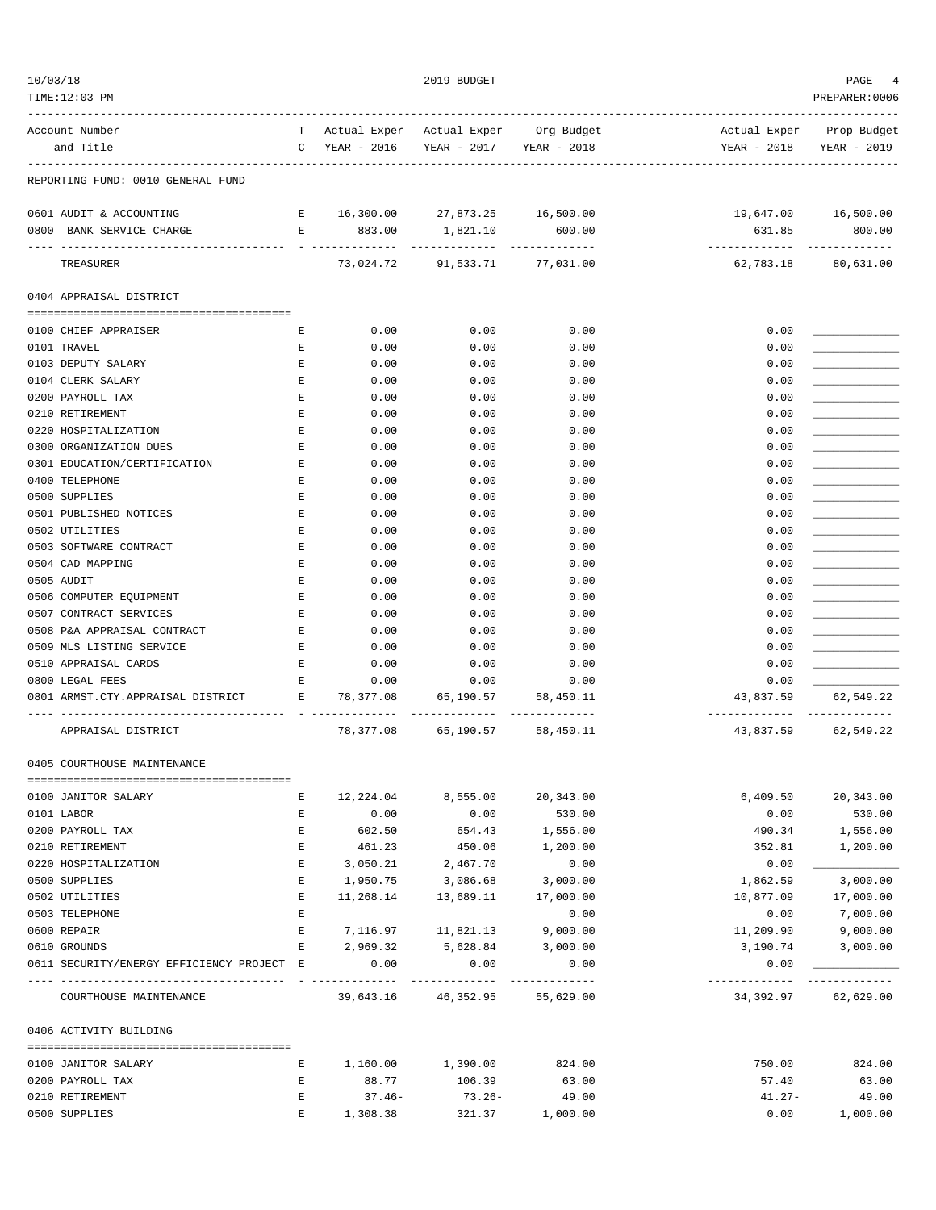| TIME:12:03 PM                                                      |                                                                                                |                                        |                                                                 |                         |                          | PREPARER:0006                         |
|--------------------------------------------------------------------|------------------------------------------------------------------------------------------------|----------------------------------------|-----------------------------------------------------------------|-------------------------|--------------------------|---------------------------------------|
| Account Number                                                     |                                                                                                | T Actual Exper Actual Exper Org Budget |                                                                 |                         | Actual Exper Prop Budget |                                       |
| and Title                                                          |                                                                                                | C YEAR - 2016                          |                                                                 | YEAR - 2017 YEAR - 2018 | YEAR - 2018              | YEAR - 2019                           |
| REPORTING FUND: 0010 GENERAL FUND                                  |                                                                                                |                                        |                                                                 |                         |                          |                                       |
| 0601 AUDIT & ACCOUNTING                                            |                                                                                                | E 16,300.00 27,873.25 16,500.00        |                                                                 |                         |                          | 19,647.00 16,500.00                   |
| 0800 BANK SERVICE CHARGE                                           |                                                                                                | E 883.00                               | 1,821.10 600.00                                                 |                         | 631.85                   | 800.00                                |
| --------------------------<br>TREASURER                            |                                                                                                |                                        | ------------------------------<br>73,024.72 91,533.71 77,031.00 |                         | -------------            | --------------<br>62,783.18 80,631.00 |
| 0404 APPRAISAL DISTRICT                                            |                                                                                                |                                        |                                                                 |                         |                          |                                       |
| 0100 CHIEF APPRAISER                                               | Е                                                                                              | 0.00                                   | 0.00                                                            | 0.00                    | 0.00                     |                                       |
| 0101 TRAVEL                                                        | Е                                                                                              | 0.00                                   | 0.00                                                            | 0.00                    | 0.00                     |                                       |
| 0103 DEPUTY SALARY                                                 | Е                                                                                              | 0.00                                   | 0.00                                                            | 0.00                    | 0.00                     |                                       |
| 0104 CLERK SALARY                                                  | Е                                                                                              | 0.00                                   | 0.00                                                            | 0.00                    | 0.00                     |                                       |
| 0200 PAYROLL TAX                                                   | Е                                                                                              | 0.00                                   | 0.00                                                            | 0.00                    | 0.00                     |                                       |
| 0210 RETIREMENT                                                    | $\mathbf{E}% _{t}\left  \mathbf{1}\right\rangle =\mathbf{1}_{t}\left  \mathbf{1}\right\rangle$ | 0.00                                   | 0.00                                                            | 0.00                    | 0.00                     |                                       |
| 0220 HOSPITALIZATION                                               | E                                                                                              | 0.00                                   | 0.00                                                            | 0.00                    | 0.00                     |                                       |
| 0300 ORGANIZATION DUES                                             | $\mathbf{E}% _{0}$                                                                             | 0.00                                   | 0.00                                                            | 0.00                    | 0.00                     |                                       |
| 0301 EDUCATION/CERTIFICATION                                       | $\mathbf{E}% _{t}\left  \mathbf{1}\right\rangle =\mathbf{1}_{t}\left  \mathbf{1}\right\rangle$ | 0.00                                   | 0.00                                                            | 0.00                    | 0.00                     |                                       |
| 0400 TELEPHONE                                                     | Е                                                                                              | 0.00                                   | 0.00                                                            | 0.00                    | 0.00                     |                                       |
| 0500 SUPPLIES                                                      | E                                                                                              | 0.00                                   | 0.00                                                            | 0.00                    | 0.00                     |                                       |
| 0501 PUBLISHED NOTICES                                             | Е                                                                                              | 0.00                                   | 0.00                                                            | 0.00                    | 0.00                     |                                       |
| 0502 UTILITIES                                                     | $\mathbf{E}% _{0}$                                                                             | 0.00                                   | 0.00                                                            | 0.00                    | 0.00                     |                                       |
| 0503 SOFTWARE CONTRACT                                             | Е                                                                                              | 0.00                                   | 0.00                                                            | 0.00                    | 0.00                     |                                       |
| 0504 CAD MAPPING                                                   | Е                                                                                              | 0.00                                   | 0.00                                                            | 0.00                    | 0.00                     |                                       |
| 0505 AUDIT                                                         | Е                                                                                              | 0.00                                   | 0.00                                                            | 0.00                    | 0.00                     |                                       |
| 0506 COMPUTER EQUIPMENT                                            | $\mathbf{E}% _{t}\left  \mathbf{1}\right\rangle =\mathbf{1}_{t}\left  \mathbf{1}\right\rangle$ | 0.00                                   | 0.00                                                            | 0.00                    | 0.00                     |                                       |
| 0507 CONTRACT SERVICES                                             | Е                                                                                              | 0.00                                   | 0.00                                                            | 0.00                    | 0.00                     |                                       |
| 0508 P&A APPRAISAL CONTRACT                                        | E                                                                                              | 0.00                                   | 0.00                                                            | 0.00                    | 0.00                     |                                       |
| 0509 MLS LISTING SERVICE                                           | E                                                                                              | 0.00                                   | 0.00                                                            | 0.00                    | 0.00                     |                                       |
| 0510 APPRAISAL CARDS                                               | E                                                                                              | 0.00                                   | 0.00                                                            | 0.00                    | 0.00                     |                                       |
| 0800 LEGAL FEES                                                    | Е                                                                                              | 0.00                                   | 0.00                                                            | 0.00                    | 0.00                     |                                       |
| 0801 ARMST.CTY.APPRAISAL DISTRICT<br>$\mathbf{E}$ and $\mathbf{E}$ |                                                                                                | 78,377.08                              | 65,190.57                                                       | 58,450.11               | 43,837.59                | 62,549.22                             |
|                                                                    |                                                                                                |                                        |                                                                 |                         | -------------            | --------------                        |
| APPRAISAL DISTRICT                                                 |                                                                                                |                                        | 78,377.08 65,190.57 58,450.11                                   |                         |                          | 43,837.59 62,549.22                   |
| 0405 COURTHOUSE MAINTENANCE                                        |                                                                                                |                                        |                                                                 |                         |                          |                                       |
| 0100 JANITOR SALARY                                                | Е                                                                                              | 12,224.04                              | 8,555.00                                                        | 20,343.00               | 6,409.50                 | 20,343.00                             |
| 0101 LABOR                                                         | E                                                                                              | 0.00                                   | 0.00                                                            | 530.00                  | 0.00                     | 530.00                                |
| 0200 PAYROLL TAX                                                   | E                                                                                              | 602.50                                 | 654.43                                                          | 1,556.00                | 490.34                   | 1,556.00                              |
| 0210 RETIREMENT                                                    | Е                                                                                              | 461.23                                 | 450.06                                                          | 1,200.00                | 352.81                   | 1,200.00                              |
| 0220 HOSPITALIZATION                                               | Е                                                                                              | 3,050.21                               | 2,467.70                                                        | 0.00                    | 0.00                     |                                       |
| 0500 SUPPLIES                                                      | Е                                                                                              | 1,950.75                               | 3,086.68                                                        | 3,000.00                | 1,862.59                 | 3,000.00                              |
| 0502 UTILITIES                                                     | Е                                                                                              | 11,268.14                              | 13,689.11                                                       | 17,000.00               | 10,877.09                | 17,000.00                             |
| 0503 TELEPHONE                                                     | E                                                                                              |                                        |                                                                 | 0.00                    | 0.00                     | 7,000.00                              |
| 0600 REPAIR                                                        | Е                                                                                              | 7,116.97                               | 11,821.13                                                       | 9,000.00                | 11,209.90                | 9,000.00                              |
| 0610 GROUNDS                                                       | E                                                                                              | 2,969.32                               | 5,628.84                                                        | 3,000.00                | 3,190.74                 | 3,000.00                              |
| 0611 SECURITY/ENERGY EFFICIENCY PROJECT E                          |                                                                                                | 0.00                                   | 0.00<br>--------------                                          | 0.00<br>-------------   | 0.00<br>-------------    |                                       |
| COURTHOUSE MAINTENANCE                                             |                                                                                                |                                        | 39,643.16 46,352.95                                             | 55,629.00               |                          | 34, 392.97 62, 629.00                 |
| 0406 ACTIVITY BUILDING                                             |                                                                                                |                                        |                                                                 |                         |                          |                                       |
|                                                                    |                                                                                                |                                        |                                                                 |                         |                          |                                       |
| 0100 JANITOR SALARY                                                | Е                                                                                              | 1,160.00                               | 1,390.00                                                        | 824.00                  | 750.00                   | 824.00                                |
| 0200 PAYROLL TAX                                                   | Ε                                                                                              | 88.77                                  | 106.39                                                          | 63.00                   | 57.40                    | 63.00                                 |
| 0210 RETIREMENT<br>0500 SUPPLIES                                   | E<br>Ε                                                                                         | $37.46-$                               | $73.26 -$                                                       | 49.00                   | $41.27 -$<br>0.00        | 49.00                                 |
|                                                                    |                                                                                                | 1,308.38                               | 321.37                                                          | 1,000.00                |                          | 1,000.00                              |

 $10/03/18$  PAGE 4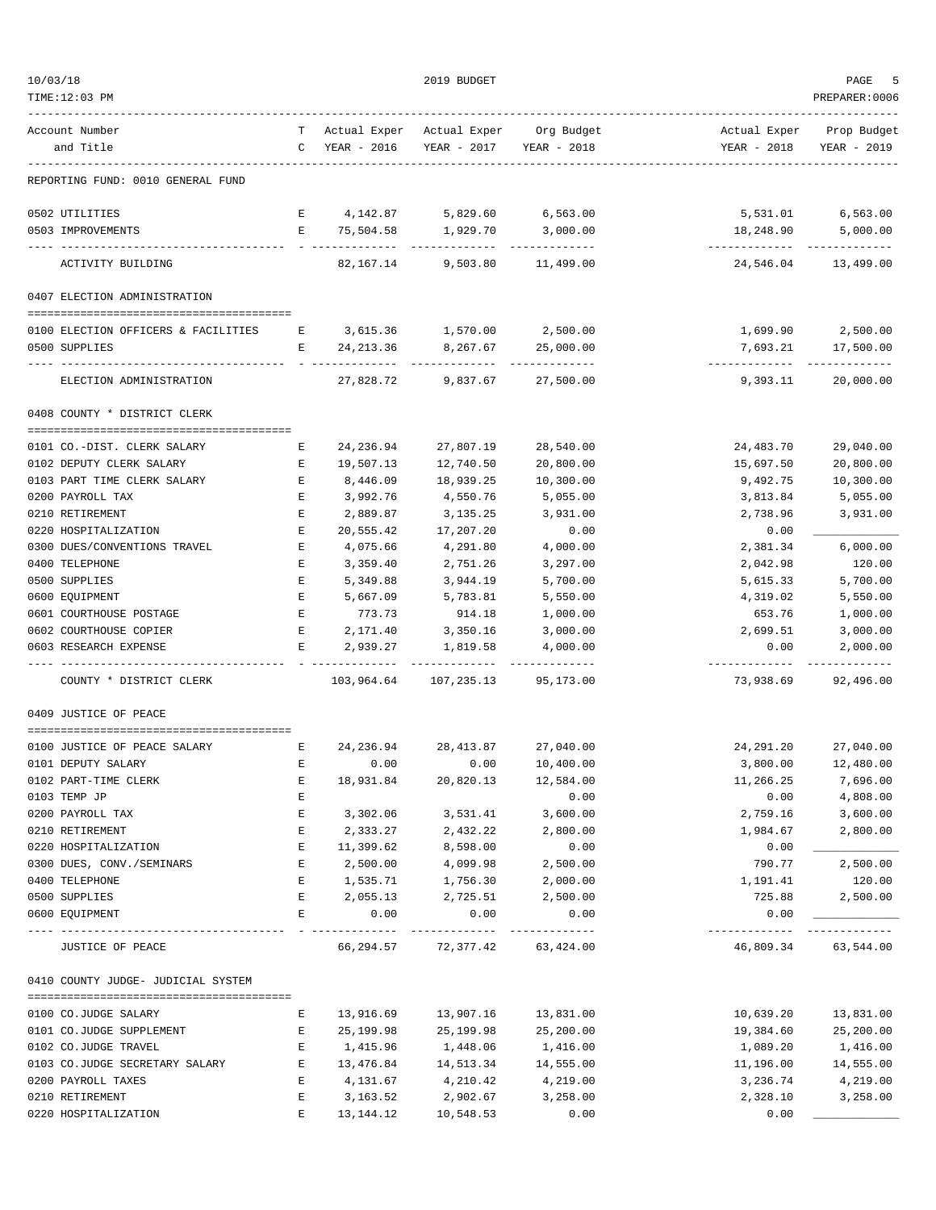| Account Number<br>and Title                                      |                                                                                                                       | T Actual Exper Actual Exper Org Budget<br>C YEAR - 2016 | YEAR - 2017 YEAR - 2018               |                                     | Actual Exper Prop Budget<br>YEAR - 2018 | YEAR - 2019               |
|------------------------------------------------------------------|-----------------------------------------------------------------------------------------------------------------------|---------------------------------------------------------|---------------------------------------|-------------------------------------|-----------------------------------------|---------------------------|
| REPORTING FUND: 0010 GENERAL FUND                                |                                                                                                                       |                                                         |                                       |                                     |                                         |                           |
| 0502 UTILITIES                                                   |                                                                                                                       | E 4, 142.87                                             | 5,829.60                              | 6,563.00                            | 5,531.01                                | 6,563.00                  |
| 0503 IMPROVEMENTS                                                |                                                                                                                       | E 75,504.58                                             | 1,929.70                              | 3,000.00                            | 18,248.90                               | 5,000.00                  |
| ACTIVITY BUILDING                                                |                                                                                                                       | ----------<br>82,167.14                                 | -------------                         | -------------<br>9,503.80 11,499.00 | ------------- -------------             | 24,546.04 13,499.00       |
| 0407 ELECTION ADMINISTRATION                                     |                                                                                                                       |                                                         |                                       |                                     |                                         |                           |
| 0100 ELECTION OFFICERS & FACILITIES E 3,615.36 1,570.00 2,500.00 |                                                                                                                       |                                                         |                                       |                                     |                                         | 1,699.90 2,500.00         |
| 0500 SUPPLIES                                                    |                                                                                                                       | E 24,213.36 8,267.67                                    |                                       | 25,000.00                           |                                         | 7,693.21 17,500.00        |
|                                                                  |                                                                                                                       |                                                         |                                       | -------------                       |                                         | ----------- ------------- |
| ELECTION ADMINISTRATION                                          |                                                                                                                       |                                                         | 27,828.72 9,837.67                    | 27,500.00                           | 9,393.11                                | 20,000.00                 |
| 0408 COUNTY * DISTRICT CLERK                                     |                                                                                                                       |                                                         |                                       |                                     |                                         |                           |
| 0101 CO.-DIST. CLERK SALARY                                      | Е                                                                                                                     | 24,236.94                                               | 27,807.19                             | 28,540.00                           | 24,483.70                               | 29,040.00                 |
| 0102 DEPUTY CLERK SALARY                                         | Е                                                                                                                     | 19,507.13                                               | 12,740.50                             | 20,800.00                           | 15,697.50                               | 20,800.00                 |
| 0103 PART TIME CLERK SALARY                                      | E                                                                                                                     | 8,446.09                                                | 18,939.25                             | 10,300.00                           | 9,492.75                                | 10,300.00                 |
| 0200 PAYROLL TAX                                                 | E                                                                                                                     | 3,992.76                                                | 4,550.76                              | 5,055.00                            | 3,813.84                                | 5,055.00                  |
| 0210 RETIREMENT                                                  | Е                                                                                                                     | 2,889.87                                                | 3,135.25                              | 3,931.00                            | 2,738.96                                | 3,931.00                  |
| 0220 HOSPITALIZATION                                             | Е                                                                                                                     | 20,555.42                                               | 17,207.20                             | 0.00                                | 0.00                                    |                           |
| 0300 DUES/CONVENTIONS TRAVEL                                     | Е                                                                                                                     | 4,075.66                                                | 4,291.80                              | 4,000.00                            | 2,381.34                                | 6,000.00                  |
| 0400 TELEPHONE<br>0500 SUPPLIES                                  | Е<br>Е                                                                                                                | 3,359.40<br>5,349.88                                    | 2,751.26<br>3,944.19                  | 3,297.00<br>5,700.00                | 2,042.98<br>5,615.33                    | 120.00<br>5,700.00        |
| 0600 EQUIPMENT                                                   | Е                                                                                                                     | 5,667.09                                                | 5,783.81                              | 5,550.00                            | 4,319.02                                | 5,550.00                  |
| 0601 COURTHOUSE POSTAGE                                          | E                                                                                                                     | 773.73                                                  | 914.18                                | 1,000.00                            | 653.76                                  | 1,000.00                  |
| 0602 COURTHOUSE COPIER                                           | E                                                                                                                     | 2,171.40                                                | 3,350.16                              | 3,000.00                            | 2,699.51                                | 3,000.00                  |
| 0603 RESEARCH EXPENSE                                            | Е                                                                                                                     | 2,939.27                                                | 1,819.58                              | 4,000.00                            | 0.00                                    | 2,000.00                  |
| COUNTY * DISTRICT CLERK                                          |                                                                                                                       |                                                         | 103,964.64 107,235.13                 | 95,173.00                           | . <u>.</u> .<br>73,938.69               | 92,496.00                 |
| 0409 JUSTICE OF PEACE                                            |                                                                                                                       |                                                         |                                       |                                     |                                         |                           |
| 0100 JUSTICE OF PEACE SALARY                                     | <b>Expanding Expanding Expanding Expanding Expanding Expanding Expanding Expanding Expanding Expanding Expanding </b> | 24,236.94 28,413.87                                     |                                       | 27,040.00                           | 24,291.20                               | 27,040.00                 |
| 0101 DEPUTY SALARY                                               | E                                                                                                                     | 0.00                                                    | 0.00                                  | 10,400.00                           | 3,800.00                                | 12,480.00                 |
| 0102 PART-TIME CLERK                                             | Е                                                                                                                     | 18,931.84                                               | 20,820.13                             | 12,584.00                           | 11,266.25                               | 7,696.00                  |
| 0103 TEMP JP                                                     | Е                                                                                                                     |                                                         |                                       | 0.00                                | 0.00                                    | 4,808.00                  |
| 0200 PAYROLL TAX                                                 | Ε                                                                                                                     | 3,302.06                                                | 3,531.41                              | 3,600.00                            | 2,759.16                                | 3,600.00                  |
| 0210 RETIREMENT                                                  | Ε                                                                                                                     | 2,333.27                                                | 2,432.22                              | 2,800.00                            | 1,984.67                                | 2,800.00                  |
| 0220 HOSPITALIZATION                                             | E                                                                                                                     | 11,399.62                                               | 8,598.00                              | 0.00                                | 0.00                                    |                           |
| 0300 DUES, CONV./SEMINARS<br>0400 TELEPHONE                      | Е<br>Е                                                                                                                | 2,500.00<br>1,535.71                                    | 4,099.98<br>1,756.30                  | 2,500.00<br>2,000.00                | 790.77<br>1,191.41                      | 2,500.00<br>120.00        |
| 0500 SUPPLIES                                                    | $\mathbf{E}$                                                                                                          | 2,055.13                                                | 2,725.51                              | 2,500.00                            | 725.88                                  | 2,500.00                  |
| 0600 EQUIPMENT                                                   | E                                                                                                                     | 0.00                                                    | 0.00                                  | 0.00                                | 0.00                                    |                           |
| JUSTICE OF PEACE                                                 |                                                                                                                       |                                                         | .<br>66, 294.57 72, 377.42 63, 424.00 | ----------                          | ----------                              | 46,809.34 63,544.00       |
| 0410 COUNTY JUDGE- JUDICIAL SYSTEM                               |                                                                                                                       |                                                         |                                       |                                     |                                         |                           |
|                                                                  |                                                                                                                       |                                                         |                                       |                                     |                                         |                           |
| 0100 CO.JUDGE SALARY                                             | Е                                                                                                                     | 13,916.69                                               | 13,907.16                             | 13,831.00                           | 10,639.20                               | 13,831.00                 |
| 0101 CO.JUDGE SUPPLEMENT<br>0102 CO.JUDGE TRAVEL                 | Е<br>E                                                                                                                | 25,199.98<br>1,415.96                                   | 25,199.98<br>1,448.06                 | 25,200.00<br>1,416.00               | 19,384.60<br>1,089.20                   | 25,200.00<br>1,416.00     |
| 0103 CO.JUDGE SECRETARY SALARY                                   | E                                                                                                                     | 13,476.84                                               | 14,513.34                             | 14,555.00                           | 11,196.00                               | 14,555.00                 |
| 0200 PAYROLL TAXES                                               | Е                                                                                                                     | 4,131.67                                                | 4,210.42                              | 4,219.00                            | 3,236.74                                | 4,219.00                  |
| 0210 RETIREMENT                                                  | Е                                                                                                                     | 3, 163.52                                               | 2,902.67                              | 3,258.00                            | 2,328.10                                | 3,258.00                  |
| 0220 HOSPITALIZATION                                             | Ε                                                                                                                     | 13,144.12                                               | 10,548.53                             | 0.00                                | 0.00                                    |                           |

 $10/03/18$  PAGE 5 TIME:12:03 PM PREPARER:0006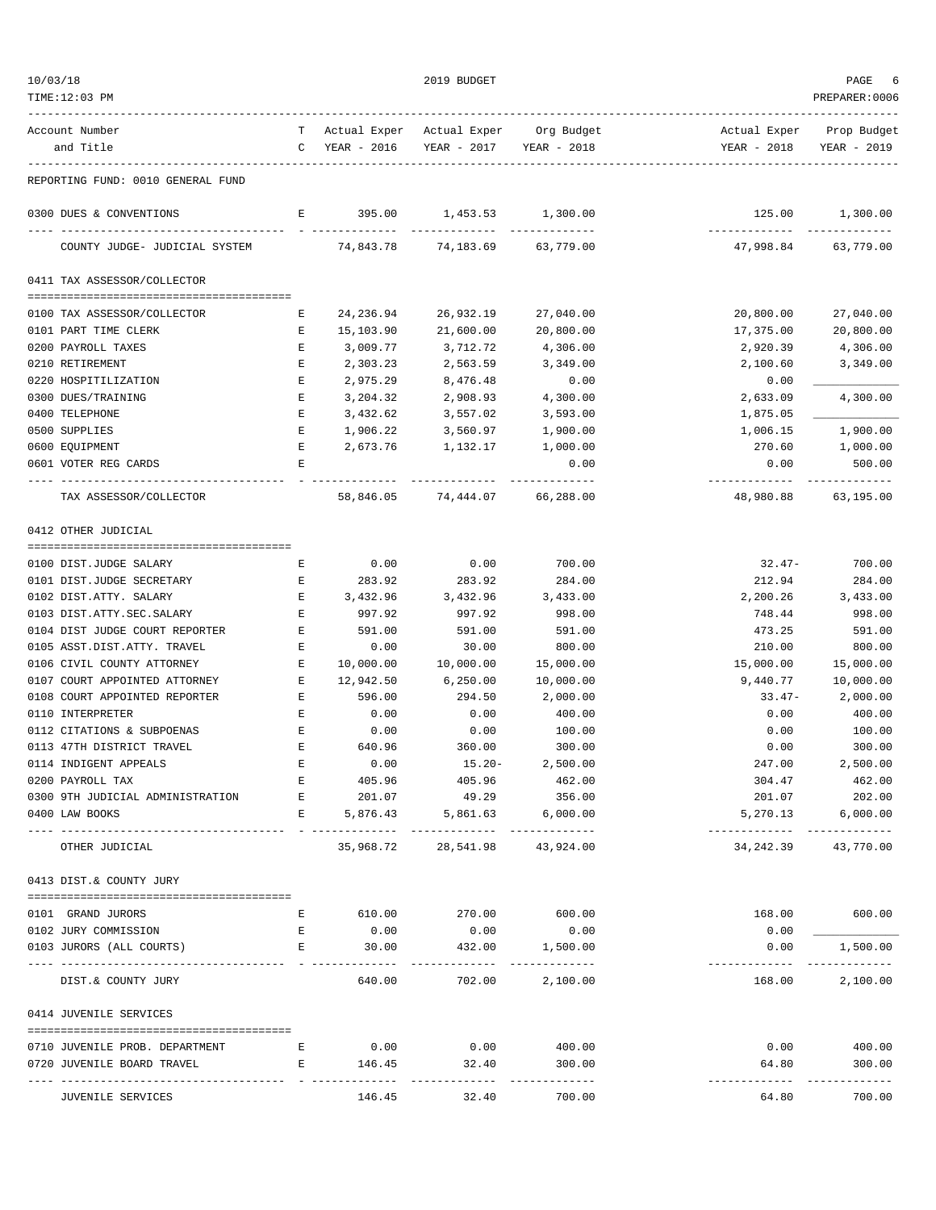| TIME:12:03 PM                                                  |                    |                    |                               |                                        |                                          | PREPARER: 0006                         |
|----------------------------------------------------------------|--------------------|--------------------|-------------------------------|----------------------------------------|------------------------------------------|----------------------------------------|
| Account Number                                                 |                    |                    |                               | T Actual Exper Actual Exper Org Budget |                                          | Actual Exper Prop Budget               |
| and Title                                                      |                    | C YEAR - 2016      | YEAR - 2017 YEAR - 2018       |                                        | YEAR - 2018                              | YEAR - 2019                            |
| REPORTING FUND: 0010 GENERAL FUND                              |                    |                    |                               |                                        |                                          |                                        |
| 0300 DUES & CONVENTIONS                                        |                    | E 395.00           | 1,453.53 1,300.00             |                                        |                                          | 125.00 1,300.00                        |
| COUNTY JUDGE- JUDICIAL SYSTEM 74,843.78 74,183.69 63,779.00    |                    |                    |                               |                                        | ------------- -------------<br>47,998.84 | 63,779.00                              |
| 0411 TAX ASSESSOR/COLLECTOR                                    |                    |                    |                               |                                        |                                          |                                        |
|                                                                | Е                  | 24,236.94          | 26,932.19                     |                                        | 20,800.00                                |                                        |
| 0100 TAX ASSESSOR/COLLECTOR<br>0101 PART TIME CLERK            | Е                  | 15,103.90          | 21,600.00                     | 27,040.00<br>20,800.00                 | 17,375.00                                | 27,040.00<br>20,800.00                 |
| 0200 PAYROLL TAXES                                             | $\mathbf{E}% _{0}$ | 3,009.77           | 3,712.72                      | 4,306.00                               | 2,920.39                                 | 4,306.00                               |
| 0210 RETIREMENT                                                | Е                  | 2,303.23           | 2,563.59                      | 3,349.00                               | 2,100.60                                 | 3,349.00                               |
| 0220 HOSPITILIZATION                                           | Е                  | 2,975.29           | 8,476.48                      | 0.00                                   | 0.00                                     |                                        |
| 0300 DUES/TRAINING                                             | Е                  | 3,204.32           | 2,908.93                      | 4,300.00                               | 2,633.09                                 | 4,300.00                               |
| 0400 TELEPHONE                                                 | Е                  | 3,432.62           | 3,557.02                      | 3,593.00                               | 1,875.05                                 |                                        |
| 0500 SUPPLIES                                                  | $\mathbf E$        | 1,906.22           | 3,560.97                      | 1,900.00                               | 1,006.15                                 | 1,900.00                               |
| 0600 EQUIPMENT                                                 | Е                  | 2,673.76           | 1,132.17                      | 1,000.00                               | 270.60                                   | 1,000.00                               |
| 0601 VOTER REG CARDS                                           | Е                  |                    | -------------                 | 0.00                                   | 0.00                                     | 500.00                                 |
| TAX ASSESSOR/COLLECTOR                                         |                    |                    | 58,846.05 74,444.07           | -------------<br>66,288.00             | -------------<br>48,980.88               | 63,195.00                              |
| 0412 OTHER JUDICIAL                                            |                    |                    |                               |                                        |                                          |                                        |
|                                                                |                    |                    |                               |                                        |                                          |                                        |
| 0100 DIST.JUDGE SALARY                                         | Е                  | 0.00               | 0.00                          | 700.00                                 |                                          | $32.47 - 700.00$                       |
| 0101 DIST.JUDGE SECRETARY<br>0102 DIST.ATTY. SALARY            | Е<br>Е             | 283.92<br>3,432.96 | 283.92<br>3,432.96            | 284.00<br>3,433.00                     | 212.94                                   | 284.00<br>2, 200.26 3, 433.00          |
| 0103 DIST.ATTY.SEC.SALARY                                      | E                  | 997.92             | 997.92                        | 998.00                                 | 748.44                                   | 998.00                                 |
| 0104 DIST JUDGE COURT REPORTER                                 | E                  | 591.00             | 591.00                        | 591.00                                 | 473.25                                   | 591.00                                 |
| 0105 ASST.DIST.ATTY. TRAVEL                                    | E                  | 0.00               | 30.00                         | 800.00                                 | 210.00                                   | 800.00                                 |
| 0106 CIVIL COUNTY ATTORNEY                                     | E                  | 10,000.00          | 10,000.00                     | 15,000.00                              | 15,000.00                                | 15,000.00                              |
| 0107 COURT APPOINTED ATTORNEY                                  | E                  | 12,942.50          | 6,250.00                      | 10,000.00                              | 9,440.77                                 | 10,000.00                              |
| 0108 COURT APPOINTED REPORTER                                  | E                  | 596.00             | 294.50                        | 2,000.00                               | 33.47-                                   | 2,000.00                               |
| 0110 INTERPRETER                                               | $\mathbf{E}% _{0}$ | 0.00               | 0.00                          | 400.00                                 | 0.00                                     | 400.00                                 |
| 0112 CITATIONS & SUBPOENAS                                     | $\mathbf{E}$       | 0.00               | 0.00                          | 100.00                                 | 0.00                                     | 100.00                                 |
| 0113 47TH DISTRICT TRAVEL                                      | E                  | 640.96             | 360.00                        | 300.00                                 | 0.00                                     | 300.00                                 |
| 0114 INDIGENT APPEALS                                          | $\mathbf E$        | 0.00               | $15.20 -$                     | 2,500.00                               | 247.00                                   | 2,500.00                               |
| 0200 PAYROLL TAX                                               | Е                  | 405.96             | 405.96                        | 462.00                                 | 304.47                                   | 462.00                                 |
| 0300 9TH JUDICIAL ADMINISTRATION                               | $\mathbf{E}$       | 201.07             | 49.29                         | 356.00                                 | 201.07                                   | 202.00                                 |
| 0400 LAW BOOKS                                                 | E                  | 5,876.43           | 5,861.63                      | 6,000.00                               | 5,270.13                                 | 6,000.00<br>------------ ------------- |
| OTHER JUDICIAL                                                 |                    |                    | 35,968.72 28,541.98 43,924.00 |                                        | 34,242.39                                | 43,770.00                              |
| 0413 DIST.& COUNTY JURY                                        |                    |                    |                               |                                        |                                          |                                        |
| 0101 GRAND JURORS                                              | Е                  |                    | 610.00 270.00                 | 600.00                                 | 168.00                                   | 600.00                                 |
| 0102 JURY COMMISSION                                           | Е                  | 0.00               | 0.00                          | 0.00                                   | 0.00                                     |                                        |
| 0103 JURORS (ALL COURTS)                                       | Е                  | 30.00              | 432.00                        | 1,500.00                               | 0.00                                     | 1,500.00                               |
| --- ----------------<br>----------------<br>DIST.& COUNTY JURY |                    | 640.00             | 702.00                        | _____________<br>2,100.00              | 168.00                                   | ------------<br>2,100.00               |
| 0414 JUVENILE SERVICES                                         |                    |                    |                               |                                        |                                          |                                        |
| 0710 JUVENILE PROB. DEPARTMENT                                 | E                  | 0.00               | 0.00                          | 400.00                                 | 0.00                                     | 400.00                                 |
| 0720 JUVENILE BOARD TRAVEL                                     | Е                  | 146.45             | 32.40                         | 300.00                                 | 64.80                                    | 300.00                                 |
|                                                                |                    |                    |                               |                                        | ------------- -------------              |                                        |

JUVENILE SERVICES 146.45 32.40 700.00 64.80 700.00

 $10/03/18$  PAGE 6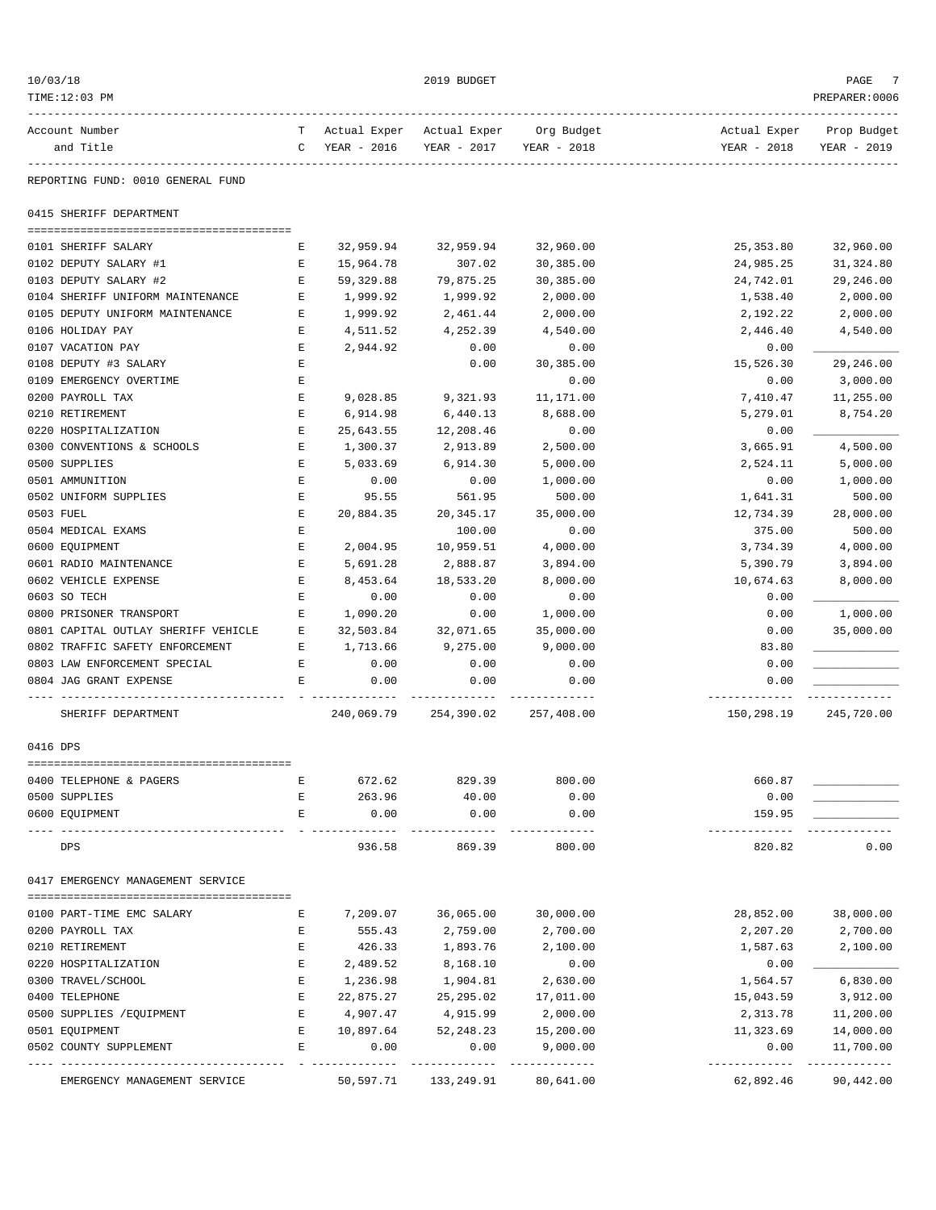| 10/03/18           |                                                        |                   |                        | 2019 BUDGET                            |                        |                        | PAGE                     |
|--------------------|--------------------------------------------------------|-------------------|------------------------|----------------------------------------|------------------------|------------------------|--------------------------|
| TIME:12:03 PM      |                                                        |                   |                        |                                        |                        |                        | PREPARER: 0006           |
| Account Number     |                                                        |                   |                        | T Actual Exper Actual Exper Org Budget |                        |                        | Actual Exper Prop Budget |
| and Title          |                                                        |                   | C YEAR - 2016          | YEAR - 2017                            | YEAR - 2018            | YEAR - 2018            | YEAR - 2019              |
| --------------     | REPORTING FUND: 0010 GENERAL FUND                      |                   |                        |                                        |                        |                        |                          |
|                    | 0415 SHERIFF DEPARTMENT                                |                   |                        |                                        |                        |                        |                          |
|                    |                                                        |                   |                        |                                        |                        |                        |                          |
|                    | 0101 SHERIFF SALARY<br>0102 DEPUTY SALARY #1           | Е<br>E            | 32,959.94<br>15,964.78 | 32,959.94<br>307.02                    | 32,960.00<br>30,385.00 | 25,353.80<br>24,985.25 | 32,960.00<br>31,324.80   |
|                    | 0103 DEPUTY SALARY #2                                  | E                 | 59, 329.88             | 79,875.25                              | 30,385.00              | 24,742.01              | 29,246.00                |
|                    | 0104 SHERIFF UNIFORM MAINTENANCE                       | Е                 | 1,999.92               | 1,999.92                               | 2,000.00               | 1,538.40               | 2,000.00                 |
|                    | 0105 DEPUTY UNIFORM MAINTENANCE                        | $\mathbf E$       | 1,999.92               | 2,461.44                               | 2,000.00               | 2,192.22               | 2,000.00                 |
| 0106 HOLIDAY PAY   |                                                        | Е                 | 4,511.52               | 4,252.39                               | 4,540.00               | 2,446.40               | 4,540.00                 |
| 0107 VACATION PAY  |                                                        | Е                 | 2,944.92               | 0.00                                   | 0.00                   | 0.00                   |                          |
|                    | 0108 DEPUTY #3 SALARY                                  | Е                 |                        | 0.00                                   | 30,385.00              | 15,526.30              | 29,246.00                |
|                    | 0109 EMERGENCY OVERTIME                                | Е                 |                        |                                        | 0.00                   | 0.00                   | 3,000.00                 |
| 0200 PAYROLL TAX   |                                                        | $\mathbf E$       | 9,028.85               | 9,321.93                               | 11,171.00              | 7,410.47               | 11,255.00                |
| 0210 RETIREMENT    |                                                        | $\mathbf E$       | 6,914.98               | 6,440.13                               | 8,688.00               | 5,279.01               | 8,754.20                 |
|                    | 0220 HOSPITALIZATION                                   | Е                 | 25,643.55              | 12,208.46                              | 0.00                   | 0.00                   |                          |
|                    | 0300 CONVENTIONS & SCHOOLS                             | E                 | 1,300.37               | 2,913.89                               | 2,500.00               | 3,665.91               | 4,500.00                 |
| 0500 SUPPLIES      |                                                        | Е                 | 5,033.69               | 6,914.30                               | 5,000.00               | 2,524.11               | 5,000.00                 |
| 0501 AMMUNITION    |                                                        | $\mathbf E$       | 0.00                   | 0.00                                   | 1,000.00               | 0.00                   | 1,000.00                 |
|                    | 0502 UNIFORM SUPPLIES                                  | $\mathbf E$       | 95.55                  | 561.95                                 | 500.00                 | 1,641.31               | 500.00                   |
| 0503 FUEL          |                                                        | Е                 | 20,884.35              | 20,345.17                              | 35,000.00              | 12,734.39              | 28,000.00                |
| 0504 MEDICAL EXAMS |                                                        | Е                 |                        | 100.00                                 | 0.00                   | 375.00                 | 500.00                   |
| 0600 EQUIPMENT     |                                                        | $\mathbf E$       | 2,004.95               | 10,959.51                              | 4,000.00               | 3,734.39               | 4,000.00                 |
|                    | 0601 RADIO MAINTENANCE                                 | Е                 | 5,691.28               | 2,888.87                               | 3,894.00               | 5,390.79               | 3,894.00                 |
|                    | 0602 VEHICLE EXPENSE                                   | $\mathbf E$       | 8,453.64               | 18,533.20                              | 8,000.00               | 10,674.63              | 8,000.00                 |
| 0603 SO TECH       |                                                        | $\mathbf E$       | 0.00                   | 0.00                                   | 0.00                   | 0.00                   |                          |
|                    | 0800 PRISONER TRANSPORT                                | Е                 | 1,090.20               | 0.00                                   | 1,000.00               | 0.00                   | 1,000.00                 |
|                    | 0801 CAPITAL OUTLAY SHERIFF VEHICLE                    | E                 | 32,503.84              | 32,071.65                              | 35,000.00              | 0.00                   | 35,000.00                |
|                    | 0802 TRAFFIC SAFETY ENFORCEMENT                        | E                 | 1,713.66               | 9,275.00                               | 9,000.00               | 83.80                  |                          |
|                    | 0803 LAW ENFORCEMENT SPECIAL<br>0804 JAG GRANT EXPENSE | $\mathbf{E}$<br>Е | 0.00<br>0.00           | 0.00<br>0.00                           | 0.00<br>0.00           | 0.00<br>0.00           |                          |
|                    |                                                        |                   |                        |                                        |                        |                        |                          |
|                    | SHERIFF DEPARTMENT                                     |                   |                        | 240,069.79 254,390.02 257,408.00       |                        | 150,298.19             | 245,720.00               |
| 0416 DPS           |                                                        |                   |                        |                                        |                        |                        |                          |
|                    | 0400 TELEPHONE & PAGERS                                | Ε                 | 672.62                 | 829.39                                 | 800.00                 | 660.87                 |                          |
| 0500 SUPPLIES      |                                                        | E                 | 263.96                 | 40.00                                  | 0.00                   | 0.00                   |                          |
| 0600 EQUIPMENT     |                                                        | E                 | 0.00                   | 0.00                                   | 0.00                   | 159.95                 |                          |
| DPS                |                                                        |                   | 936.58                 | 869.39                                 | 800.00                 | 820.82                 | 0.00                     |
|                    | 0417 EMERGENCY MANAGEMENT SERVICE                      |                   |                        |                                        |                        |                        |                          |
|                    | 0100 PART-TIME EMC SALARY                              | Е                 | 7,209.07               | 36,065.00                              | 30,000.00              | 28,852.00              | 38,000.00                |
| 0200 PAYROLL TAX   |                                                        | Ε                 | 555.43                 | 2,759.00                               | 2,700.00               | 2,207.20               | 2,700.00                 |
| 0210 RETIREMENT    |                                                        | E                 | 426.33                 | 1,893.76                               | 2,100.00               | 1,587.63               | 2,100.00                 |
|                    | 0220 HOSPITALIZATION                                   | E                 | 2,489.52               | 8,168.10                               | 0.00                   | 0.00                   |                          |
| 0300 TRAVEL/SCHOOL |                                                        | Ε                 | 1,236.98               | 1,904.81                               | 2,630.00               | 1,564.57               | 6,830.00                 |
| 0400 TELEPHONE     |                                                        | Е                 | 22,875.27              | 25,295.02                              | 17,011.00              | 15,043.59              | 3,912.00                 |
|                    | 0500 SUPPLIES / EQUIPMENT                              | Е                 | 4,907.47               | 4,915.99                               | 2,000.00               | 2,313.78               | 11,200.00                |
| 0501 EQUIPMENT     |                                                        | E                 | 10,897.64              | 52, 248.23                             | 15,200.00              | 11,323.69              | 14,000.00                |
|                    | 0502 COUNTY SUPPLEMENT                                 | E                 | 0.00                   | 0.00                                   | 9,000.00               | 0.00                   | 11,700.00                |
|                    | EMERGENCY MANAGEMENT SERVICE                           |                   | 50,597.71              | 133,249.91                             | 80,641.00              | 62,892.46              | 90,442.00                |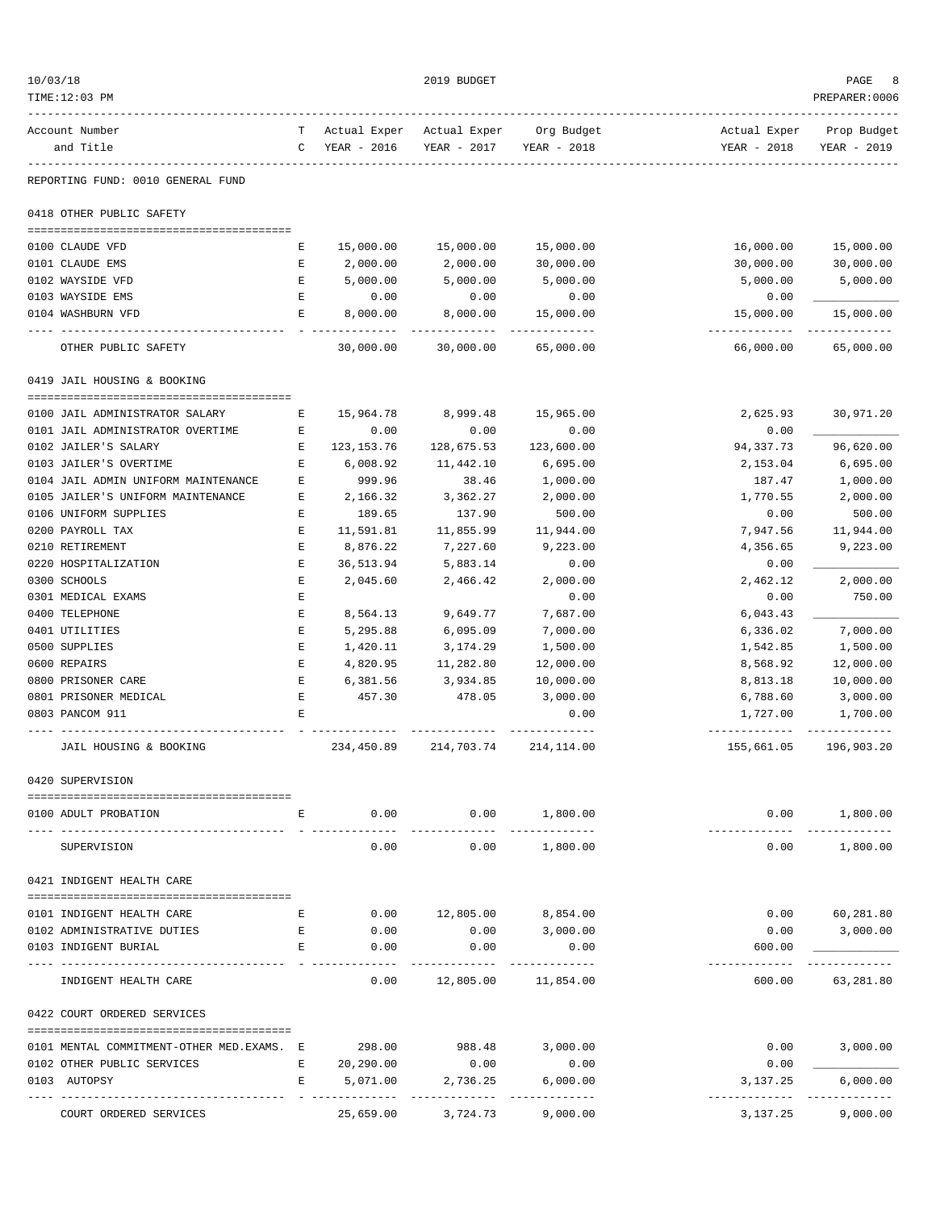| 10/03/18 |                                                  |              |                                              | 2019 BUDGET             |                                  |                                           | PAGE                       |
|----------|--------------------------------------------------|--------------|----------------------------------------------|-------------------------|----------------------------------|-------------------------------------------|----------------------------|
|          | TIME:12:03 PM                                    |              |                                              |                         |                                  |                                           | PREPARER: 0006             |
|          | Account Number<br>and Title                      |              | T Actual Exper Actual Exper<br>C YEAR - 2016 | YEAR - 2017             | Org Budget<br>YEAR - 2018        | Actual Exper<br>YEAR - 2018               | Prop Budget<br>YEAR - 2019 |
|          | -----------<br>REPORTING FUND: 0010 GENERAL FUND |              |                                              |                         |                                  |                                           |                            |
|          | 0418 OTHER PUBLIC SAFETY                         |              |                                              |                         |                                  |                                           |                            |
|          | 0100 CLAUDE VFD                                  | Е            | 15,000.00                                    | 15,000.00               | 15,000.00                        | 16,000.00                                 | 15,000.00                  |
|          | 0101 CLAUDE EMS                                  | Е            | 2,000.00                                     | 2,000.00                | 30,000.00                        | 30,000.00                                 | 30,000.00                  |
|          | 0102 WAYSIDE VFD                                 | Е            | 5,000.00                                     | 5,000.00                | 5,000.00                         | 5,000.00                                  | 5,000.00                   |
|          | 0103 WAYSIDE EMS                                 | $\mathbf{E}$ | 0.00                                         | 0.00                    | 0.00                             | 0.00                                      |                            |
|          | 0104 WASHBURN VFD                                | E            | 8,000.00                                     | 8,000.00<br>----------- | 15,000.00<br>-------------       | 15,000.00<br>-------------                | 15,000.00                  |
|          | OTHER PUBLIC SAFETY                              |              | 30,000.00                                    | 30,000.00               | 65,000.00                        | 66,000.00                                 | 65,000.00                  |
|          | 0419 JAIL HOUSING & BOOKING                      |              |                                              |                         |                                  |                                           |                            |
|          | 0100 JAIL ADMINISTRATOR SALARY                   | Е            | 15,964.78                                    | 8,999.48                | 15,965.00                        | 2,625.93                                  | 30,971.20                  |
|          | 0101 JAIL ADMINISTRATOR OVERTIME                 | Е            | 0.00                                         | 0.00                    | 0.00                             | 0.00                                      |                            |
|          | 0102 JAILER'S SALARY                             | Е            | 123, 153. 76                                 | 128,675.53              | 123,600.00                       | 94,337.73                                 | 96,620.00                  |
|          | 0103 JAILER'S OVERTIME                           | Е            | 6,008.92                                     | 11,442.10               | 6,695.00                         | 2,153.04                                  | 6,695.00                   |
|          | 0104 JAIL ADMIN UNIFORM MAINTENANCE              | Ε            | 999.96                                       | 38.46                   | 1,000.00                         | 187.47                                    | 1,000.00                   |
|          | 0105 JAILER'S UNIFORM MAINTENANCE                | Ε            | 2,166.32                                     | 3,362.27                | 2,000.00                         | 1,770.55                                  | 2,000.00                   |
|          | 0106 UNIFORM SUPPLIES                            | Е            | 189.65                                       | 137.90                  | 500.00                           | 0.00                                      | 500.00                     |
|          | 0200 PAYROLL TAX                                 | Е            | 11,591.81                                    | 11,855.99               | 11,944.00                        | 7,947.56                                  | 11,944.00                  |
|          | 0210 RETIREMENT                                  | E            | 8,876.22                                     | 7,227.60                | 9,223.00                         | 4,356.65                                  | 9,223.00                   |
|          | 0220 HOSPITALIZATION                             | Е            | 36,513.94                                    | 5,883.14                | 0.00                             | 0.00                                      |                            |
|          | 0300 SCHOOLS                                     | E            | 2,045.60                                     | 2,466.42                | 2,000.00                         | 2,462.12                                  | 2,000.00                   |
|          | 0301 MEDICAL EXAMS                               | E            |                                              |                         | 0.00                             | 0.00                                      | 750.00                     |
|          | 0400 TELEPHONE                                   | Ε            | 8,564.13                                     | 9,649.77                | 7,687.00                         | 6,043.43                                  |                            |
|          | 0401 UTILITIES                                   | E            | 5,295.88                                     | 6,095.09                | 7,000.00                         | 6,336.02                                  | 7,000.00                   |
|          | 0500 SUPPLIES                                    | Е            | 1,420.11                                     | 3,174.29                | 1,500.00                         | 1,542.85                                  | 1,500.00                   |
|          | 0600 REPAIRS                                     | E            | 4,820.95                                     | 11,282.80               | 12,000.00                        | 8,568.92                                  | 12,000.00                  |
|          | 0800 PRISONER CARE                               | E            | 6,381.56                                     | 3,934.85                | 10,000.00                        | 8,813.18                                  | 10,000.00                  |
|          | 0801 PRISONER MEDICAL                            | Е            | 457.30                                       | 478.05                  | 3,000.00                         | 6,788.60                                  | 3,000.00                   |
|          | 0803 PANCOM 911                                  | E            |                                              |                         | 0.00<br>-----------              | 1,727.00<br>----------------------------- | 1,700.00                   |
|          | JAIL HOUSING & BOOKING                           |              |                                              | 234,450.89 214,703.74   | 214, 114.00                      | 155,661.05                                | 196,903.20                 |
|          | 0420 SUPERVISION                                 |              |                                              |                         |                                  |                                           |                            |
|          | 0100 ADULT PROBATION                             | Е            | 0.00                                         |                         | $0.00$ 1,800.00<br>_____________ | 0.00                                      | 1,800.00                   |
|          | SUPERVISION                                      |              | 0.00                                         | 0.00                    | 1,800.00                         | 0.00                                      | 1,800.00                   |
|          | 0421 INDIGENT HEALTH CARE                        |              |                                              |                         |                                  |                                           |                            |
|          | 0101 INDIGENT HEALTH CARE                        | Е            | 0.00                                         | 12,805.00 8,854.00      |                                  | 0.00                                      | 60,281.80                  |
|          | 0102 ADMINISTRATIVE DUTIES                       | Е            | 0.00                                         | 0.00                    | 3,000.00                         | 0.00                                      | 3,000.00                   |
|          | 0103 INDIGENT BURIAL                             | Е            | 0.00                                         | 0.00                    | 0.00                             | 600.00                                    |                            |
|          |                                                  |              |                                              |                         |                                  |                                           | ----------                 |
|          | INDIGENT HEALTH CARE                             |              | 0.00                                         | 12,805.00               | 11,854.00                        | 600.00                                    | 63,281.80                  |
|          | 0422 COURT ORDERED SERVICES                      |              |                                              |                         |                                  |                                           |                            |
|          | 0101 MENTAL COMMITMENT-OTHER MED.EXAMS. E        |              | 298.00                                       | 988.48                  | 3,000.00                         | 0.00                                      | 3,000.00                   |
|          | 0102 OTHER PUBLIC SERVICES                       | E            | 20,290.00                                    | 0.00                    | 0.00                             | 0.00                                      |                            |
|          | 0103 AUTOPSY                                     | Е            | 5,071.00                                     | 2,736.25                | 6,000.00                         | 3,137.25                                  | 6,000.00                   |
|          |                                                  |              |                                              | ---------               | -------------                    |                                           | -------------              |
|          | COURT ORDERED SERVICES                           |              | 25,659.00                                    | 3,724.73                | 9,000.00                         | 3,137.25                                  | 9,000.00                   |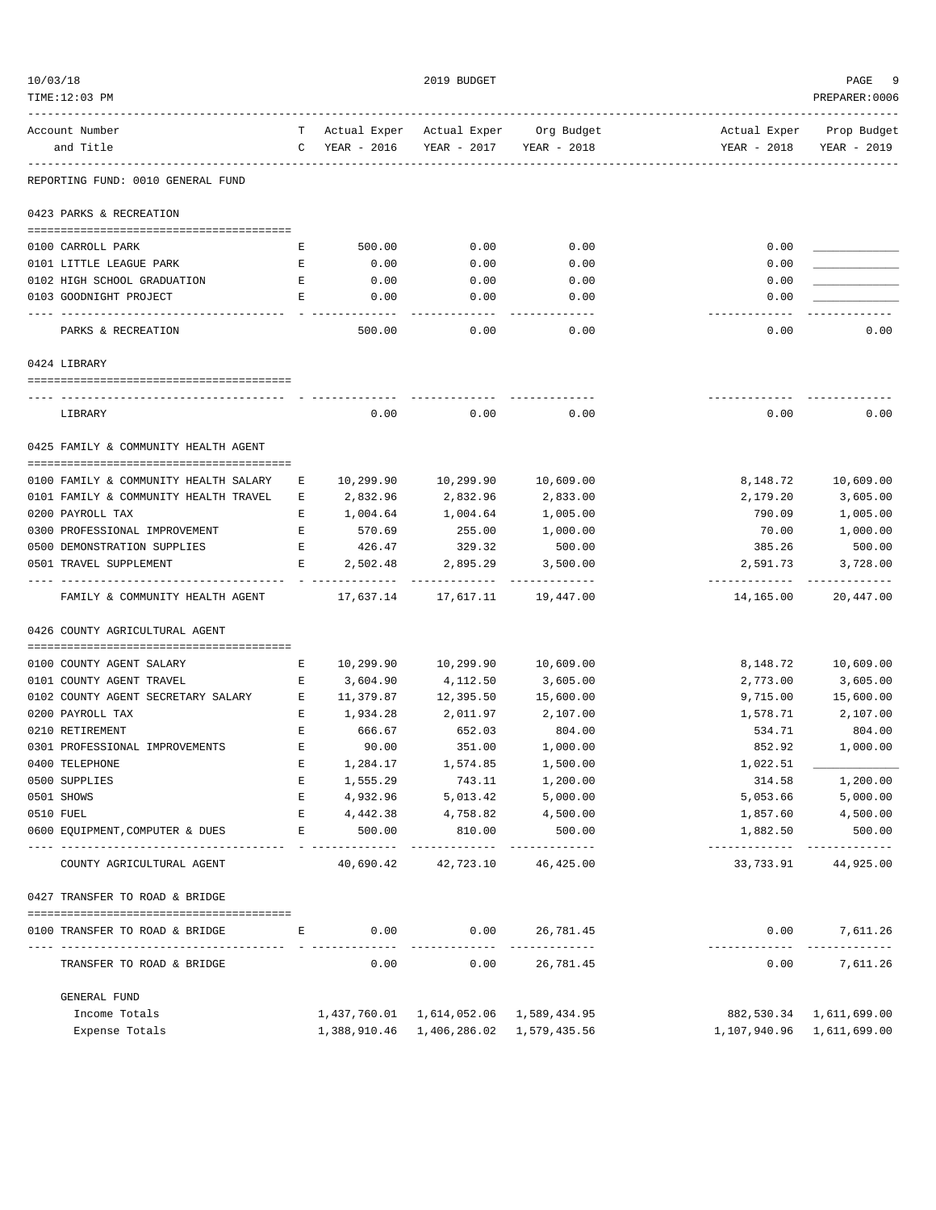| 10/03/18                                                     |               |                   | 2019 BUDGET                                    |                                        |                            | PAGE<br>-9                           |
|--------------------------------------------------------------|---------------|-------------------|------------------------------------------------|----------------------------------------|----------------------------|--------------------------------------|
| TIME:12:03 PM                                                |               |                   |                                                |                                        |                            | PREPARER: 0006                       |
| Account Number                                               |               |                   |                                                | T Actual Exper Actual Exper Org Budget |                            | Actual Exper Prop Budget             |
| and Title                                                    |               | C YEAR - 2016     |                                                | YEAR - 2017 YEAR - 2018                | YEAR - 2018                | YEAR - 2019                          |
| --------------<br>REPORTING FUND: 0010 GENERAL FUND          | $- - - - - -$ |                   |                                                |                                        |                            |                                      |
| 0423 PARKS & RECREATION                                      |               |                   |                                                |                                        |                            |                                      |
|                                                              |               |                   |                                                |                                        |                            |                                      |
| 0100 CARROLL PARK                                            | Е             | 500.00            | 0.00                                           | 0.00                                   | 0.00                       |                                      |
| 0101 LITTLE LEAGUE PARK                                      | Е             | 0.00              | 0.00                                           | 0.00                                   | 0.00                       |                                      |
| 0102 HIGH SCHOOL GRADUATION                                  | Е             | 0.00              | 0.00                                           | 0.00                                   | 0.00                       |                                      |
| 0103 GOODNIGHT PROJECT<br>---------------------------------- | Е             | 0.00              | 0.00<br>-------                                | 0.00<br>$- - - - - - -$                | 0.00<br>.                  |                                      |
| PARKS & RECREATION                                           |               | 500.00            | 0.00                                           | 0.00                                   | 0.00                       | 0.00                                 |
| 0424 LIBRARY                                                 |               |                   |                                                |                                        |                            |                                      |
|                                                              |               |                   |                                                |                                        |                            |                                      |
| LIBRARY                                                      |               | 0.00              | 0.00                                           | 0.00                                   | 0.00                       | 0.00                                 |
|                                                              |               |                   |                                                |                                        |                            |                                      |
| 0425 FAMILY & COMMUNITY HEALTH AGENT                         |               |                   |                                                |                                        |                            |                                      |
| 0100 FAMILY & COMMUNITY HEALTH SALARY                        | Е             | 10,299.90         | 10,299.90                                      | 10,609.00                              | 8,148.72                   | 10,609.00                            |
| 0101 FAMILY & COMMUNITY HEALTH TRAVEL                        | Е             | 2,832.96          | 2,832.96                                       | 2,833.00                               | 2,179.20                   | 3,605.00                             |
| 0200 PAYROLL TAX                                             | Е             | 1,004.64          | 1,004.64                                       | 1,005.00                               | 790.09                     | 1,005.00                             |
| 0300 PROFESSIONAL IMPROVEMENT                                | E             | 570.69            | 255.00                                         | 1,000.00                               | 70.00                      | 1,000.00                             |
| 0500 DEMONSTRATION SUPPLIES                                  | E             | 426.47            | 329.32                                         | 500.00                                 | 385.26                     | 500.00                               |
| 0501 TRAVEL SUPPLEMENT                                       | E             | 2,502.48          | 2,895.29                                       | 3,500.00                               | 2,591.73                   | 3,728.00                             |
| FAMILY & COMMUNITY HEALTH AGENT                              |               | 17,637.14         |                                                | ----------<br>17,617.11 19,447.00      | -------------<br>14,165.00 | 20,447.00                            |
| 0426 COUNTY AGRICULTURAL AGENT                               |               |                   |                                                |                                        |                            |                                      |
|                                                              |               |                   |                                                |                                        |                            |                                      |
| 0100 COUNTY AGENT SALARY                                     | Е             | 10,299.90         | 10,299.90                                      | 10,609.00                              | 8,148.72                   | 10,609.00                            |
| 0101 COUNTY AGENT TRAVEL                                     | Е             | 3,604.90          | 4,112.50                                       | 3,605.00                               | 2,773.00                   | 3,605.00                             |
| 0102 COUNTY AGENT SECRETARY SALARY                           | Е             | 11,379.87         | 12,395.50                                      | 15,600.00                              | 9,715.00                   | 15,600.00                            |
| 0200 PAYROLL TAX                                             | Е             | 1,934.28          | 2,011.97                                       | 2,107.00                               | 1,578.71                   | 2,107.00                             |
| 0210 RETIREMENT                                              | Е             | 666.67            | 652.03                                         | 804.00                                 | 534.71                     | 804.00<br>1,000.00                   |
| 0301 PROFESSIONAL IMPROVEMENTS<br>0400 TELEPHONE             | Е             | 90.00<br>1,284.17 | 351.00<br>1,574.85                             | 1,000.00<br>1,500.00                   | 852.92<br>1,022.51         |                                      |
| 0500 SUPPLIES                                                | Е             | 1,555.29          | 743.11                                         | 1,200.00                               | 314.58                     | 1,200.00                             |
| 0501 SHOWS                                                   | E             | 4,932.96          | 5,013.42                                       | 5,000.00                               | 5,053.66                   | 5,000.00                             |
| 0510 FUEL                                                    | Е             |                   | 4,442.38 4,758.82                              | 4,500.00                               |                            | 1,857.60 4,500.00                    |
| 0600 EQUIPMENT, COMPUTER & DUES                              | Е             | 500.00            | 810.00                                         | 500.00                                 | 1,882.50                   | 500.00                               |
| COUNTY AGRICULTURAL AGENT                                    |               |                   | _____________<br>40,690.42 42,723.10 46,425.00 | -------------                          | -------------              | -------------<br>33,733.91 44,925.00 |
| 0427 TRANSFER TO ROAD & BRIDGE                               |               |                   |                                                |                                        |                            |                                      |
|                                                              |               |                   |                                                |                                        |                            |                                      |
| 0100 TRANSFER TO ROAD & BRIDGE                               | E             | 0.00              | 0.00                                           | 26,781.45<br>-----------               | 0.00<br>-------------      | 7,611.26<br>-------------            |
| TRANSFER TO ROAD & BRIDGE                                    |               | 0.00              | 0.00                                           | 26,781.45                              | 0.00                       | 7,611.26                             |
| GENERAL FUND                                                 |               |                   |                                                |                                        |                            |                                      |
| Income Totals                                                |               |                   | 1,437,760.01  1,614,052.06  1,589,434.95       |                                        |                            | 882,530.34 1,611,699.00              |
| Expense Totals                                               |               |                   | 1,388,910.46  1,406,286.02  1,579,435.56       |                                        | 1,107,940.96 1,611,699.00  |                                      |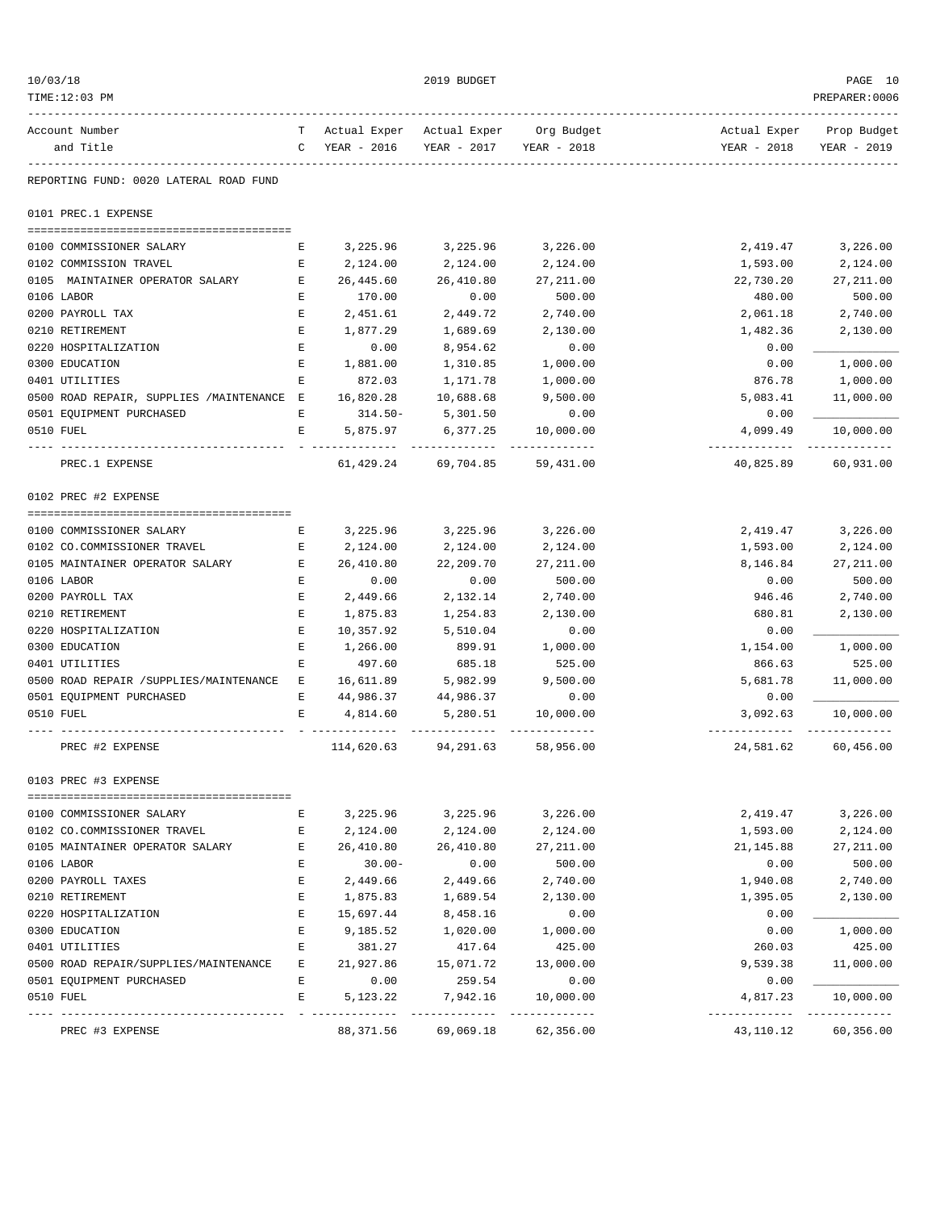| 10/03/18  |                                                 |                                                                                                |                                        | 2019 BUDGET               |                            |                                         | PAGE 10                  |
|-----------|-------------------------------------------------|------------------------------------------------------------------------------------------------|----------------------------------------|---------------------------|----------------------------|-----------------------------------------|--------------------------|
|           | TIME:12:03 PM                                   |                                                                                                |                                        |                           |                            |                                         | PREPARER: 0006           |
|           | Account Number                                  |                                                                                                | T Actual Exper Actual Exper Org Budget |                           |                            |                                         | Actual Exper Prop Budget |
|           | and Title                                       |                                                                                                | C YEAR - 2016                          | YEAR - 2017               | YEAR - 2018                | YEAR - 2018                             | YEAR - 2019              |
|           | REPORTING FUND: 0020 LATERAL ROAD FUND          |                                                                                                |                                        |                           |                            |                                         |                          |
|           | 0101 PREC.1 EXPENSE                             |                                                                                                |                                        |                           |                            |                                         |                          |
|           | 0100 COMMISSIONER SALARY                        | Е                                                                                              |                                        | 3, 225, 96 3, 225, 96     | 3,226.00                   | 2,419.47                                | 3,226.00                 |
|           | 0102 COMMISSION TRAVEL                          | Е                                                                                              | 2,124.00                               | 2,124.00                  | 2,124.00                   | 1,593.00                                | 2,124.00                 |
|           | 0105 MAINTAINER OPERATOR SALARY<br>$\mathbf{E}$ |                                                                                                | 26,445.60                              | 26,410.80                 | 27, 211.00                 | 22,730.20                               | 27, 211.00               |
|           | 0106 LABOR                                      | E                                                                                              | 170.00                                 | 0.00                      | 500.00                     | 480.00                                  | 500.00                   |
|           | 0200 PAYROLL TAX                                | $\mathbf{E}% _{0}$                                                                             | 2,451.61                               | 2,449.72                  | 2,740.00                   | 2,061.18                                | 2,740.00                 |
|           | 0210 RETIREMENT                                 | Е                                                                                              | 1,877.29                               | 1,689.69                  | 2,130.00                   | 1,482.36                                | 2,130.00                 |
|           | 0220 HOSPITALIZATION                            | $\mathbf{E}% _{t}\left  \mathbf{1}\right\rangle =\mathbf{1}_{t}\left  \mathbf{1}\right\rangle$ | 0.00                                   | 8,954.62                  | 0.00                       | 0.00                                    |                          |
|           | 0300 EDUCATION                                  | $\mathbf{E}% _{t}\left  \mathbf{1}\right\rangle =\mathbf{1}_{t}\left  \mathbf{1}\right\rangle$ | 1,881.00                               | 1,310.85                  | 1,000.00                   | 0.00                                    | 1,000.00                 |
|           | 0401 UTILITIES                                  | E                                                                                              | 872.03                                 | 1,171.78                  | 1,000.00                   | 876.78                                  | 1,000.00                 |
|           | 0500 ROAD REPAIR, SUPPLIES /MAINTENANCE E       |                                                                                                | 16,820.28                              | 10,688.68                 | 9,500.00                   | 5,083.41                                | 11,000.00                |
|           | 0501 EQUIPMENT PURCHASED                        | Е                                                                                              | $314.50 -$                             | 5,301.50                  | 0.00                       | 0.00                                    |                          |
| 0510 FUEL |                                                 | E                                                                                              | 5,875.97                               | 6,377.25<br>------------- | 10,000.00                  | 4,099.49                                | 10,000.00                |
|           | PREC.1 EXPENSE                                  |                                                                                                |                                        | 61, 429. 24 69, 704. 85   | 59,431.00                  | 40,825.89                               | 60,931.00                |
|           | 0102 PREC #2 EXPENSE                            |                                                                                                |                                        |                           |                            |                                         |                          |
|           | 0100 COMMISSIONER SALARY                        | E                                                                                              |                                        | 3,225.96 3,225.96         | 3,226.00                   | 2,419.47                                | 3,226.00                 |
|           | 0102 CO.COMMISSIONER TRAVEL                     | E                                                                                              | 2,124.00                               | 2,124.00                  | 2,124.00                   | 1,593.00                                | 2,124.00                 |
|           | 0105 MAINTAINER OPERATOR SALARY                 | E                                                                                              | 26,410.80                              | 22,209.70                 | 27, 211.00                 | 8,146.84                                | 27, 211.00               |
|           | 0106 LABOR                                      | E                                                                                              | 0.00                                   | 0.00                      | 500.00                     | 0.00                                    | 500.00                   |
|           | 0200 PAYROLL TAX                                | $\mathbf{E}% _{t}\left  \mathbf{1}\right\rangle =\mathbf{1}_{t}\left  \mathbf{1}\right\rangle$ | 2,449.66                               | 2,132.14                  | 2,740.00                   | 946.46                                  | 2,740.00                 |
|           | 0210 RETIREMENT                                 | $\mathbf{E}% _{t}\left  \mathbf{1}\right\rangle =\mathbf{1}_{t}\left  \mathbf{1}\right\rangle$ | 1,875.83                               | 1,254.83                  | 2,130.00                   | 680.81                                  | 2,130.00                 |
|           | 0220 HOSPITALIZATION                            | $\mathbf E$                                                                                    | 10,357.92                              | 5,510.04                  | 0.00                       | 0.00                                    |                          |
|           | 0300 EDUCATION                                  | Е                                                                                              | 1,266.00                               | 899.91                    | 1,000.00                   | 1,154.00                                | 1,000.00                 |
|           | 0401 UTILITIES                                  | Е                                                                                              | 497.60                                 | 685.18                    | 525.00                     | 866.63                                  | 525.00                   |
|           | 0500 ROAD REPAIR / SUPPLIES/MAINTENANCE E       |                                                                                                | 16,611.89                              | 5,982.99                  | 9,500.00                   | 5,681.78                                | 11,000.00                |
|           | 0501 EQUIPMENT PURCHASED                        | E                                                                                              | 44,986.37                              | 44,986.37                 | 0.00                       | 0.00                                    |                          |
| 0510 FUEL |                                                 | Е                                                                                              | 4,814.60                               | 5,280.51                  | 10,000.00                  | 3,092.63<br>------------- ------------- | 10,000.00                |
|           | PREC #2 EXPENSE                                 |                                                                                                |                                        | 114,620.63 94,291.63      | 58,956.00                  | 24,581.62                               | 60,456.00                |
|           | 0103 PREC #3 EXPENSE                            |                                                                                                |                                        |                           |                            |                                         |                          |
|           | 0100 COMMISSIONER SALARY                        | Е                                                                                              | 3,225.96                               | 3,225.96                  | 3,226.00                   | 2,419.47                                | 3,226.00                 |
|           | 0102 CO.COMMISSIONER TRAVEL                     | Е                                                                                              | 2,124.00                               | 2,124.00                  | 2,124.00                   | 1,593.00                                | 2,124.00                 |
|           | 0105 MAINTAINER OPERATOR SALARY                 | Е                                                                                              | 26,410.80                              | 26,410.80                 | 27, 211.00                 | 21, 145.88                              | 27, 211.00               |
|           | 0106 LABOR                                      | E                                                                                              | $30.00 -$                              | 0.00                      | 500.00                     | 0.00                                    | 500.00                   |
|           | 0200 PAYROLL TAXES                              | Е                                                                                              | 2,449.66                               | 2,449.66                  | 2,740.00                   | 1,940.08                                | 2,740.00                 |
|           | 0210 RETIREMENT                                 | E                                                                                              | 1,875.83                               | 1,689.54                  | 2,130.00                   | 1,395.05                                | 2,130.00                 |
|           | 0220 HOSPITALIZATION                            | E                                                                                              | 15,697.44                              | 8,458.16                  | 0.00                       | 0.00                                    |                          |
|           | 0300 EDUCATION                                  | Ε                                                                                              | 9,185.52                               | 1,020.00                  | 1,000.00                   | 0.00                                    | 1,000.00                 |
|           | 0401 UTILITIES                                  | Ε                                                                                              | 381.27                                 | 417.64                    | 425.00                     | 260.03                                  | 425.00                   |
|           | 0500 ROAD REPAIR/SUPPLIES/MAINTENANCE           | Е                                                                                              | 21,927.86                              | 15,071.72                 | 13,000.00                  | 9,539.38                                | 11,000.00                |
|           | 0501 EQUIPMENT PURCHASED                        | E                                                                                              | 0.00                                   | 259.54                    | 0.00                       | 0.00                                    |                          |
| 0510 FUEL |                                                 | Е                                                                                              | 5, 123. 22                             | 7,942.16                  | 10,000.00<br>------------- | 4,817.23<br>-------------               | 10,000.00                |
|           | PREC #3 EXPENSE                                 |                                                                                                | 88, 371.56                             | 69,069.18                 | 62,356.00                  | 43,110.12                               | 60,356.00                |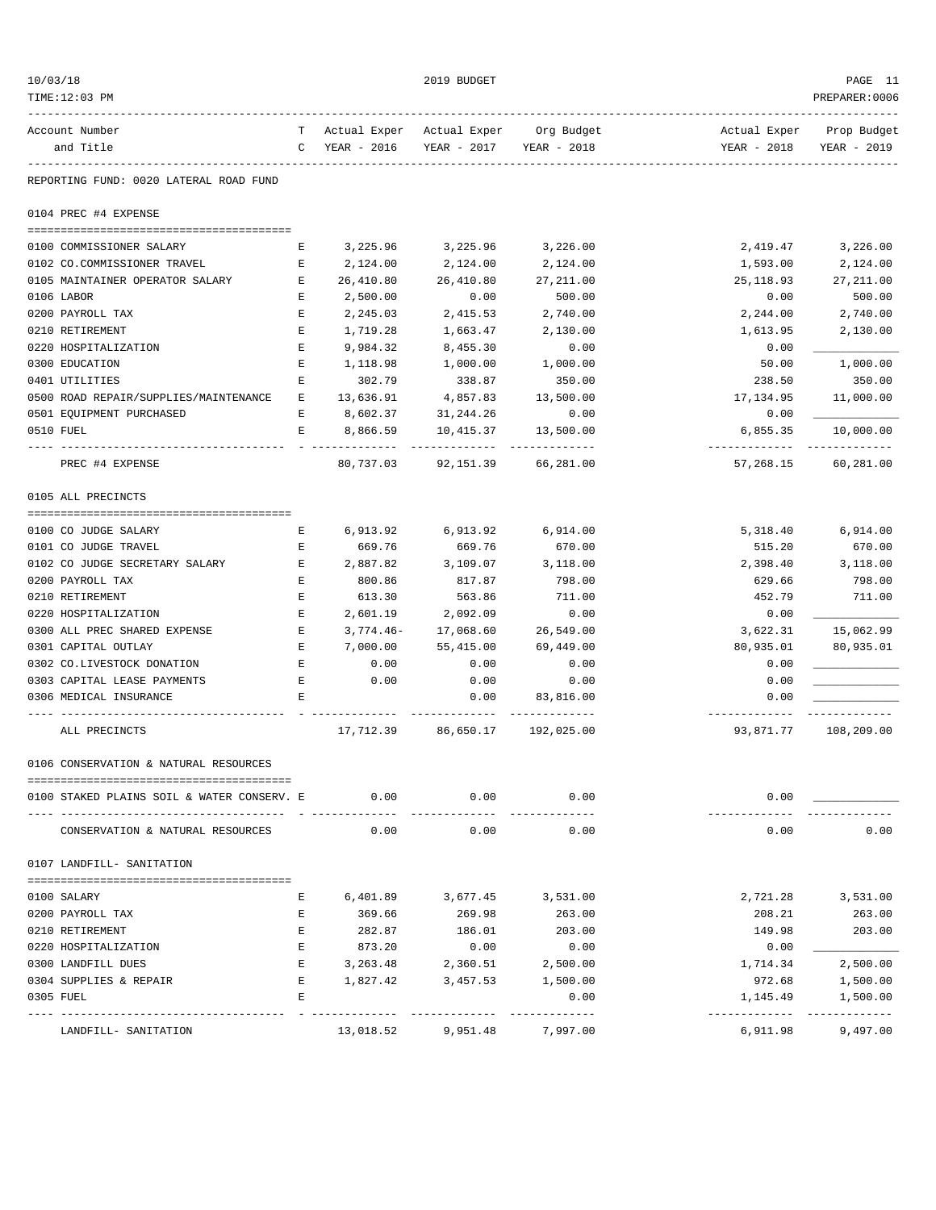| 10/03/18                                                 |                                                                                                |                                                         | 2019 BUDGET                                                    |                             |                            | PAGE 11                                 |
|----------------------------------------------------------|------------------------------------------------------------------------------------------------|---------------------------------------------------------|----------------------------------------------------------------|-----------------------------|----------------------------|-----------------------------------------|
| TIME:12:03 PM                                            |                                                                                                |                                                         |                                                                |                             |                            | PREPARER: 0006                          |
| Account Number<br>and Title                              |                                                                                                | T Actual Exper Actual Exper Org Budget<br>C YEAR - 2016 | YEAR - 2017 YEAR - 2018                                        |                             | YEAR - 2018                | Actual Exper Prop Budget<br>YEAR - 2019 |
| --------------<br>REPORTING FUND: 0020 LATERAL ROAD FUND |                                                                                                | -------------------------------                         |                                                                |                             |                            |                                         |
| 0104 PREC #4 EXPENSE                                     |                                                                                                |                                                         |                                                                |                             |                            |                                         |
| 0100 COMMISSIONER SALARY                                 | Е                                                                                              |                                                         | 3,225.96 3,225.96                                              | 3,226.00                    | 2,419.47                   | 3,226.00                                |
| 0102 CO.COMMISSIONER TRAVEL                              | E                                                                                              | 2,124.00                                                | 2,124.00                                                       | 2,124.00                    | 1,593.00                   | 2,124.00                                |
| 0105 MAINTAINER OPERATOR SALARY E                        |                                                                                                | 26,410.80                                               | 26,410.80                                                      | 27, 211.00                  | 25,118.93                  | 27, 211.00                              |
| 0106 LABOR                                               | E                                                                                              | 2,500.00                                                | 0.00                                                           | 500.00                      | 0.00                       | 500.00                                  |
| 0200 PAYROLL TAX                                         | $\mathbf{E}% _{0}$                                                                             | 2,245.03                                                | 2,415.53                                                       | 2,740.00                    | 2,244.00                   | 2,740.00                                |
| 0210 RETIREMENT                                          | Е                                                                                              | 1,719.28                                                | 1,663.47                                                       | 2,130.00                    | 1,613.95                   | 2,130.00                                |
| 0220 HOSPITALIZATION                                     | $\mathbf{E}% _{t}\left  \mathbf{1}\right\rangle =\mathbf{1}_{t}\left  \mathbf{1}\right\rangle$ | 9,984.32                                                | 8,455.30                                                       | 0.00                        | 0.00                       |                                         |
| 0300 EDUCATION                                           | Ε                                                                                              | 1,118.98                                                | 1,000.00                                                       | 1,000.00                    | 50.00                      | 1,000.00                                |
| 0401 UTILITIES                                           | Е                                                                                              | 302.79                                                  | 338.87                                                         | 350.00                      | 238.50                     | 350.00                                  |
| 0500 ROAD REPAIR/SUPPLIES/MAINTENANCE                    | E                                                                                              | 13,636.91                                               | 4,857.83                                                       | 13,500.00                   | 17,134.95                  | 11,000.00                               |
| 0501 EQUIPMENT PURCHASED                                 | $\mathbf{E}$                                                                                   | 8,602.37                                                | 31,244.26                                                      | 0.00                        | 0.00                       |                                         |
| 0510 FUEL                                                | E                                                                                              | 8,866.59                                                | 10,415.37                                                      | 13,500.00                   | 6,855.35                   | 10,000.00                               |
| PREC #4 EXPENSE                                          |                                                                                                |                                                         | -----------------------------<br>80,737.03 92,151.39 66,281.00 |                             | -----------<br>57,268.15   | 60,281.00                               |
| 0105 ALL PRECINCTS                                       |                                                                                                |                                                         |                                                                |                             |                            |                                         |
|                                                          |                                                                                                |                                                         |                                                                |                             |                            |                                         |
| 0100 CO JUDGE SALARY                                     | Е                                                                                              |                                                         | 6,913.92 6,913.92                                              | 6,914.00                    | 5,318.40                   | 6,914.00                                |
| 0101 CO JUDGE TRAVEL                                     | E                                                                                              | 669.76                                                  | 669.76                                                         | 670.00                      | 515.20                     | 670.00                                  |
| 0102 CO JUDGE SECRETARY SALARY                           | E<br>$\mathbf{E}$                                                                              | 2,887.82                                                | 3,109.07                                                       | 3,118.00<br>798.00          | 2,398.40                   | 3,118.00                                |
| 0200 PAYROLL TAX<br>0210 RETIREMENT                      | $\mathbf{E}% _{t}\left  \mathbf{1}\right\rangle =\mathbf{1}_{t}\left  \mathbf{1}\right\rangle$ | 800.86<br>613.30                                        | 817.87<br>563.86                                               | 711.00                      | 629.66<br>452.79           | 798.00<br>711.00                        |
| 0220 HOSPITALIZATION                                     | E                                                                                              | 2,601.19                                                | 2,092.09                                                       | 0.00                        | 0.00                       |                                         |
| 0300 ALL PREC SHARED EXPENSE                             | E                                                                                              | $3,774.46-$                                             | 17,068.60                                                      | 26,549.00                   | 3,622.31                   | 15,062.99                               |
| 0301 CAPITAL OUTLAY                                      | $\mathbf{E}$                                                                                   | 7,000.00                                                | 55,415.00                                                      | 69,449.00                   | 80,935.01                  | 80,935.01                               |
| 0302 CO.LIVESTOCK DONATION                               | E                                                                                              | 0.00                                                    | 0.00                                                           | 0.00                        | 0.00                       |                                         |
| 0303 CAPITAL LEASE PAYMENTS                              | E                                                                                              | 0.00                                                    | 0.00                                                           | 0.00                        | 0.00                       |                                         |
| 0306 MEDICAL INSURANCE                                   | Е                                                                                              |                                                         | 0.00                                                           | 83,816.00                   | 0.00                       |                                         |
| ALL PRECINCTS                                            |                                                                                                |                                                         | ------------<br>17,712.39 86,650.17                            | _____________<br>192,025.00 | -------------<br>93,871.77 | ____________<br>108,209.00              |
| 0106 CONSERVATION & NATURAL RESOURCES                    |                                                                                                |                                                         |                                                                |                             |                            |                                         |
|                                                          |                                                                                                |                                                         |                                                                |                             |                            |                                         |
| 0100 STAKED PLAINS SOIL & WATER CONSERV. E               |                                                                                                | 0.00<br>_ ____________                                  | 0.00                                                           | 0.00<br>---------           | 0.00                       |                                         |
| CONSERVATION & NATURAL RESOURCES                         |                                                                                                | 0.00                                                    | 0.00                                                           | 0.00                        | 0.00                       | 0.00                                    |
| 0107 LANDFILL- SANITATION                                |                                                                                                |                                                         |                                                                |                             |                            |                                         |
| 0100 SALARY                                              | Ε                                                                                              | 6,401.89                                                | 3,677.45                                                       | 3,531.00                    | 2,721.28                   | 3,531.00                                |
| 0200 PAYROLL TAX                                         | Ε                                                                                              | 369.66                                                  | 269.98                                                         | 263.00                      | 208.21                     | 263.00                                  |
| 0210 RETIREMENT                                          | Е                                                                                              | 282.87                                                  | 186.01                                                         | 203.00                      | 149.98                     | 203.00                                  |
| 0220 HOSPITALIZATION                                     | Е                                                                                              | 873.20                                                  | 0.00                                                           | 0.00                        | 0.00                       |                                         |
| 0300 LANDFILL DUES                                       | E                                                                                              | 3,263.48                                                | 2,360.51                                                       | 2,500.00                    | 1,714.34                   | 2,500.00                                |
| 0304 SUPPLIES & REPAIR                                   | Е                                                                                              | 1,827.42                                                | 3,457.53                                                       | 1,500.00                    | 972.68                     | 1,500.00                                |
| 0305 FUEL                                                | F.                                                                                             |                                                         |                                                                | 0.00                        | 1,145.49                   | 1,500.00                                |
| LANDFILL- SANITATION                                     |                                                                                                | 13,018.52                                               | 9,951.48                                                       | ------------<br>7,997.00    | -------------<br>6,911.98  | -------------<br>9,497.00               |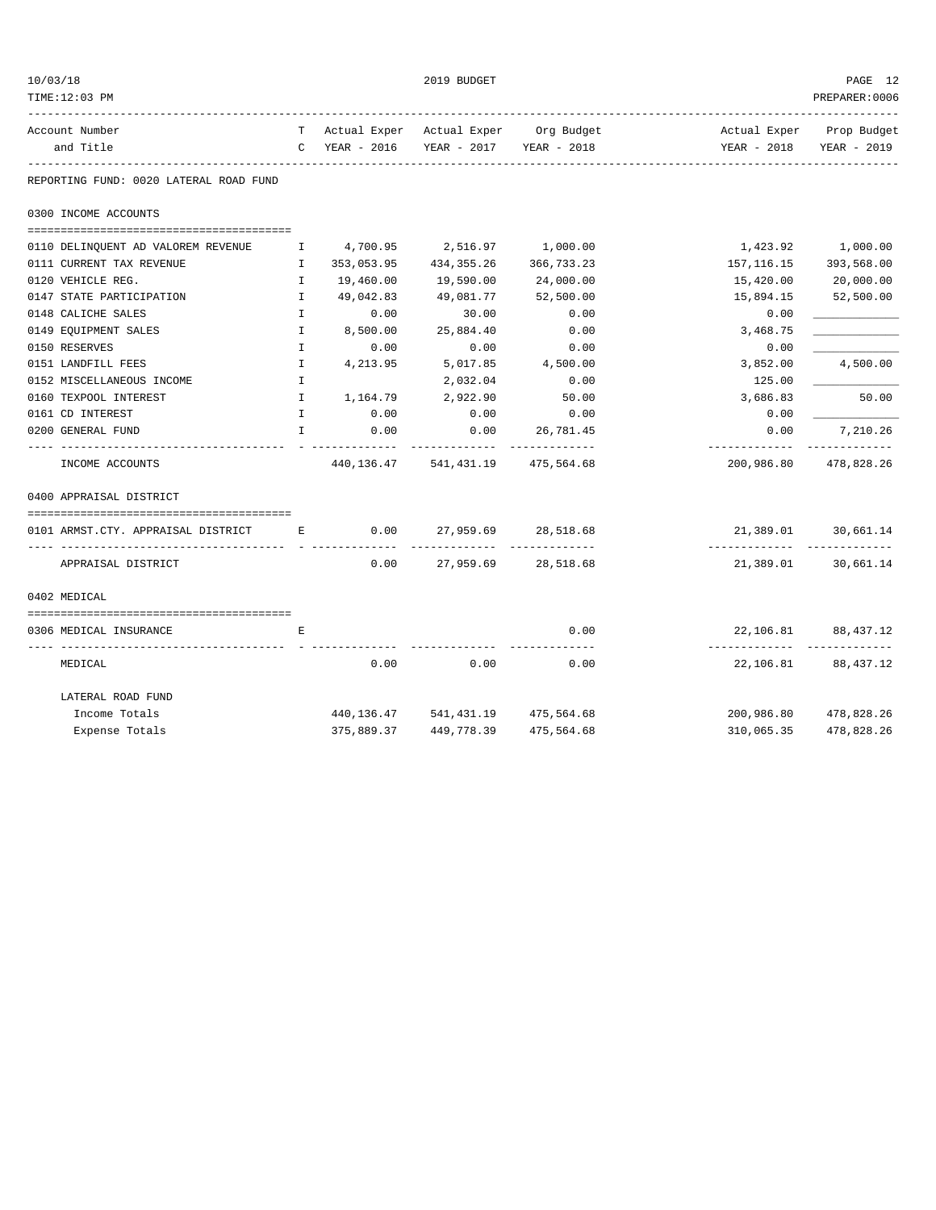| 10/03/18<br>TIME:12:03 PM                      |                              |                             | 2019 BUDGET                                          |                       |                                            | PAGE 12<br>PREPARER: 0006  |
|------------------------------------------------|------------------------------|-----------------------------|------------------------------------------------------|-----------------------|--------------------------------------------|----------------------------|
| Account Number                                 |                              |                             | T Actual Exper Actual Exper Org Budget               |                       |                                            | Actual Exper Prop Budget   |
| and Title                                      |                              | C YEAR - 2016               | YEAR - 2017 YEAR - 2018                              |                       | YEAR - 2018                                | YEAR - 2019                |
| REPORTING FUND: 0020 LATERAL ROAD FUND         |                              |                             |                                                      |                       |                                            |                            |
| 0300 INCOME ACCOUNTS                           |                              |                             |                                                      |                       |                                            |                            |
|                                                |                              |                             |                                                      |                       |                                            |                            |
| 0110 DELINQUENT AD VALOREM REVENUE             | H.                           | 4,700.95                    | 2,516.97 1,000.00                                    |                       |                                            | 1,423.92 1,000.00          |
| 0111 CURRENT TAX REVENUE                       | $\mathbb{I}$                 | 353,053.95                  | 434,355.26                                           | 366,733.23            | 157,116.15                                 | 393,568.00                 |
| 0120 VEHICLE REG.                              | $\mathbb{I}$                 | 19,460.00                   | 19,590.00                                            | 24,000.00             | 15,420.00                                  | 20,000.00                  |
| 0147 STATE PARTICIPATION<br>0148 CALICHE SALES | $\mathbf{I}$<br>$\mathbf{I}$ | 49,042.83<br>0.00           | 49,081.77<br>30.00                                   | 52,500.00<br>0.00     | 15,894.15                                  | 52,500.00                  |
| 0149 EQUIPMENT SALES                           | $\mathbf{I}$                 | 8,500.00                    | 25,884.40                                            | 0.00                  | 0.00                                       |                            |
| 0150 RESERVES                                  | $\mathbf{I}$                 | 0.00                        | 0.00                                                 | 0.00                  | 3,468.75<br>0.00                           |                            |
| 0151 LANDFILL FEES                             | $\mathbf{I}$                 | 4,213.95                    | 5,017.85                                             | 4,500.00              | 3,852.00                                   | 4,500.00                   |
| 0152 MISCELLANEOUS INCOME                      | $\mathbf{I}$                 |                             | 2,032.04                                             | 0.00                  | 125.00                                     |                            |
| 0160 TEXPOOL INTEREST                          | $\mathbf{I}$                 | 1,164.79                    | 2,922.90                                             | 50.00                 | 3,686.83                                   | 50.00                      |
| 0161 CD INTEREST                               | $\mathbf{I}$                 | 0.00                        | 0.00                                                 | 0.00                  | 0.00                                       |                            |
| 0200 GENERAL FUND                              | $\mathbf{I}$                 | 0.00                        | 0.00                                                 | 26,781.45             | 0.00                                       | 7,210.26                   |
| INCOME ACCOUNTS                                |                              | -- - - <i>-------------</i> | 440, 136. 47 541, 431. 19 475, 564. 68               |                       | -------------<br>200,986.80                | ____________<br>478,828.26 |
| 0400 APPRAISAL DISTRICT                        |                              |                             |                                                      |                       |                                            |                            |
| 0101 ARMST.CTY. APPRAISAL DISTRICT B 6.00      |                              |                             | 27,959.69 28,518.68                                  |                       |                                            | 21,389.01 30,661.14        |
| APPRAISAL DISTRICT                             |                              | 0.00                        | -----------------------------<br>27,959.69 28,518.68 |                       |                                            | 21,389.01 30,661.14        |
| 0402 MEDICAL                                   |                              |                             |                                                      |                       |                                            |                            |
| 0306 MEDICAL INSURANCE                         | Е                            |                             |                                                      | 0.00                  |                                            | 22, 106.81 88, 437.12      |
| MEDICAL                                        |                              | 0.00                        | 0.00                                                 | -------------<br>0.00 | -------------- --------------<br>22,106.81 | 88, 437. 12                |
| LATERAL ROAD FUND                              |                              |                             |                                                      |                       |                                            |                            |
| Income Totals                                  |                              |                             | 440, 136. 47 541, 431. 19 475, 564. 68               |                       |                                            | 200,986.80 478,828.26      |
| Expense Totals                                 |                              | 375,889.37                  | 449,778.39                                           | 475,564.68            | 310,065.35                                 | 478,828.26                 |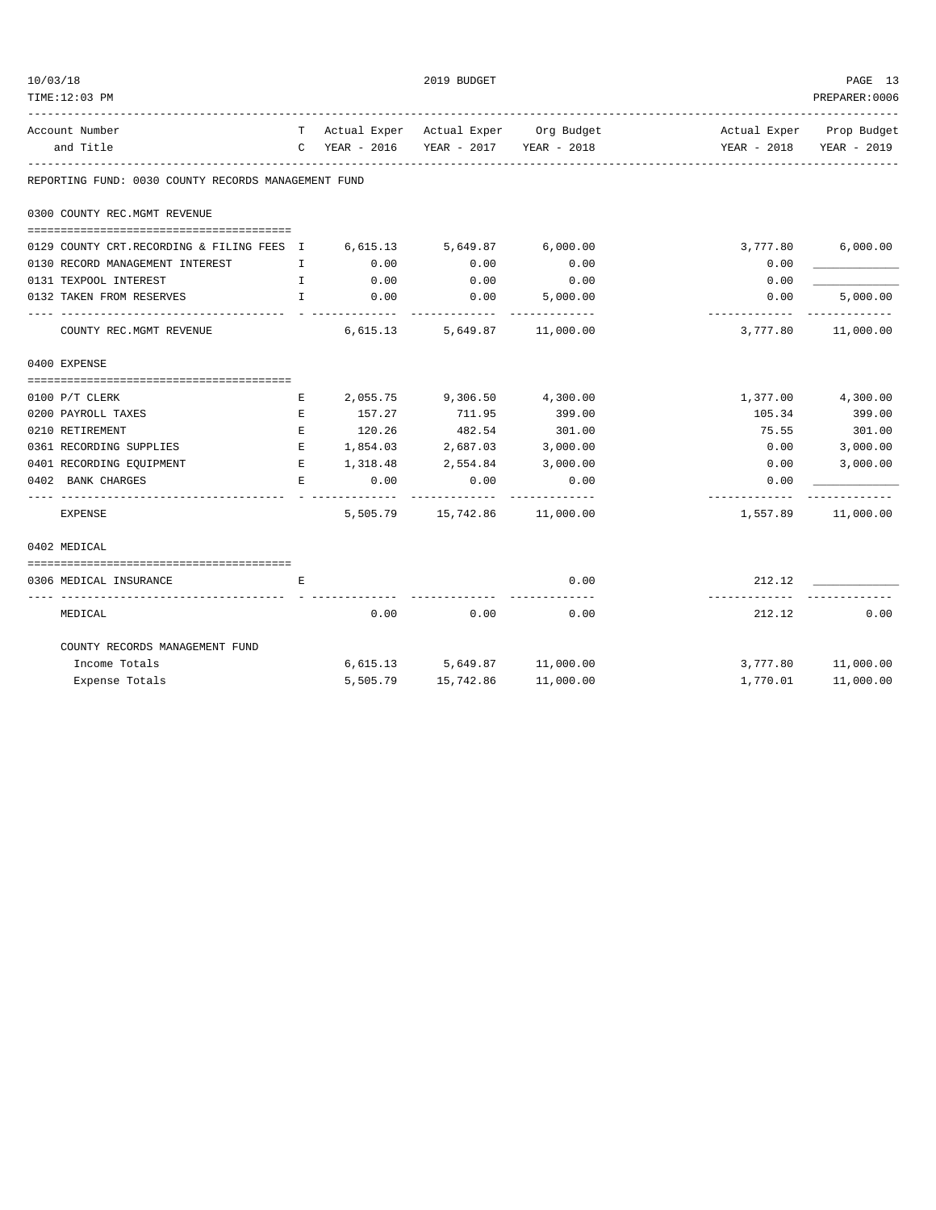| TIME:12:03 PM                                                                                      |              |                         |                                       |                       |                                                                      | PREPARER:0006             |
|----------------------------------------------------------------------------------------------------|--------------|-------------------------|---------------------------------------|-----------------------|----------------------------------------------------------------------|---------------------------|
| Account Number                                                                                     |              |                         |                                       |                       | T Actual Exper Actual Exper Org Budget The Mictual Exper Prop Budget |                           |
| and Title                                                                                          |              |                         | C YEAR - 2016 YEAR - 2017 YEAR - 2018 |                       |                                                                      | YEAR - 2018 YEAR - 2019   |
| REPORTING FUND: 0030 COUNTY RECORDS MANAGEMENT FUND                                                |              |                         | ------------------------------------  |                       |                                                                      |                           |
| 0300 COUNTY REC.MGMT REVENUE                                                                       |              |                         |                                       |                       |                                                                      |                           |
| 0129 COUNTY CRT.RECORDING & FILING FEES I                                                          |              | 6,615.13 5,649.87       |                                       | 6,000.00              | 3,777.80                                                             | 6,000.00                  |
| 0130 RECORD MANAGEMENT INTEREST<br>$\mathbf{I}$ and $\mathbf{I}$ and $\mathbf{I}$ and $\mathbf{I}$ |              | 0.00                    | 0.00                                  | 0.00                  | 0.00                                                                 |                           |
| 0131 TEXPOOL INTEREST                                                                              | $\mathbb{I}$ | 0.00                    | 0.00                                  | 0.00                  | 0.00                                                                 |                           |
| 0132 TAKEN FROM RESERVES                                                                           | $\mathbf{I}$ | 0.00                    | 0.00                                  | 5.000.00              | 0.00<br>-------------                                                | 5,000.00<br>------------- |
| COUNTY REC.MGMT REVENUE 6,615.13 5,649.87 11,000.00                                                |              |                         |                                       |                       | 3,777.80                                                             | 11,000.00                 |
| 0400 EXPENSE                                                                                       |              |                         |                                       |                       |                                                                      |                           |
| 0100 P/T CLERK                                                                                     | E            |                         | 2,055.75 9,306.50 4,300.00            |                       |                                                                      | 1,377.00 4,300.00         |
| 0200 PAYROLL TAXES                                                                                 | E            | 157.27                  | 711.95                                | 399.00                | 105.34                                                               | 399.00                    |
| 0210 RETIREMENT                                                                                    | E            | 120.26                  | 482.54                                | 301.00                | 75.55                                                                | 301.00                    |
| 0361 RECORDING SUPPLIES                                                                            | E            |                         | 1,854.03 2,687.03 3,000.00            |                       | 0.00                                                                 | 3,000.00                  |
| 0401 RECORDING EQUIPMENT                                                                           | E            | 1,318.48 2,554.84       |                                       | 3,000.00              | 0.00                                                                 | 3,000.00                  |
| 0402 BANK CHARGES                                                                                  | E            | 0.00<br>- ------------- | 0.00<br>-----------                   | 0.00<br>_____________ | 0.00<br>-------------                                                |                           |
| <b>EXPENSE</b>                                                                                     |              |                         | 5,505.79   15,742.86   11,000.00      |                       |                                                                      | 1,557.89 11,000.00        |
| 0402 MEDICAL                                                                                       |              |                         |                                       |                       |                                                                      |                           |
|                                                                                                    |              |                         |                                       |                       |                                                                      |                           |
| 0306 MEDICAL INSURANCE                                                                             | E            |                         |                                       | 0.00<br>----------    | 212.12<br>-----------                                                |                           |
| MEDICAL                                                                                            |              | 0.00                    | 0.00                                  | 0.00                  | 212.12                                                               | 0.00                      |
| COUNTY RECORDS MANAGEMENT FUND                                                                     |              |                         |                                       |                       |                                                                      |                           |
| Income Totals                                                                                      |              |                         | $6,615.13$ $5,649.87$ $11,000.00$     |                       |                                                                      | 3,777.80 11,000.00        |
| Expense Totals                                                                                     |              | 5,505.79                | 15,742.86                             | 11,000.00             | 1,770.01                                                             | 11,000.00                 |

 $10/03/18$  PAGE 13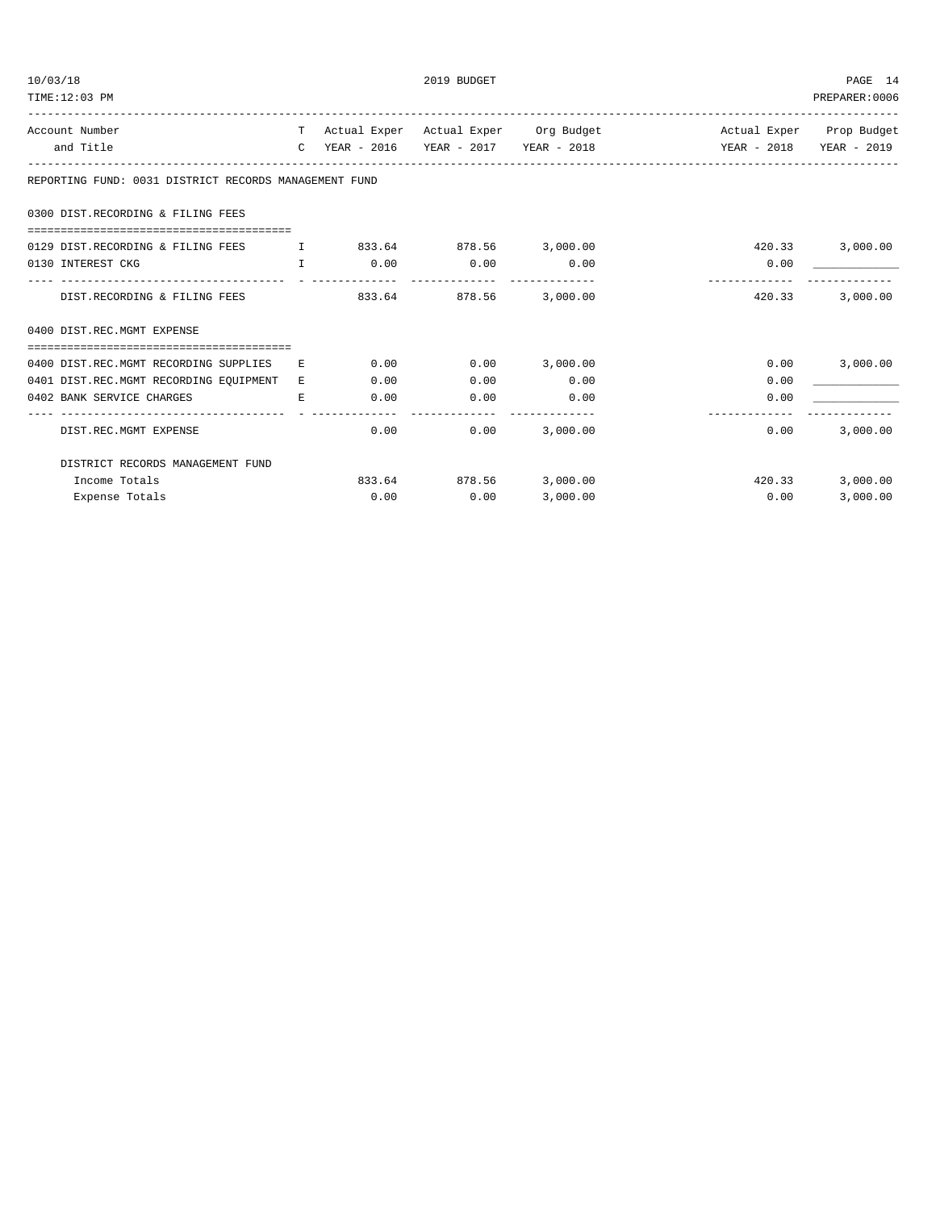| 10/03/18<br>TIME:12:03 PM                             |                                  |              |      | 2019 BUDGET            |          |                                                                 | PAGE 14<br>PREPARER: 0006 |
|-------------------------------------------------------|----------------------------------|--------------|------|------------------------|----------|-----------------------------------------------------------------|---------------------------|
| Account Number                                        |                                  |              |      |                        |          | T Actual Exper Actual Exper Org Budget Actual Exper Prop Budget |                           |
| and Title                                             |                                  |              |      |                        |          |                                                                 |                           |
| REPORTING FUND: 0031 DISTRICT RECORDS MANAGEMENT FUND |                                  |              |      |                        |          |                                                                 |                           |
| 0300 DIST.RECORDING & FILING FEES                     |                                  |              |      |                        |          |                                                                 |                           |
| 0129 DIST.RECORDING & FILING FEES                     | $\mathbf{I}$                     |              |      | 833.64 878.56 3,000.00 |          | 420.33                                                          | 3,000.00                  |
| 0130 INTEREST CKG                                     |                                  | $\mathbf{T}$ | 0.00 | 0.00                   | 0.00     | 0.00                                                            |                           |
| DIST.RECORDING & FILING FEES                          |                                  |              |      | 833.64 878.56          | 3,000.00 | 420.33                                                          | 3,000.00                  |
| 0400 DIST.REC.MGMT EXPENSE                            |                                  |              |      |                        |          |                                                                 |                           |
| 0400 DIST.REC.MGMT RECORDING SUPPLIES                 |                                  | E.           | 0.00 | 0.00                   | 3,000.00 | 0.00                                                            | 3,000.00                  |
| 0401 DIST.REC.MGMT RECORDING EQUIPMENT                |                                  | $E_{\rm c}$  | 0.00 | 0.00                   | 0.00     | 0.00                                                            |                           |
| 0402 BANK SERVICE CHARGES                             |                                  | E.           | 0.00 | 0.00                   | 0.00     | 0.00                                                            |                           |
| DIST.REC.MGMT EXPENSE                                 | _________________                |              | 0.00 | 0.00                   | 3,000.00 | 0.00                                                            | 3,000.00                  |
|                                                       | DISTRICT RECORDS MANAGEMENT FUND |              |      |                        |          |                                                                 |                           |
| Income Totals                                         |                                  |              |      | 833.64 878.56          | 3,000.00 | 420.33                                                          | 3,000.00                  |
| Expense Totals                                        |                                  |              | 0.00 | 0.00                   | 3,000.00 | 0.00                                                            | 3,000.00                  |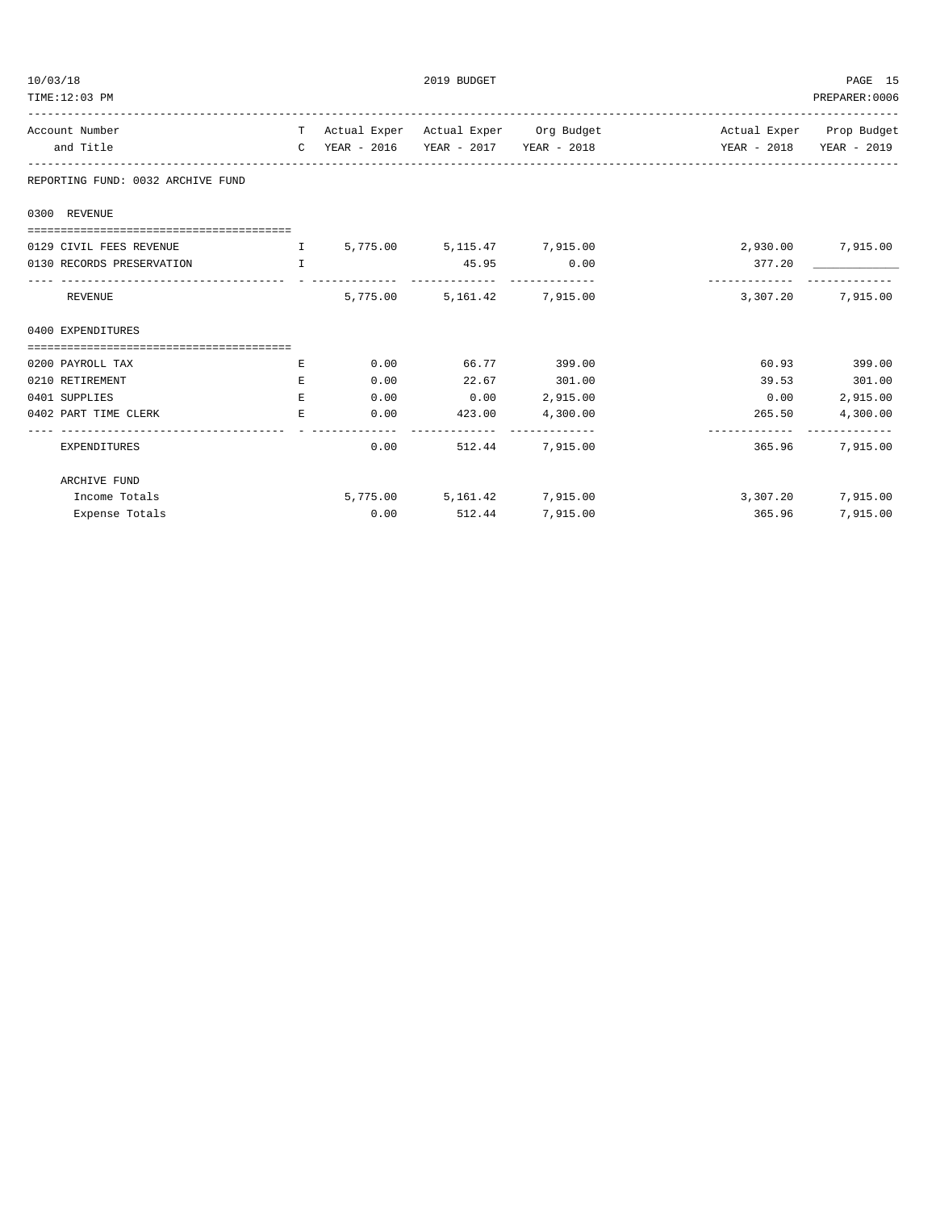| TIME:12:03 PM                                                     |    |      |                              |                                        |                                                                           | PREPARER:0006     |
|-------------------------------------------------------------------|----|------|------------------------------|----------------------------------------|---------------------------------------------------------------------------|-------------------|
| Account Number                                                    |    |      |                              | T Actual Exper Actual Exper Org Budget | Actual Exper Prop Budget                                                  |                   |
| and Title                                                         |    |      |                              |                                        | C YEAR - 2016 YEAR - 2017 YEAR - 2018 YEAR - 2018 YEAR - 2018 YEAR - 2019 |                   |
| REPORTING FUND: 0032 ARCHIVE FUND                                 |    |      |                              |                                        |                                                                           |                   |
| 0300 REVENUE                                                      |    |      |                              |                                        |                                                                           |                   |
|                                                                   |    |      |                              |                                        |                                                                           |                   |
| 0129 CIVIL FEES REVENUE                                           |    |      | 1 5,775.00 5,115.47 7,915.00 |                                        | 2,930.00 7,915.00                                                         |                   |
| 0130 RECORDS PRESERVATION<br><b>The Community of The Table 19</b> |    |      | 45.95 0.00                   |                                        | 377.20<br>-------------                                                   |                   |
| REVENUE                                                           |    |      | 5,775.00 5,161.42 7,915.00   |                                        |                                                                           | 3,307.20 7,915.00 |
| 0400 EXPENDITURES                                                 |    |      |                              |                                        |                                                                           |                   |
|                                                                   |    |      |                              |                                        |                                                                           |                   |
| 0200 PAYROLL TAX                                                  | E. | 0.00 | 66.77 399.00                 |                                        |                                                                           | 60.93 399.00      |
| 0210 RETIREMENT                                                   | E  | 0.00 | 22.67 301.00                 |                                        |                                                                           | 39.53 301.00      |
| 0401 SUPPLIES                                                     | E. | 0.00 | $0.00$ 2,915.00              |                                        | 0.00                                                                      | 2,915.00          |
| 0402 PART TIME CLERK                                              | E. |      | $0.00$ $423.00$ $4,300.00$   |                                        | 265.50<br>------------------------------                                  | 4,300.00          |
| EXPENDITURES                                                      |    | 0.00 |                              | 512.44 7.915.00                        | 365.96                                                                    | 7,915,00          |
| ARCHIVE FUND                                                      |    |      |                              |                                        |                                                                           |                   |
| Income Totals                                                     |    |      | 5,775.00 5,161.42 7,915.00   |                                        | 3,307.20                                                                  | 7,915.00          |
| Expense Totals                                                    |    | 0.00 | 512.44                       | 7,915.00                               | 365.96                                                                    | 7,915.00          |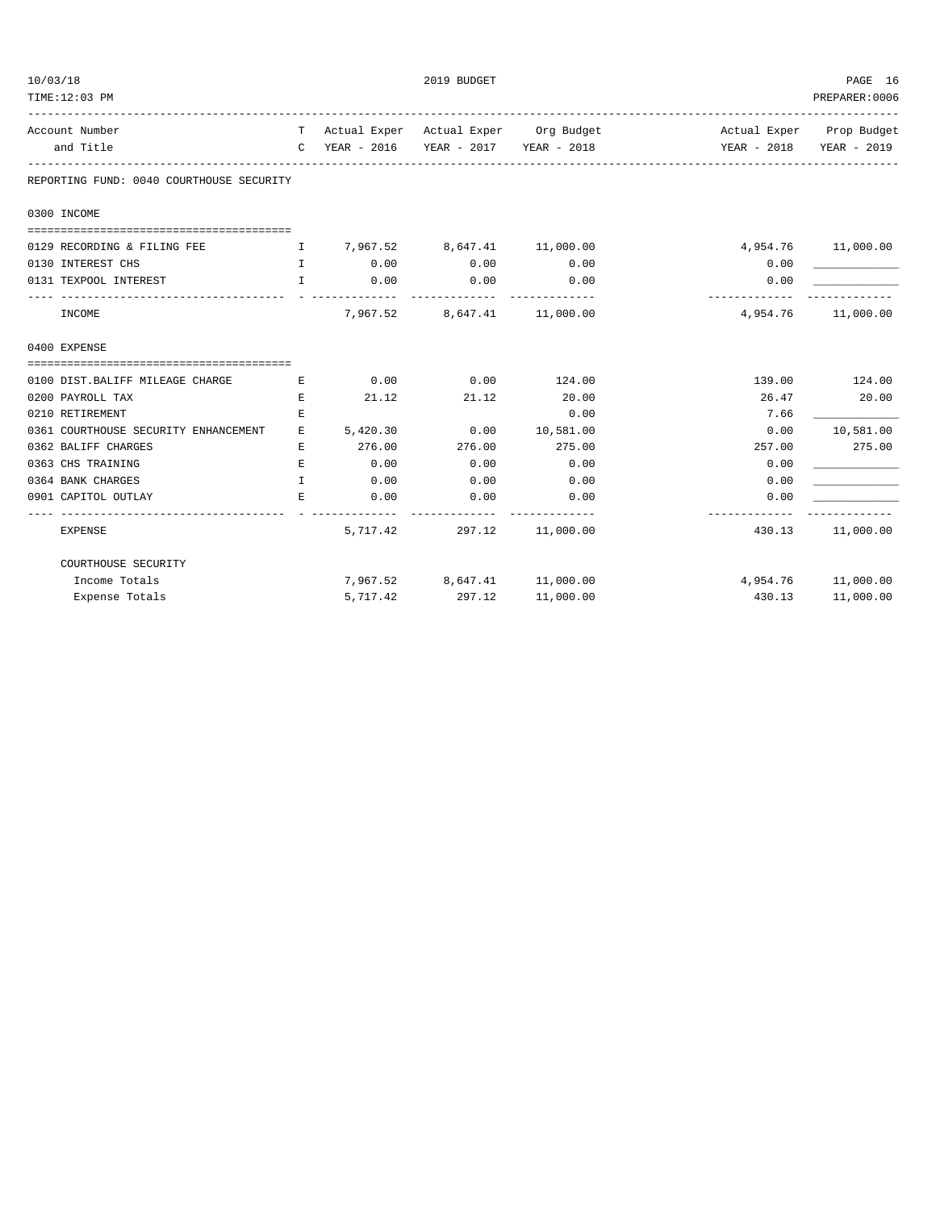| 10/03/18<br>TIME:12:03 PM                  |              |               | 2019 BUDGET                                          |                                        |                           | PAGE 16<br>PREPARER: 0006 |
|--------------------------------------------|--------------|---------------|------------------------------------------------------|----------------------------------------|---------------------------|---------------------------|
| Account Number                             |              |               |                                                      | T Actual Exper Actual Exper Org Budget | Actual Exper Prop Budget  |                           |
| and Title                                  |              | C YEAR - 2016 | YEAR - 2017 YEAR - 2018                              |                                        |                           | YEAR - 2018 YEAR - 2019   |
| REPORTING FUND: 0040 COURTHOUSE SECURITY   |              |               |                                                      |                                        |                           |                           |
| 0300 INCOME                                |              |               |                                                      |                                        |                           |                           |
| 0129 RECORDING & FILING FEE                |              |               | $I \qquad 7,967.52 \qquad 8,647.41 \qquad 11,000.00$ |                                        |                           | 4,954.76 11,000.00        |
| 0130 INTEREST CHS<br><b>The Contract T</b> |              | 0.00          | 0.00                                                 | 0.00                                   | 0.00                      |                           |
| 0131 TEXPOOL INTEREST                      | $\mathbf{I}$ | 0.00          | 0.00                                                 | 0.00                                   | 0.00                      |                           |
| -------------------<br>INCOME              |              | _____________ | -------------<br>7,967.52 8,647.41 11,000.00         | -------------                          | -------------<br>4,954.76 | 11,000.00                 |
| 0400 EXPENSE                               |              |               |                                                      |                                        |                           |                           |
|                                            |              |               |                                                      |                                        |                           |                           |
| 0100 DIST.BALIFF MILEAGE CHARGE            | Е            | 0.00          | 0.00                                                 | 124.00                                 |                           | 139.00 124.00             |
| 0200 PAYROLL TAX                           | $\mathbf E$  | 21.12         | 21.12                                                | 20.00                                  | 26.47                     | 20.00                     |
| 0210 RETIREMENT                            | Е            |               |                                                      | 0.00                                   | 7.66                      |                           |
| 0361 COURTHOUSE SECURITY ENHANCEMENT       | E            |               | 5,420.30 0.00                                        | 10,581.00                              | 0.00                      | 10,581.00                 |
| 0362 BALIFF CHARGES                        | E.           | 276.00        | 276.00                                               | 275.00                                 | 257.00                    | 275.00                    |
| 0363 CHS TRAINING                          | Е            | 0.00          | 0.00                                                 | 0.00                                   | 0.00                      |                           |
| 0364 BANK CHARGES                          | T            | 0.00          | 0.00                                                 | 0.00                                   | 0.00                      |                           |
| 0901 CAPITOL OUTLAY                        | Е            | 0.00          | 0.00                                                 | 0.00                                   | 0.00                      |                           |
| <b>EXPENSE</b>                             |              |               | 5,717.42 297.12 11,000.00                            |                                        |                           | 430.13 11,000.00          |
| COURTHOUSE SECURITY                        |              |               |                                                      |                                        |                           |                           |
| Income Totals                              |              |               | 7,967.52 8,647.41 11,000.00                          |                                        |                           | 4,954.76 11,000.00        |
| Expense Totals                             |              | 5,717.42      | 297.12                                               | 11,000.00                              | 430.13                    | 11,000.00                 |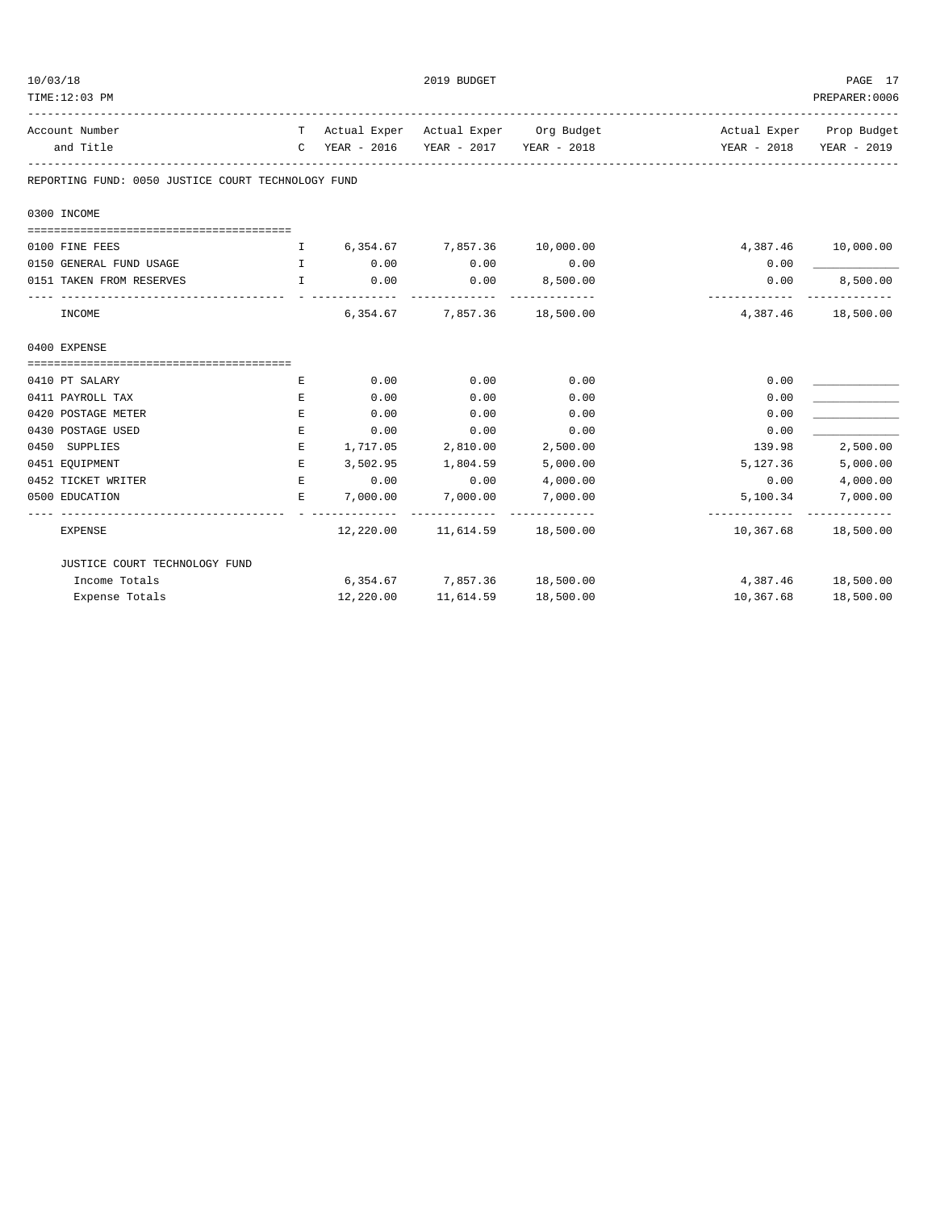| 10/03/18 | TIME:12:03 PM                                             |              |                        | 2019 BUDGET                       |                                        |                           | PAGE 17<br>PREPARER: 0006               |
|----------|-----------------------------------------------------------|--------------|------------------------|-----------------------------------|----------------------------------------|---------------------------|-----------------------------------------|
|          | Account Number<br>and Title                               |              | C YEAR - 2016          | YEAR - 2017 YEAR - 2018           | T Actual Exper Actual Exper Org Budget | YEAR - 2018               | Actual Exper Prop Budget<br>YEAR - 2019 |
|          | REPORTING FUND: 0050 JUSTICE COURT TECHNOLOGY FUND        |              |                        |                                   |                                        |                           |                                         |
|          | 0300 INCOME                                               |              |                        |                                   |                                        |                           |                                         |
|          | 0100 FINE FEES                                            | $\mathbf{I}$ |                        | 6,354.67 7,857.36 10,000.00       |                                        |                           | 4,387.46 10,000.00                      |
|          | 0150 GENERAL FUND USAGE                                   | $\mathbf{I}$ | 0.00                   | 0.00                              | 0.00                                   | 0.00                      |                                         |
|          | $\mathbb{I}$ and $\mathbb{I}$<br>0151 TAKEN FROM RESERVES |              | 0.00<br>. <i>.</i> .   | 0.00<br>_____________             | 8,500.00<br>_____________              | 0.00<br>-------------     | 8,500.00<br>. _ _ _ _ _ _ _ _ _ _ _     |
|          | INCOME                                                    |              | 6,354.67               | 7,857.36                          | 18,500.00                              | 4,387.46                  | 18,500.00                               |
|          | 0400 EXPENSE                                              |              |                        |                                   |                                        |                           |                                         |
|          |                                                           |              |                        |                                   |                                        |                           |                                         |
|          | 0410 PT SALARY                                            | E            | 0.00                   | 0.00                              | 0.00                                   | 0.00                      |                                         |
|          | 0411 PAYROLL TAX                                          | Е            | 0.00                   | 0.00                              | 0.00                                   | 0.00                      |                                         |
|          | 0420 POSTAGE METER                                        | Е            | 0.00                   | 0.00                              | 0.00                                   | 0.00                      |                                         |
|          | 0430 POSTAGE USED                                         | Е            | 0.00                   | 0.00                              | 0.00                                   | 0.00                      |                                         |
|          | 0450 SUPPLIES                                             | E            | 1,717.05               | 2,810.00                          | 2,500.00                               | 139.98                    | 2,500.00                                |
|          | 0451 EQUIPMENT                                            | E            | 3,502.95               | 1,804.59                          | 5,000.00                               | 5,127.36                  | 5,000.00                                |
|          | 0452 TICKET WRITER                                        | E            | 0.00                   | 0.00                              | 4,000.00                               | 0.00                      | 4,000.00                                |
|          | 0500 EDUCATION                                            | Е.           | 7,000.00<br>---------- | 7,000.00<br>_____________         | 7,000.00<br>______________             | 5,100.34<br>------------- | 7,000.00<br>-------------               |
|          | EXPENSE                                                   |              |                        | 12,220.00 11,614.59               | 18,500.00                              | 10,367.68                 | 18,500.00                               |
|          | JUSTICE COURT TECHNOLOGY FUND                             |              |                        |                                   |                                        |                           |                                         |
|          | Income Totals                                             |              |                        | 6,354.67 7,857.36 18,500.00       |                                        |                           | 4,387.46 18,500.00                      |
|          | Expense Totals                                            |              |                        | 12,220.00   11,614.59   18,500.00 |                                        |                           | 10,367.68 18,500.00                     |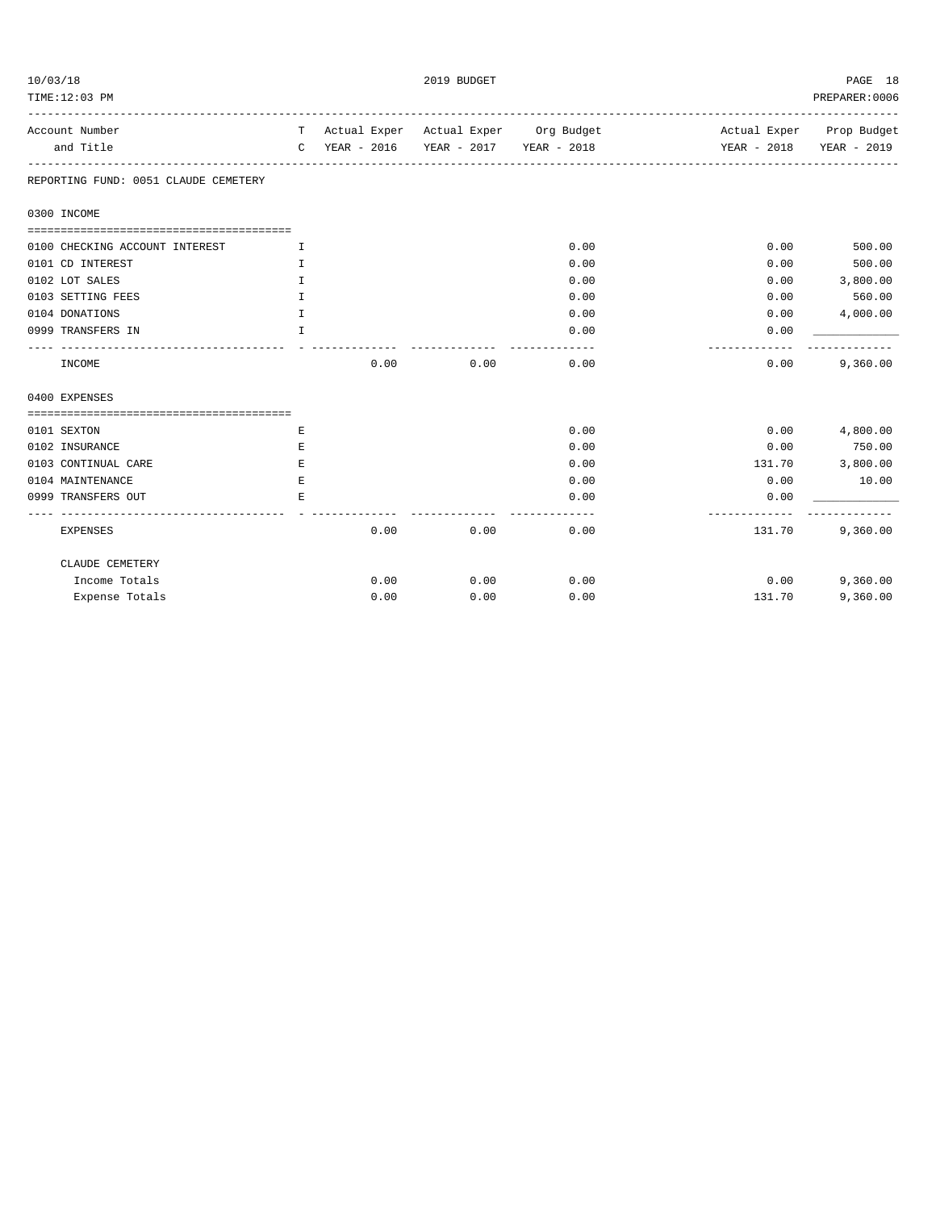| 10/03/18 | TIME:12:03 PM                        |              |               | 2019 BUDGET |                                        |                          | PAGE 18<br>PREPARER: 0006 |
|----------|--------------------------------------|--------------|---------------|-------------|----------------------------------------|--------------------------|---------------------------|
|          |                                      |              |               |             |                                        |                          |                           |
|          | Account Number                       |              |               |             | T Actual Exper Actual Exper Org Budget | Actual Exper Prop Budget |                           |
|          | and Title                            |              | C YEAR - 2016 |             | YEAR - 2017 YEAR - 2018                | YEAR - 2018              | YEAR - 2019               |
|          | REPORTING FUND: 0051 CLAUDE CEMETERY |              |               |             |                                        |                          |                           |
|          | 0300 INCOME                          |              |               |             |                                        |                          |                           |
|          |                                      |              |               |             |                                        |                          |                           |
|          | 0100 CHECKING ACCOUNT INTEREST       | I            |               |             | 0.00                                   | 0.00                     | 500.00                    |
|          | 0101 CD INTEREST                     | I            |               |             | 0.00                                   | 0.00                     | 500.00                    |
|          | 0102 LOT SALES                       | I            |               |             | 0.00                                   | 0.00                     | 3,800.00                  |
|          | 0103 SETTING FEES                    | I            |               |             | 0.00                                   | 0.00                     | 560.00                    |
|          | 0104 DONATIONS                       | $\mathbf I$  |               |             | 0.00                                   | 0.00                     | 4,000.00                  |
|          | 0999 TRANSFERS IN                    | $\mathbb{T}$ |               |             | 0.00<br>------                         | 0.00                     |                           |
|          | INCOME                               |              | 0.00          | 0.00        | 0.00                                   | 0.00                     | 9,360.00                  |
|          | 0400 EXPENSES                        |              |               |             |                                        |                          |                           |
|          |                                      |              |               |             |                                        |                          |                           |
|          | 0101 SEXTON                          | Е            |               |             | 0.00                                   | 0.00                     | 4,800.00                  |
|          | 0102 INSURANCE                       | Е            |               |             | 0.00                                   | 0.00                     | 750.00                    |
|          | 0103 CONTINUAL CARE                  | E            |               |             | 0.00                                   | 131.70                   | 3,800.00                  |
|          | 0104 MAINTENANCE                     | E            |               |             | 0.00                                   | 0.00                     | 10.00                     |
|          | 0999 TRANSFERS OUT                   | F.           |               |             | 0.00<br>$- - - -$                      | 0.00                     |                           |
|          | <b>EXPENSES</b>                      |              | 0.00          | 0.00        | 0.00                                   | 131.70                   | 9,360.00                  |
|          | CLAUDE CEMETERY                      |              |               |             |                                        |                          |                           |
|          | Income Totals                        |              | 0.00          | 0.00        | 0.00                                   | 0.00                     | 9,360.00                  |
|          | Expense Totals                       |              | 0.00          | 0.00        | 0.00                                   | 131.70                   | 9,360.00                  |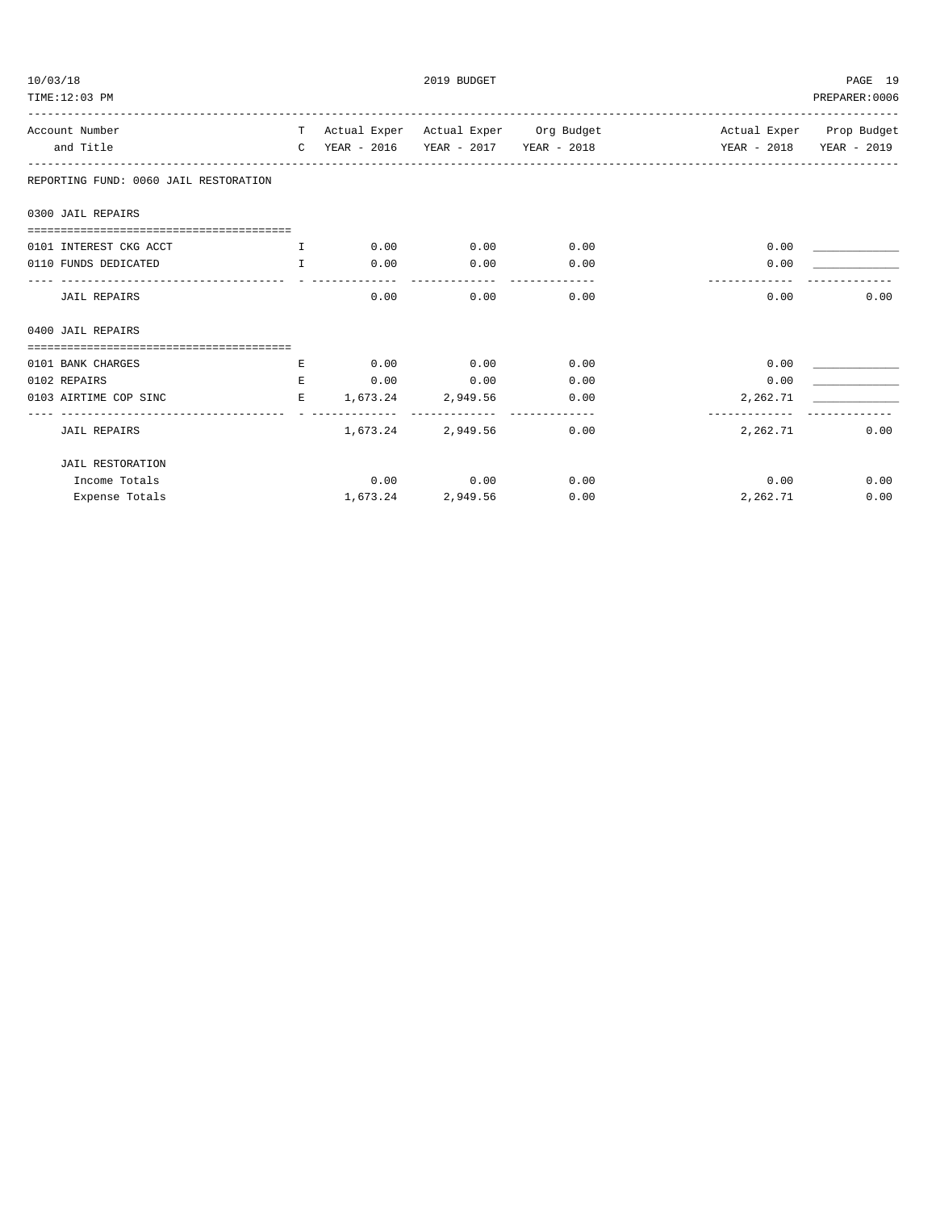| 10/03/18 | TIME:12:03 PM                         |              |                     | 2019 BUDGET |                                                                           |          | PAGE 19<br>PREPARER: 0006 |
|----------|---------------------------------------|--------------|---------------------|-------------|---------------------------------------------------------------------------|----------|---------------------------|
|          | Account Number                        |              |                     |             | T Actual Exper Actual Exper Org Budget Actual Exper Prop Budget           |          |                           |
|          | and Title                             |              |                     |             | C YEAR - 2016 YEAR - 2017 YEAR - 2018 YEAR - 2018 YEAR - 2018 YEAR - 2019 |          |                           |
|          | REPORTING FUND: 0060 JAIL RESTORATION |              |                     |             |                                                                           |          |                           |
|          | 0300 JAIL REPAIRS                     |              |                     |             |                                                                           |          |                           |
|          | 0101 INTEREST CKG ACCT                | $\mathbf{T}$ | 0.00                | 0.00        | 0.00                                                                      | 0.00     |                           |
|          | 0110 FUNDS DEDICATED                  | T            | 0.00                | 0.00        | 0.00                                                                      | 0.00     |                           |
|          | <b>JAIL REPAIRS</b>                   |              | 0.00                | 0.00        | 0.00                                                                      | 0.00     | 0.00                      |
|          | 0400 JAIL REPAIRS                     |              |                     |             |                                                                           |          |                           |
|          |                                       |              |                     |             |                                                                           |          |                           |
|          | 0101 BANK CHARGES                     | E.           | 0.00                | 0.00        | 0.00                                                                      | 0.00     |                           |
|          | 0102 REPAIRS                          | $E_{i}$      | 0.00                | 0.00        | 0.00                                                                      | 0.00     |                           |
|          | 0103 AIRTIME COP SINC                 |              | E 1,673.24 2,949.56 |             | 0.00                                                                      | 2,262.71 |                           |
|          | <b>JAIL REPAIRS</b>                   |              | 1,673.24            | 2,949.56    | 0.00                                                                      | 2,262.71 | 0.00                      |
|          | <b>JAIL RESTORATION</b>               |              |                     |             |                                                                           |          |                           |
|          | Income Totals                         |              |                     | $0.00$ 0.00 | 0.00                                                                      | 0.00     | 0.00                      |
|          | Expense Totals                        |              | 1,673.24            | 2,949.56    | 0.00                                                                      | 2,262.71 | 0.00                      |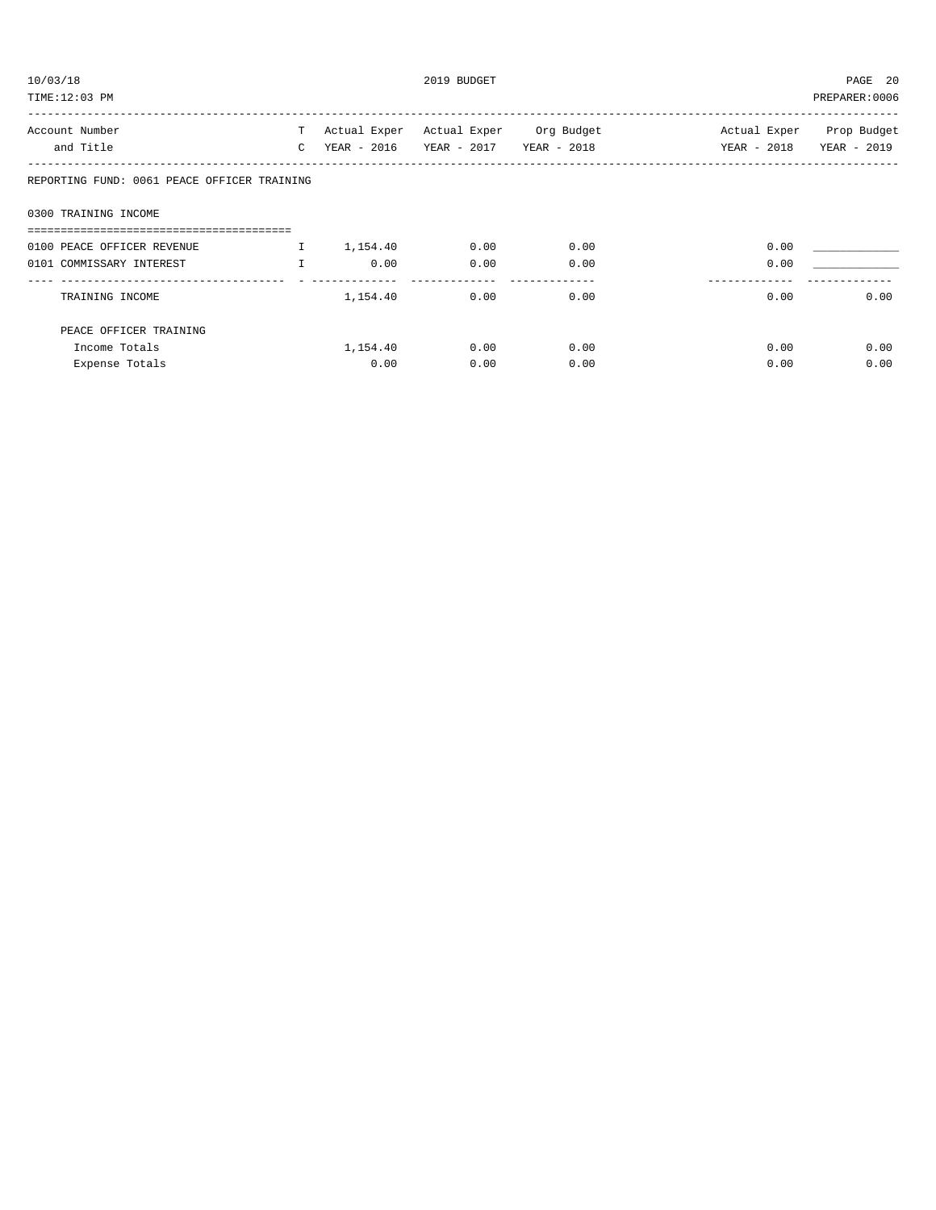| 10/03/18     |                                             |             | 2019 BUDGET                   |                         |                |  |  |
|--------------|---------------------------------------------|-------------|-------------------------------|-------------------------|----------------|--|--|
|              |                                             |             |                               |                         | PREPARER: 0006 |  |  |
|              |                                             |             |                               |                         | Prop Budget    |  |  |
| $\mathsf{C}$ |                                             | YEAR - 2017 | YEAR - 2018                   | YEAR - 2018             | YEAR - 2019    |  |  |
|              |                                             |             |                               |                         |                |  |  |
|              |                                             |             |                               |                         |                |  |  |
|              |                                             |             |                               |                         |                |  |  |
| $\mathbf{I}$ | 1,154.40                                    | 0.00        | 0.00                          | 0.00                    |                |  |  |
| T.           | 0.00                                        | 0.00        | 0.00                          | 0.00                    |                |  |  |
|              | 1,154.40                                    | 0.00        | 0.00                          | 0.00                    | 0.00           |  |  |
|              |                                             |             |                               |                         |                |  |  |
|              | 1,154.40                                    | 0.00        | 0.00                          | 0.00                    | 0.00           |  |  |
|              | 0.00                                        | 0.00        | 0.00                          | 0.00                    | 0.00           |  |  |
|              | REPORTING FUND: 0061 PEACE OFFICER TRAINING |             | T Actual Exper<br>YEAR - 2016 | Actual Exper Org Budget | Actual Exper   |  |  |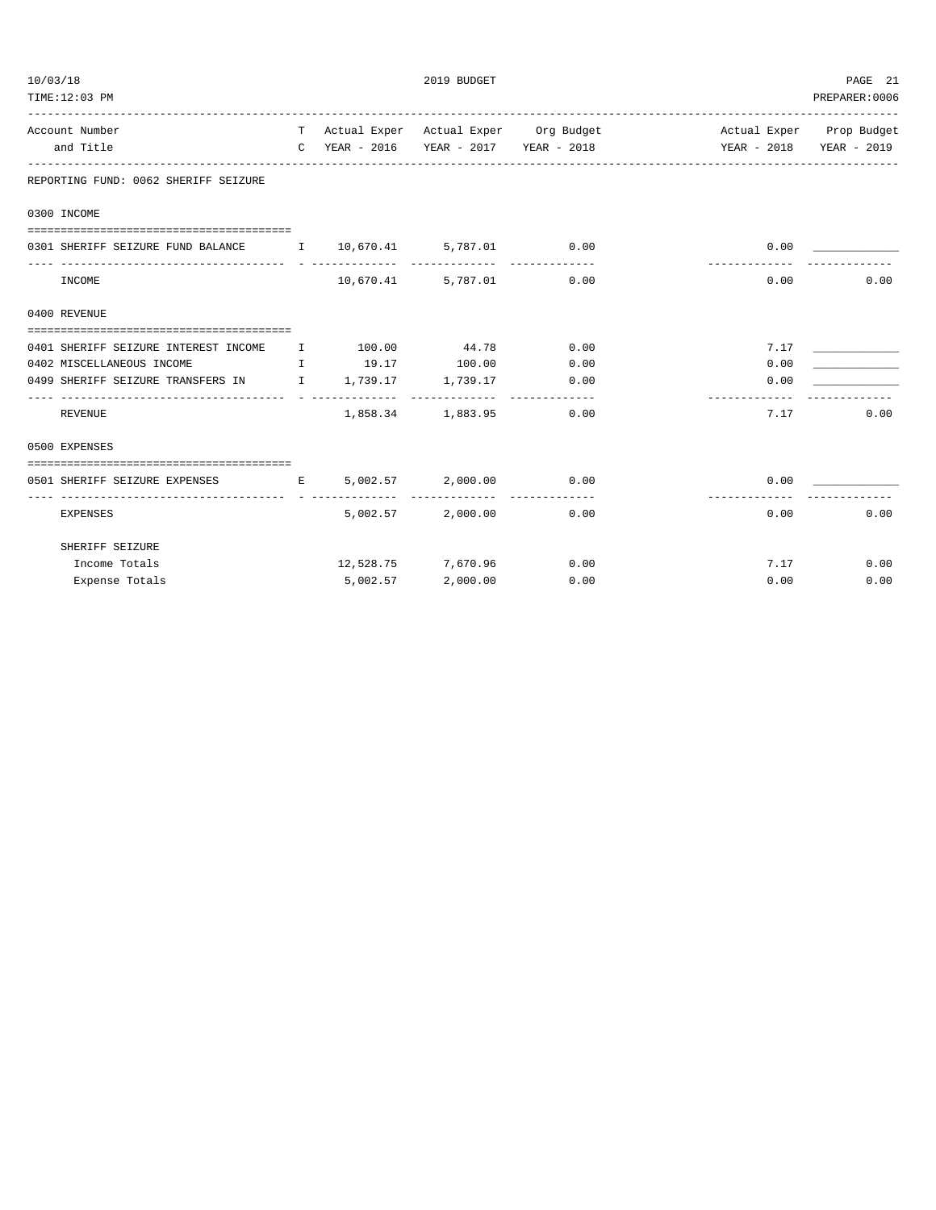| 10/03/18<br>TIME:12:03 PM                                                                                                                                                                                       |              |            | 2019 BUDGET                           |                                        |                                                     | PAGE 21<br>PREPARER: 0006 |
|-----------------------------------------------------------------------------------------------------------------------------------------------------------------------------------------------------------------|--------------|------------|---------------------------------------|----------------------------------------|-----------------------------------------------------|---------------------------|
| Account Number<br>and Title                                                                                                                                                                                     |              |            | C YEAR - 2016 YEAR - 2017 YEAR - 2018 | T Actual Exper Actual Exper Org Budget | Actual Exper Prop Budget<br>YEAR - 2018 YEAR - 2019 |                           |
| REPORTING FUND: 0062 SHERIFF SEIZURE                                                                                                                                                                            |              |            |                                       |                                        |                                                     |                           |
| 0300 INCOME                                                                                                                                                                                                     |              |            |                                       |                                        |                                                     |                           |
| 0301 SHERIFF SEIZURE FUND BALANCE 1 0,670.41 5,787.01 0.00                                                                                                                                                      |              |            |                                       |                                        | 0.00                                                |                           |
| INCOME                                                                                                                                                                                                          |              | 10,670.41  |                                       | 5,787.01 0.00                          | 0.00                                                | 0.00                      |
| 0400 REVENUE                                                                                                                                                                                                    |              |            |                                       |                                        |                                                     |                           |
|                                                                                                                                                                                                                 |              |            |                                       |                                        |                                                     |                           |
| 0401 SHERIFF SEIZURE INTEREST INCOME<br>0402 MISCELLANEOUS INCOME<br>$\mathbf{I}$ . The set of $\mathbf{I}$ is a set of $\mathbf{I}$ is a set of $\mathbf{I}$ is a set of $\mathbf{I}$ is a set of $\mathbf{I}$ | $\mathbf{I}$ | 100.00     | 44.78 0.00<br>19.17 100.00            | 0.00                                   | 7.17<br>0.00                                        |                           |
| 0499 SHERIFF SEIZURE TRANSFERS IN 1,739.17 1,739.17                                                                                                                                                             |              |            |                                       | 0.00                                   | 0.00                                                |                           |
| --------------------------<br>REVENUE                                                                                                                                                                           |              |            | 1,858.34 1,883.95                     | 0.00                                   | 7.17                                                | 0.00                      |
| 0500 EXPENSES                                                                                                                                                                                                   |              |            |                                       |                                        |                                                     |                           |
| 0501 SHERIFF SEIZURE EXPENSES                                                                                                                                                                                   |              | E 5,002.57 |                                       | 2,000.00 0.00                          | 0.00                                                |                           |
| <b>EXPENSES</b>                                                                                                                                                                                                 |              | 5,002.57   | 2,000.00                              | 0.00                                   | 0.00                                                | 0.00                      |
| SHERIFF SEIZURE                                                                                                                                                                                                 |              |            |                                       |                                        |                                                     |                           |
| Income Totals                                                                                                                                                                                                   |              |            | 12,528.75 7,670.96                    | 0.00                                   | 7.17                                                | 0.00                      |
| Expense Totals                                                                                                                                                                                                  |              | 5,002.57   | 2,000.00                              | 0.00                                   | 0.00                                                | 0.00                      |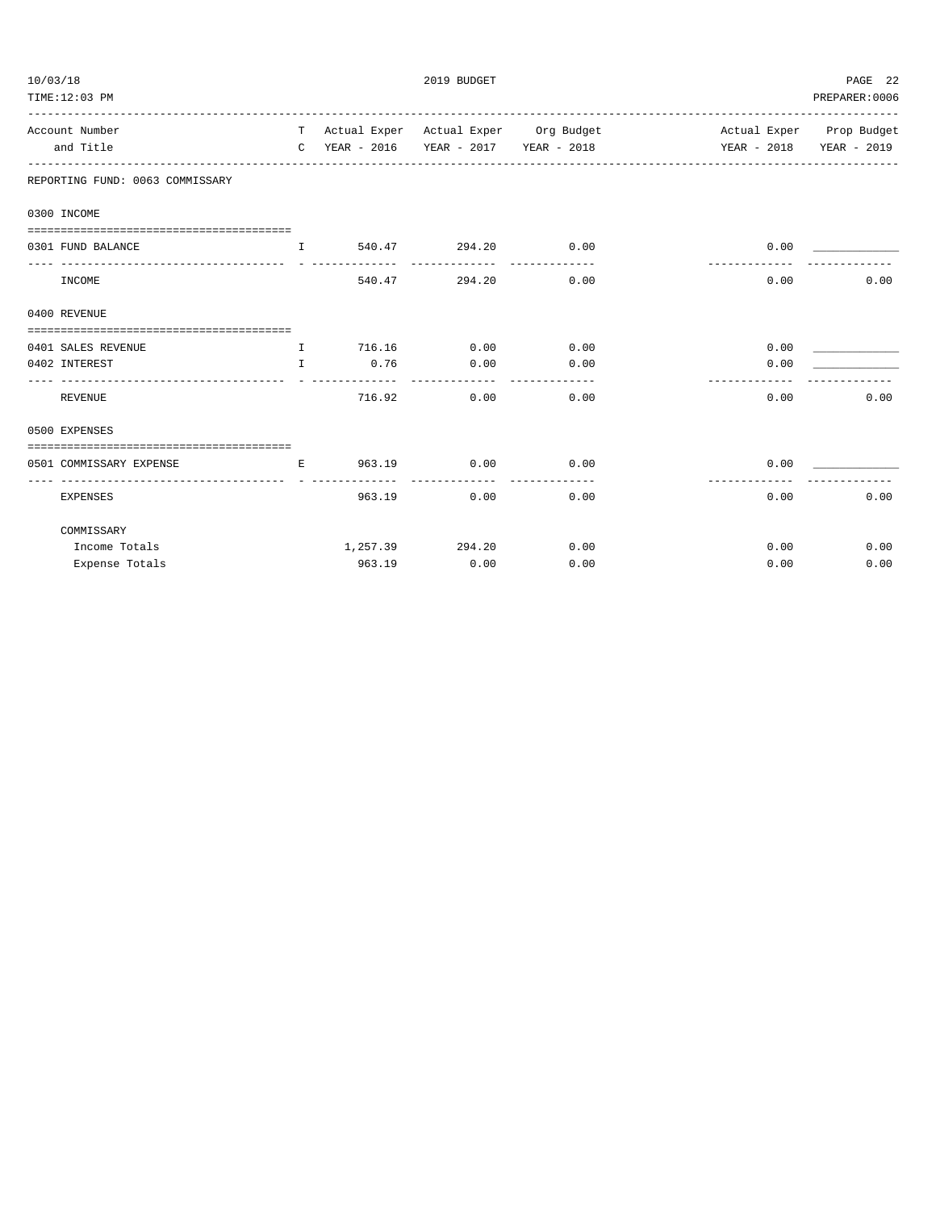| 10/03/18 | TIME:12:03 PM                                                    |              |          | 2019 BUDGET        |                       |                                                                           | PAGE 22<br>PREPARER: 0006 |
|----------|------------------------------------------------------------------|--------------|----------|--------------------|-----------------------|---------------------------------------------------------------------------|---------------------------|
|          | Account Number                                                   |              |          |                    |                       | T Actual Exper Actual Exper Org Budget Actual Exper Prop Budget           |                           |
|          | and Title                                                        |              |          |                    |                       | C YEAR - 2016 YEAR - 2017 YEAR - 2018 YEAR - 2018 YEAR - 2018 YEAR - 2019 |                           |
|          | REPORTING FUND: 0063 COMMISSARY                                  |              |          |                    |                       |                                                                           |                           |
|          | 0300 INCOME                                                      |              |          |                    |                       |                                                                           |                           |
|          | 0301 FUND BALANCE                                                | $\mathbf{I}$ |          | 540.47 294.20 0.00 |                       | 0.00                                                                      |                           |
|          | INCOME                                                           |              |          | 540.47 294.20      | 0.00                  | 0.00                                                                      | 0.00                      |
|          | 0400 REVENUE                                                     |              |          |                    |                       |                                                                           |                           |
|          | 0401 SALES REVENUE                                               | $\mathbf{T}$ | 716.16   | 0.00               | 0.00                  | 0.00                                                                      |                           |
|          | 0402 INTEREST                                                    | $\mathbf{I}$ | 0.76     | 0.00               | 0.00                  | 0.00                                                                      |                           |
|          | REVENUE                                                          |              | 716.92   | 0.00               | 0.00                  | 0.00                                                                      | 0.00                      |
|          | 0500 EXPENSES                                                    |              |          |                    |                       |                                                                           |                           |
|          | -------------------------------------<br>0501 COMMISSARY EXPENSE |              | E 963.19 | 0.00               | 0.00                  | 0.00                                                                      |                           |
|          | -----------------<br><b>EXPENSES</b>                             |              | 963.19   | 0.00               | -------------<br>0.00 | 0.00                                                                      | 0.00                      |
|          | COMMISSARY                                                       |              |          |                    |                       |                                                                           |                           |
|          | Income Totals                                                    |              |          | 1,257.39 294.20    | 0.00                  | 0.00                                                                      | 0.00                      |
|          | Expense Totals                                                   |              | 963.19   | 0.00               | 0.00                  | 0.00                                                                      | 0.00                      |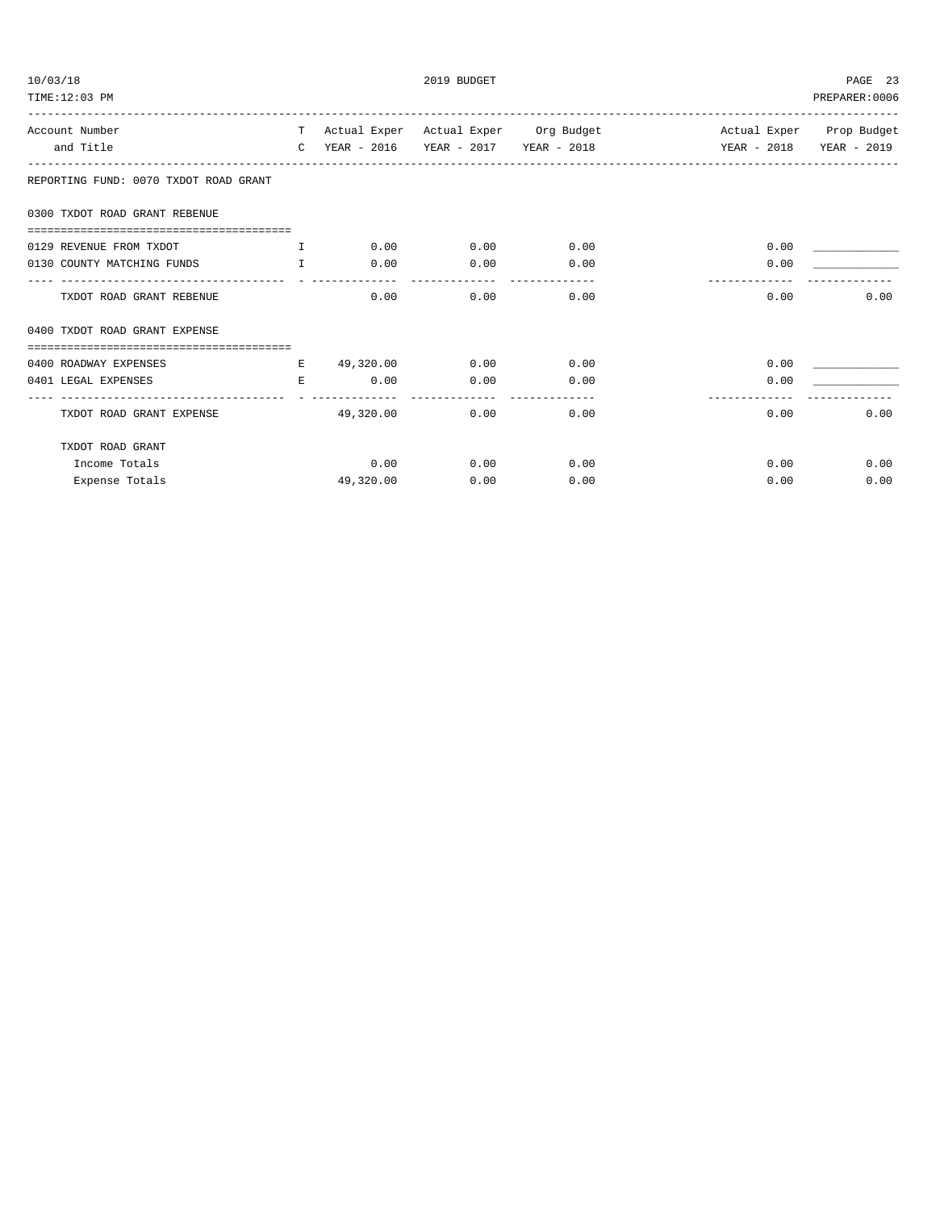| 10/03/18                              |    |                                             | 2019 BUDGET |                               |                                                                           | PAGE 23        |
|---------------------------------------|----|---------------------------------------------|-------------|-------------------------------|---------------------------------------------------------------------------|----------------|
| TIME:12:03 PM                         |    |                                             |             |                               |                                                                           | PREPARER: 0006 |
| Account Number                        |    |                                             |             |                               | T Actual Exper Actual Exper Org Budget Actual Exper Prop Budget           |                |
| and Title                             |    |                                             |             |                               | C YEAR - 2016 YEAR - 2017 YEAR - 2018 YEAR - 2018 YEAR - 2019 YEAR - 2019 |                |
| REPORTING FUND: 0070 TXDOT ROAD GRANT |    |                                             |             |                               |                                                                           |                |
| 0300 TXDOT ROAD GRANT REBENUE         |    |                                             |             |                               |                                                                           |                |
|                                       |    |                                             |             |                               |                                                                           |                |
| 0129 REVENUE FROM TXDOT               |    | $\qquad \qquad \text{I} \qquad \qquad 0.00$ | 0.00        | 0.00                          | 0.00                                                                      |                |
| 0130 COUNTY MATCHING FUNDS I          |    | 0.00                                        | 0.00        | 0.00                          | 0.00                                                                      |                |
| TXDOT ROAD GRANT REBENUE              |    | 0.00                                        | 0.00        | 0.00                          | 0.00                                                                      | 0.00           |
| 0400 TXDOT ROAD GRANT EXPENSE         |    |                                             |             |                               |                                                                           |                |
|                                       |    |                                             |             |                               |                                                                           |                |
| 0400 ROADWAY EXPENSES                 |    | E 49,320.00                                 |             | $0.00$ 0.00                   | 0.00                                                                      |                |
| 0401 LEGAL EXPENSES                   | E. | 0.00                                        | 0.00        | 0.00<br>_____________________ | 0.00                                                                      |                |
| TXDOT ROAD GRANT EXPENSE              |    | 49,320.00                                   | 0.00        | 0.00                          | 0.00                                                                      | 0.00           |
| TXDOT ROAD GRANT                      |    |                                             |             |                               |                                                                           |                |
| Income Totals                         |    | 0.00                                        | 0.00        | 0.00                          |                                                                           | 0.00<br>0.00   |
| Expense Totals                        |    | 49,320.00                                   | 0.00        | 0.00                          | 0.00                                                                      | 0.00           |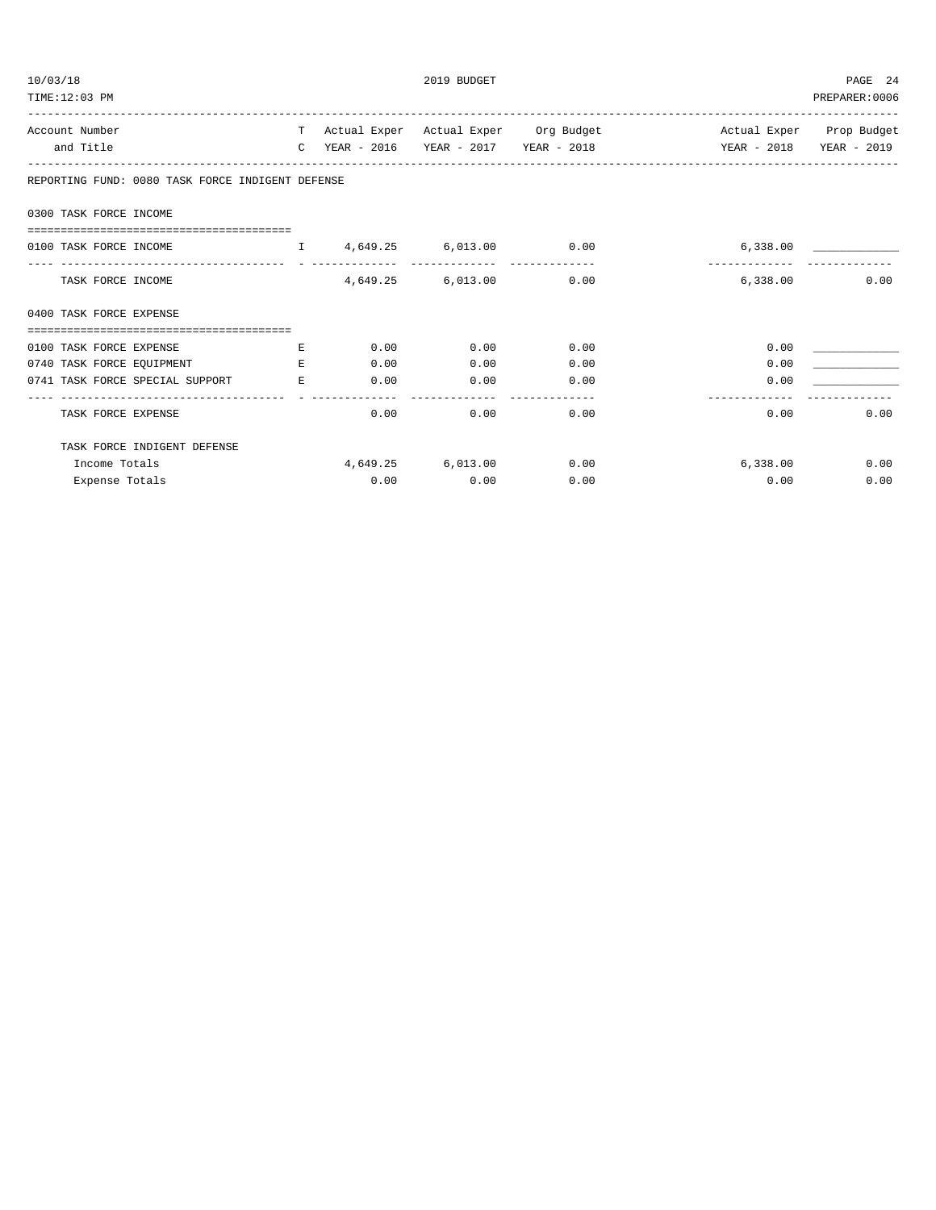| 10/03/18<br>TIME:12:03 PM                                      |             |              | 2019 BUDGET                                                 |                                                                                                                                              |               | PAGE 24<br>PREPARER: 0006 |
|----------------------------------------------------------------|-------------|--------------|-------------------------------------------------------------|----------------------------------------------------------------------------------------------------------------------------------------------|---------------|---------------------------|
| Account Number<br>and Title                                    |             |              |                                                             | T Actual Exper Actual Exper Org Budget Actual Exper Prop Budget<br>C YEAR - 2016 YEAR - 2017 YEAR - 2018 YEAR - 2018 YEAR - 2018 YEAR - 2019 |               |                           |
| REPORTING FUND: 0080 TASK FORCE INDIGENT DEFENSE               |             |              |                                                             |                                                                                                                                              |               |                           |
| 0300 TASK FORCE INCOME                                         |             |              |                                                             |                                                                                                                                              |               |                           |
| 0100 TASK FORCE INCOME                                         |             |              | $I = \{4, 649, 25 \}$ $I = \{6, 013, 00 \}$ $I = \{0, 00\}$ |                                                                                                                                              | 6,338.00      |                           |
| TASK FORCE INCOME                                              |             |              | 4,649.25 6,013.00 0.00                                      |                                                                                                                                              | ------------- | $6.338.00$ 0.00           |
| 0400 TASK FORCE EXPENSE                                        |             |              |                                                             |                                                                                                                                              |               |                           |
|                                                                |             |              |                                                             |                                                                                                                                              |               |                           |
| 0100 TASK FORCE EXPENSE                                        | $E_{\rm c}$ |              | $0.00$ 0.00                                                 | 0.00                                                                                                                                         | 0.00          |                           |
| 0740 TASK FORCE EQUIPMENT<br>0741 TASK FORCE SPECIAL SUPPORT E | E.          | 0.00<br>0.00 | 0.00<br>0.00                                                | 0.00<br>0.00                                                                                                                                 | 0.00<br>0.00  |                           |
| TASK FORCE EXPENSE                                             |             |              | 0.00                                                        | 0.00<br>0.00                                                                                                                                 |               | 0.00<br>0.00              |
| TASK FORCE INDIGENT DEFENSE                                    |             |              |                                                             |                                                                                                                                              |               |                           |
| Income Totals                                                  |             |              | 4,649.25 6,013.00                                           | 0.00                                                                                                                                         | 6,338.00      | 0.00                      |
| Expense Totals                                                 |             |              | $0.00$ 0.00                                                 | 0.00                                                                                                                                         | 0.00          | 0.00                      |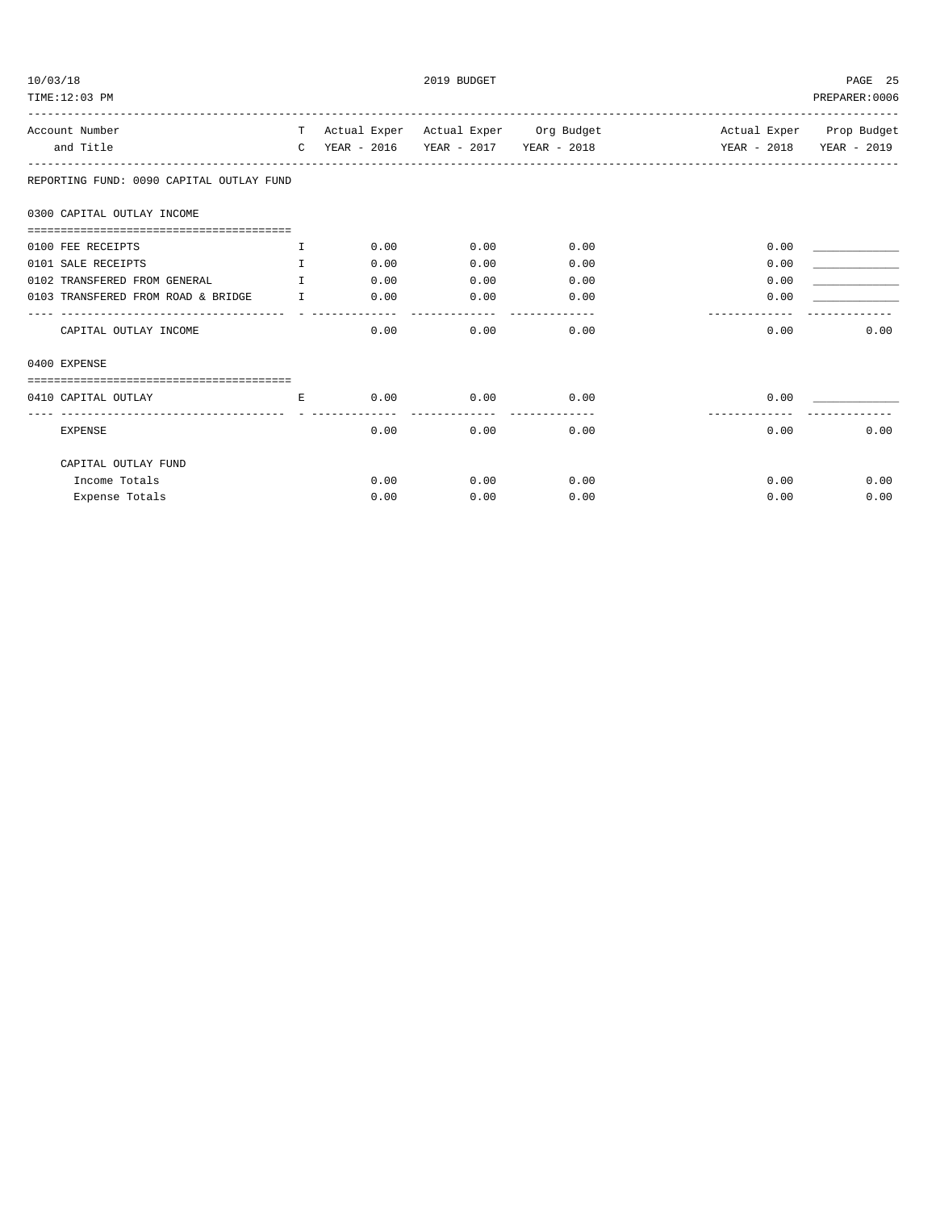| 10/03/18<br>TIME:12:03 PM                                  |              |      | 2019 BUDGET |                   |                                                                 | PAGE 25<br>PREPARER: 0006 |
|------------------------------------------------------------|--------------|------|-------------|-------------------|-----------------------------------------------------------------|---------------------------|
| Account Number                                             |              |      |             |                   | T Actual Exper Actual Exper Org Budget Actual Exper Prop Budget |                           |
| and Title                                                  | $\mathbb{C}$ |      |             |                   | YEAR - 2016 YEAR - 2017 YEAR - 2018 YEAR - 2018 YEAR - 2019     |                           |
| REPORTING FUND: 0090 CAPITAL OUTLAY FUND                   |              |      |             |                   |                                                                 |                           |
| 0300 CAPITAL OUTLAY INCOME                                 |              |      |             |                   |                                                                 |                           |
| 0100 FEE RECEIPTS                                          | T.           | 0.00 | 0.00        | 0.00              | 0.00                                                            |                           |
| 0101 SALE RECEIPTS                                         | $\mathbf{T}$ | 0.00 | 0.00        | 0.00              | 0.00                                                            |                           |
| 0102 TRANSFERED FROM GENERAL                               | $\mathbf{T}$ | 0.00 | 0.00        | 0.00              | 0.00                                                            |                           |
| 0103 TRANSFERED FROM ROAD & BRIDGE T<br>------------------ |              | 0.00 | 0.00        | 0.00              | 0.00                                                            |                           |
| CAPITAL OUTLAY INCOME                                      |              | 0.00 | 0.00        | $- - - -$<br>0.00 | 0.00                                                            | 0.00                      |
| 0400 EXPENSE                                               |              |      |             |                   |                                                                 |                           |
|                                                            |              |      |             |                   |                                                                 |                           |
| 0410 CAPITAL OUTLAY                                        | E.           | 0.00 | 0.00        | 0.00              | 0.00                                                            |                           |
| <b>EXPENSE</b>                                             |              | 0.00 | 0.00        | 0.00              | 0.00                                                            | 0.00                      |
| CAPITAL OUTLAY FUND                                        |              |      |             |                   |                                                                 |                           |
| Income Totals                                              |              | 0.00 | 0.00        | 0.00              | 0.00                                                            | 0.00                      |
| Expense Totals                                             |              | 0.00 | 0.00        | 0.00              | 0.00                                                            | 0.00                      |